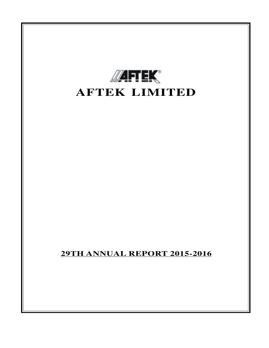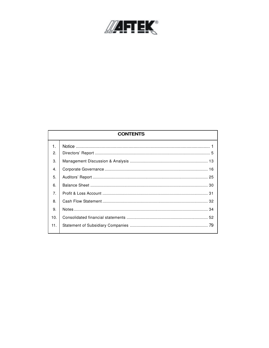

| <b>CONTENTS</b> |  |  |  |  |  |
|-----------------|--|--|--|--|--|
| $\mathbf{1}$ .  |  |  |  |  |  |
| 2.              |  |  |  |  |  |
| 3.              |  |  |  |  |  |
| 4.              |  |  |  |  |  |
| 5.              |  |  |  |  |  |
| 6.              |  |  |  |  |  |
| 7 <sub>1</sub>  |  |  |  |  |  |
| 8.              |  |  |  |  |  |
| 9.              |  |  |  |  |  |
| 10.             |  |  |  |  |  |
| 11.             |  |  |  |  |  |
|                 |  |  |  |  |  |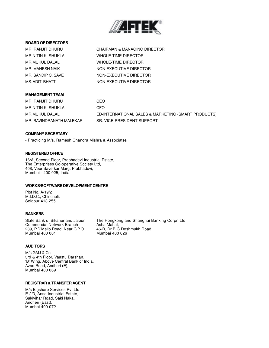

### **BOARD OF DIRECTORS**

MR. RANJIT DHURU CHAIRMAN & MANAGING DIRECTOR MR.NITIN K. SHUKLA WHOLE-TIME DIRECTOR MR.MUKUL DALAL WHOLE-TIME DIRECTOR MR. MAHESH NAIK NON-EXECUTIVE DIRECTOR MR. SANDIP C. SAVE NON-EXECUTIVE DIRECTOR MS. ADITI BHATT NON-EXECUTIVE DIRECTOR

### **MANAGEMENT TEAM**

MR. RANJIT DHURU CEO MR.NITIN K. SHUKLA CFO

MR.MUKUL DALAL ED-INTERNATIONAL SALES & MARKETING (SMART PRODUCTS) MR. RAVINDRANATH MALEKAR SR. VICE-PRESIDENT-SUPPORT

#### **COMPANY SECRETARY**

- Practicing M/s. Ramesh Chandra Mishra & Associates

#### **REGISTERED OFFICE**

16/A, Second Floor, Prabhadevi Industrial Estate, The Enterprises Co-operative Society Ltd, 408, Veer Saverkar Marg, Prabhadevi, Mumbai - 400 025, India

#### **WORKS/SOFTWARE DEVELOPMENT CENTRE**

Plot No. A/19/2 M.I.D.C., Chincholi, Solapur 413 255

#### **BANKERS**

Commercial Network Branch Asha Mahal,<br>239, P.D'Mello Road, Near G.P.O. 46-B, Dr B G Deshmukh Road, 239, P.D'Mello Road, Near G.P.O.<br>Mumbai 400 001

State Bank of Bikaner and Jaipur The Hongkong and Shanghai Banking Corpn Ltd Mumbai 400 026

#### **AUDITORS**

M/s GMJ & Co 3rd & 4th Floor, Vaastu Darshan, 'B' Wing, Above Central Bank of India, Azad Road, Andheri (E), Mumbai 400 069

#### **REGISTRAR & TRANSFER AGENT**

M/s Bigshare Services Pvt Ltd E-2/3, Ansa Industrial Estate, Sakivihar Road, Saki Naka, Andheri (East), Mumbai 400 072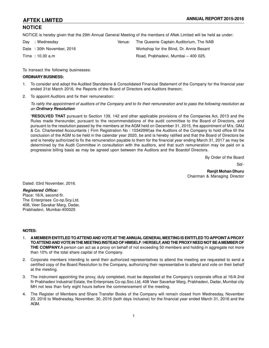### **NOTICE**

NOTICE is hereby given that the 29th Annual General Meeting of the members of Aftek Limited will be held as under:

| Day : Wednesday           | Venue: | The Queenie Captain Auditorium, The NAB  |
|---------------------------|--------|------------------------------------------|
| Date: 30th November, 2016 |        | Workshop for the Blind, Dr. Annie Besant |
| Time: 10.30 a.m           |        | Road, Prabhadevi, Mumbai - 400 025.      |

To transact the following businesses:

#### **ORDINARY BUSINESS:**

- 1. To consider and adopt the Audited Standalone & Consolidated Financial Statement of the Company for the financial year ended 31st March 2016, the Reports of the Board of Directors and Auditors thereon;
- 2. To appoint Auditors and fix their remuneration:

*To ratify the appointment of auditors of the Company and to fix their remuneration and to pass the following resolution as an Ordinary Resolution*:

"**RESOLVED THAT** pursuant to Section 139, 142 and other applicable provisions of the Companies Act, 2013 and the Rules made thereunder, pursuant to the recommendations of the audit committee to the Board of Directors, and pursuant to the resolution passed by the members at the AGM held on December 31, 2015, the appointment of M/s. GMJ & Co. Chartereted Accountants ( Firm Registration No : 103429W)as the Auditors of the Company to hold office till the conclusion of the AGM to be held in the calendar year 2020, be and is hereby ratified and that the Board of Directors be and is hereby authorized to fix the remuneration payable to them for the financial year ending March 31, 2017 as may be determined by the Audit Committee in consultation with the auditors, and that such remuneration may be paid on a progressive billing basis as may be agreed upon between the Auditors and the Boardof Directors.

By Order of the Board

Sd/-

**Ranjit Mohan Dhuru** Chairman & Managing Director

Dated: 03rd November, 2016.

#### *Registered Office:*

Place: 16/A, second flr. The Enterprises Co-op.Scy.Ltd. 408, Veer Savakar Marg, Dadar, Prabhadevi, Mumbai-400025

### **NOTES:**

- 1. **A MEMBER ENTITLED TO ATTEND AND VOTE AT THE ANNUAL GENERAL MEETING IS ENTITLED TO APPOINT A PROXY TO ATTEND AND VOTE IN THE MEETING INSTEAD OF HIMSELF / HERSELF, AND THE PROXY NEED NOT BE A MEMBER OF THE COMPANY.**A person can act as a proxy on behalf of not exceeding 50 members and holding in aggregate not more than 10% of the total share capital of the Company.
- 2. Corporate members intending to send their authorized representatives to attend the meeting are requested to send a certified copy of the Board Resolution to the Company, authorizing their representative to attend and vote on their behalf at the meeting.
- 3. The instrument appointing the proxy, duly completed, must be deposited at the Company's corporate office at 16/A 2nd flr Prabhadevi Industrial Estate, the Enterprises Co-op.Soc.Ltd, 408 Veer Savarkar Marg, Prabhadevi, Dadar, Mumbai city MH not less than forty eight hours before the commencement of the meeting.
- 4. The Register of Members and Share Transfer Books of the Company will remain closed from Wednesday, November 23, 2016 to Wednesday, November, 30, 2016 (both days inclusive) for the financial year ended March 31, 2016 and the AGM.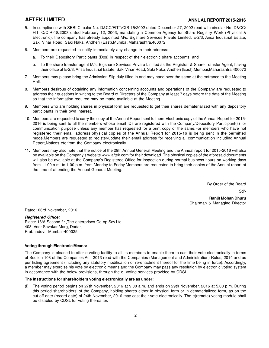- 5. In compliance with SEBI Circular No. D&CC/FITT/CIR-15/2002 dated December 27, 2002 read with circular No. D&CC/ FITTC/CIR-18/2003 dated February 12, 2003, mandating a Common Agency for Share Registry Work (Physical & Electronic), the company has already appointed M/s. Bigshare Services Private Limited, E-2/3, Ansa Industrial Estate, Saki Vihar Road, Saki Naka, Andheri (East),Mumbai,Maharashtra,400072
- Members are requested to notify immediately any change in their address:
	- a. To their Depository Participants (Dps) in respect of their electronic share accounts, and
	- b. To the share transfer agent M/s. Bigshare Services Private Limited as the Registrar & Share Transfer Agent, having their office at E-2/3, Ansa Industrial Estate, Saki Vihar Road, Saki Naka, Andheri (East),Mumbai,Maharashtra,400072
- 7. Members may please bring the Admission Slip duly filled in and may hand over the same at the entrance to the Meeting Hall.
- 8. Members desirous of obtaining any information concerning accounts and operations of the Company are requested to address their questions in writing to the Board of Directors of the Company at least 7 days before the date of the Meeting so that the information required may be made available at the Meeting.
- 9. Members who are holding shares in physical form are requested to get their shares dematerialized with any depository participants in their own interest.
- 10. Members are requested to carry the copy of the Annual Report sent to them.Electronic copy of the Annual Report for 2015- 2016 is being sent to all the members whose email IDs are registered with the Company/Depository Participant(s) for communication purpose unless any member has requested for a print copy of the same.For members who have not registered their email address,physical copies of the Annual Report for 2015-16 is being sent in the permitted mode.Members are requested to register/update their email address for receiving all communication including Annual Report,Notices etc.from the Company electronically.
- 11. Members may also note that the notice of the 29th Annual General Meeting and the Annual report for 2015-2016 will also be available on the Company's website www.aftek.com for their download. The physical copies of the aforesaid documents will also be available at the Company's Registered Office for inspection during normal business hours on working days from 11.00 a.m. to 1.00 p.m. from Monday to Friday.Members are requested to bring their copies of the Annual report at the time of attending the Annual General Meeting.

By Order of the Board

Sd/-

**Ranjit Mohan Dhuru** Chairman & Managing Director

Dated: 03rd November, 2016

*Registered Office:* Place: 16/A,Second flr.,The enterprises Co-op.Scy.Ltd. 408, Veer Savakar Marg, Dadar, Prabhadevi, Mumbai-400025

#### **Voting through Electronic Means:**

The Company is pleased to offer e-voting facility to all its members to enable them to cast their vote electronically in terms of Section 108 of the Companies Act, 2013 read with the Companies (Management and Administration) Rules, 2014 and as per listing agreement (including any statutory modification or re-enactment thereof for the time being in force). Accordingly, a member may exercise his vote by electronic means and the Company may pass any resolution by electronic voting system in accordance with the below provisions, through the e- voting services provided by CDSL.

#### **The instructions for shareholders voting electronically are as under:**

The voting period begins on 27th November, 2016 at 9.00 a.m. and ends on 29th November, 2016 at 5.00 p.m. During this period shareholders' of the Company, holding shares either in physical form or in dematerialized form, as on the cut-off date (record date) of 24th November, 2016 may cast their vote electronically. The e(remote)-voting module shall be disabled by CDSL for voting thereafter.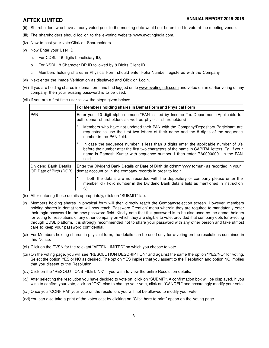- (ii) Shareholders who have already voted prior to the meeting date would not be entitled to vote at the meeting venue.
- (iii) The shareholders should log on to the e-voting website www.evotingindia.com.
- (iv) Now to cast your vote:Click on Shareholders.
- (v) Now Enter your User ID
	- a. For CDSL: 16 digits beneficiary ID,
	- b. For NSDL: 8 Character DP ID followed by 8 Digits Client ID,
	- c. Members holding shares in Physical Form should enter Folio Number registered with the Company.
- (vi) Next enter the Image Verification as displayed and Click on Login.
- (vii) If you are holding shares in demat form and had logged on to www.evotingindia.com and voted on an earlier voting of any company, then your existing password is to be used.
- (viii) If you are a first time user follow the steps given below:

|                                                 | For Members holding shares in Demat Form and Physical Form                                                                                                                                                                                                                       |
|-------------------------------------------------|----------------------------------------------------------------------------------------------------------------------------------------------------------------------------------------------------------------------------------------------------------------------------------|
| <b>PAN</b>                                      | Enter your 10 digit alpha-numeric *PAN issued by Income Tax Department (Applicable for<br>both demat shareholders as well as physical shareholders)                                                                                                                              |
|                                                 | Members who have not updated their PAN with the Company/Depository Participant are<br>requested to use the first two letters of their name and the 8 digits of the sequence<br>number in the PAN field.                                                                          |
|                                                 | In case the sequence number is less than 8 digits enter the applicable number of $0's$<br>before the number after the first two characters of the name in CAPITAL letters. Eg. If your<br>name is Ramesh Kumar with sequence number 1 then enter RA00000001 in the PAN<br>field. |
| Dividend Bank Details<br>OR Date of Birth (DOB) | Enter the Dividend Bank Details or Date of Birth (in dd/mm/yyyy format) as recorded in your<br>demat account or in the company records in order to login.                                                                                                                        |
|                                                 | If both the details are not recorded with the depository or company please enter the<br>member id / Folio number in the Dividend Bank details field as mentioned in instruction<br>$(V)$ .                                                                                       |

- (ix) After entering these details appropriately, click on "SUBMIT" tab.
- (x) Members holding shares in physical form will then directly reach the Companyselection screen. However, members holding shares in demat form will now reach 'Password Creation' menu wherein they are required to mandatorily enter their login password in the new password field. Kindly note that this password is to be also used by the demat holders for voting for resolutions of any other company on which they are eligible to vote, provided that company opts for e-voting through CDSL platform. It is strongly recommended not to share your password with any other person and take utmost care to keep your password confidential.
- (xi) For Members holding shares in physical form, the details can be used only for e-voting on the resolutions contained in this Notice.
- (xii) Click on the EVSN for the relevant "AFTEK LIMITED" on which you choose to vote.
- (xiii) On the voting page, you will see "RESOLUTION DESCRIPTION" and against the same the option "YES/NO" for voting. Select the option YES or NO as desired. The option YES implies that you assent to the Resolution and option NO implies that you dissent to the Resolution.
- (xiv) Click on the "RESOLUTIONS FILE LINK" if you wish to view the entire Resolution details.
- (xv) After selecting the resolution you have decided to vote on, click on "SUBMIT". A confirmation box will be displayed. If you wish to confirm your vote, click on "OK", else to change your vote, click on "CANCEL" and accordingly modify your vote.
- (xvi) Once you "CONFIRM" your vote on the resolution, you will not be allowed to modify your vote.
- (xvii)You can also take a print of the votes cast by clicking on "Click here to print" option on the Voting page.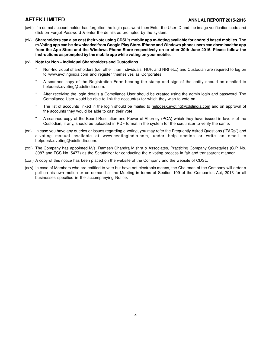- (xviii) If a demat account holder has forgotten the login password then Enter the User ID and the image verification code and click on Forgot Password & enter the details as prompted by the system.
- (xix) **Shareholders can also cast their vote using CDSL's mobile app m-Voting available for android based mobiles. The m-Voting app can be downloaded from Google Play Store. iPhone and Windows phone users can download the app from the App Store and the Windows Phone Store respectively on or after 30th June 2016. Please follow the instructions as prompted by the mobile app while voting on your mobile.**

#### (xx) **Note for Non – Individual Shareholders and Custodians**

- Non-Individual shareholders (i.e. other than Individuals, HUF, and NRI etc.) and Custodian are required to log on to www.evotingindia.com and register themselves as Corporates.
- A scanned copy of the Registration Form bearing the stamp and sign of the entity should be emailed to helpdesk.evoting@cdslindia.com.
- After receiving the login details a Compliance User should be created using the admin login and password. The Compliance User would be able to link the account(s) for which they wish to vote on.
- The list of accounts linked in the login should be mailed to helpdesk.evoting@cdslindia.com and on approval of the accounts they would be able to cast their vote.
- A scanned copy of the Board Resolution and Power of Attorney (POA) which they have issued in favour of the Custodian, if any, should be uploaded in PDF format in the system for the scrutinizer to verify the same.
- (xxi) In case you have any queries or issues regarding e-voting, you may refer the Frequently Asked Questions ("FAQs") and e-voting manual available at www.evotingindia.com, under help section or write an email to helpdesk.evoting@cdslindia.com.
- (xxii) The Company has appointed M/s. Ramesh Chandra Mishra & Associates, Practicing Company Secretaries (C.P. No. 3987 and FCS No. 5477) as the Scrutinizer for conducting the e-voting process in fair and transparent manner.
- (xxiii) A copy of this notice has been placed on the website of the Company and the website of CDSL.
- (xxiv) In case of Members who are entitled to vote but have not electronic means, the Chairman of the Company will order a poll on his own motion or on demand at the Meeting in terms of Section 109 of the Companies Act, 2013 for all businesses specified in the accompanying Notice.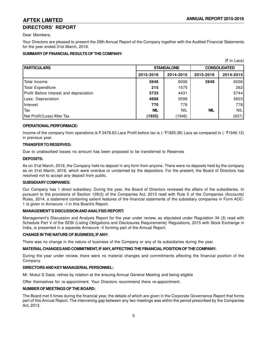# **DIRECTORS' REPORT**

Dear Members,

Your Directors are pleased to present the 29th Annual Report of the Company together with the Audited Financial Statements for the year ended 31st March, 2016.

### **SUMMARY OF FINANCIAL RESULTS OF THE COMPANY:**

|                                         |            |                   |                     | $(5 \in \text{Ln}$ Lacs) |  |
|-----------------------------------------|------------|-------------------|---------------------|--------------------------|--|
| <b>PARTICULARS</b>                      |            | <b>STANDALONE</b> | <b>CONSOLIDATED</b> |                          |  |
|                                         | 2015-2016  | 2014-2015         | 2015-2016           | 2014-2015                |  |
| Total Income                            | 3948       | 6006              | 3948                | 6006                     |  |
| Total Expenditure                       | 215        | 1575              |                     | <b>2621</b>              |  |
| Profit Before Interest and depreciation | 3733       | 4431              |                     | 5744                     |  |
| Less: Depreciation                      | 4888       | 5599              |                     | 5603                     |  |
| Interest                                | 770        | 778               |                     | 778                      |  |
| Tax                                     | <b>NIL</b> | <b>NIL</b>        | <b>NIL</b>          | NIL                      |  |
| Net Profit/(Loss) After Tax             | (1925)     | (1946)            |                     | (637)                    |  |

#### **OPERATIONAL PERFORMACE:**

Income of the company from operations is  $\bar{\tau}$  2478.63 Lacs Profit before tax is (-  $\bar{\tau}$ 1925.36) Lacs as compared to (- $\bar{\tau}$ 1946.12) in previous year.

#### **TRANSFER TO RESERVES:**

Due to unabsorbed losses no amount has been proposed to be transferred to Reserves

#### **DEPOSITS:**

As on 31st March, 2016, the Company held no deposit in any form from anyone. There were no deposits held by the company as on 31st March, 2016, which were overdue or unclaimed by the depositors. For the present, the Board of Directors has resolved not to accept any deposit from public.

#### **SUBSIDIARY COMPANIES:**

Our Company has 1 direct subsidiary. During the year, the Board of Directors reviewed the affairs of the subsidiaries. In pursuant to the provisions of Section 129(3) of the Companies Act, 2013 read with Rule 5 of the Companies (Accounts) Rules, 2014, a statement containing salient features of the financial statements of the subsidiary companies in Form AOC-1 is given in Annexure –I in this Board's Report.

#### **MANAGEMENT'S DISCUSSION AND ANALYSIS REPORT:**

Management's Discussion and Analysis Report for the year under review, as stipulated under Regulation 34 (3) read with Schedule Part V of the SEBI (Listing Obligations and Disclosures Requirements) Regulations, 2015 with Stock Exchange in India, is presented in a separate Annexure -II forming part of the Annual Report.

#### **CHANGE IN THE NATURE OF BUSINESS, IF ANY:**

There was no change in the nature of business of the Company or any of its subsidiaries during the year.

### **MATERIAL CHANGES AND COMMITMENT, IF ANY, AFFECTING THE FINANCIAL POSITION OF THE COMPANY:**

During the year under review, there were no material changes and commitments affecting the financial position of the Company.

#### **DIRECTORS AND KEY MANAGERIAL PERSONNEL:**

Mr. Mukul S Dalal, retires by rotation at the ensuing Annual General Meeting and being eligible

Offer themselves for re-appointment. Your Directors recommend there re-appointment.

#### **NUMBER OF MEETINGS OF THE BOARD:**

The Board met 5 times during the financial year, the details of which are given in the Corporate Governance Report that forms part of this Annual Report. The intervening gap between any two meetings was within the period prescribed by the Companies Act, 2013.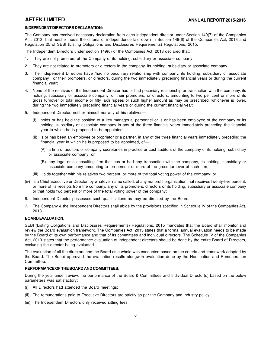#### **INDEPENDENT DIRECTORS DECLARATION:**

The Company has received necessary declaration from each independent director under Section 149(7) of the Companies Act, 2013, that he/she meets the criteria of independence laid down in Section 149(6) of the Companies Act, 2013 and Regulation 25 of SEBI (Listing Obligations and Disclosures Requirements) Regulations, 2015.

The Independent Directors under section 149(6) of the Companies Act, 2013 declared that:

- 1. They are not promoters of the Company or its holding, subsidiary or associate company;
- 2. They are not related to promoters or directors in the company, its holding, subsidiary or associate company.
- 3. The independent Directors have /had no pecuniary relationship with company, its holding, subsidiary or associate company , or their promoters, or directors, during the two immediately preceding financial years or during the current financial year;
- 4. None of the relatives of the Independent Director has or had pecuniary relationship or transaction with the company, its holding, subsidiary or associate company, or their promoters, or directors, amounting to two per cent or more of its gross turnover or total income or fifty lakh rupees or such higher amount as may be prescribed, whichever is lower, during the two immediately preceding financial years or during the current financial year;
- 5. Independent Director, neither himself nor any of his relatives—
	- (i) holds or has held the position of a key managerial personnel or is or has been employee of the company or its holding, subsidiary or associate company in any of the three financial years immediately preceding the financial year in which he is proposed to be appointed;
	- (ii) is or has been an employee or proprietor or a partner, in any of the three financial years immediately preceding the financial year in which he is proposed to be appointed, of—
		- (A) a firm of auditors or company secretaries in practice or cost auditors of the company or its holding, subsidiary or associate company; or
		- (B) any legal or a consulting firm that has or had any transaction with the company, its holding, subsidiary or associate company amounting to ten percent or more of the gross turnover of such firm;
	- (iii) Holds together with his relatives two percent. or more of the total voting power of the company; or
- (iv) is a Chief Executive or Director, by whatever name called, of any nonprofit organization that receives twenty-five percent. or more of its receipts from the company, any of its promoters, directors or its holding, subsidiary or associate company or that holds two percent or more of the total voting power of the company;
- 6. Independent Director possesses such qualifications as may be directed by the Board.
- 7. The Company & the Independent Directors shall abide by the provisions specified in Schedule IV of the Companies Act, 2013.

#### **BOARD EVALUATION:**

SEBI (Listing Obligations and Disclosures Requirements) Regulations, 2015 mandates that the Board shall monitor and review the Board evaluation framework. The Companies Act, 2013 states that a formal annual evaluation needs to be made by the Board of its own performance and that of its committees and individual directors. The Schedule IV of the Companies Act, 2013 states that the performance evaluation of independent directors should be done by the entire Board of Directors, excluding the director being evaluated.

The evaluation of all the directors and the Board as a whole was conducted based on the criteria and framework adopted by the Board. The Board approved the evaluation results alongwith evaluation done by the Nomination and Remuneration Committee.

#### **PERFORMANCE OF THE BOARD AND COMMITTEES:**

During the year under review, the performance of the Board & Committees and Individual Director(s) based on the below parameters was satisfactory:

- (i) All Directors had attended the Board meetings;
- (ii) The remunerations paid to Executive Directors are strictly as per the Company and industry policy.
- (iii) The Independent Directors only received sitting fees.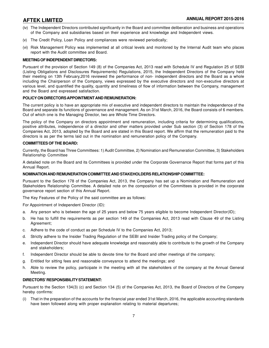- (iv) The Independent Directors contributed significantly in the Board and committee deliberation and business and operations of the Company and subsidiaries based on their experience and knowledge and Independent views.
- (v) The Credit Policy, Loan Policy and compliances were reviewed periodically;
- (vi) Risk Management Policy was implemented at all critical levels and monitored by the Internal Audit team who places report with the Audit committee and Board.

#### **MEETING OF INDEPENDENT DIRECTORS:**

Pursuant of the provision of Section 149 (8) of the Companies Act, 2013 read with Schedule IV and Regulation 25 of SEBI (Listing Obligations and Disclosures Requirements) Regulations, 2015, the Independent Directors of the Company held their meeting on 13th February,2016 reviewed the performance of non- independent directors and the Board as a whole including the Chairperson of the Company, views expressed by the executive directors and non-executive directors at various level, and quantified the quality, quantity and timeliness of flow of information between the Company, management and the Board and expressed satisfaction.

#### **POLICY ON DIRECTORS APPOINTMENT AND REMUNERATION:**

The current policy is to have an appropriate mix of executive and independent directors to maintain the independence of the Board and separate its functions of governance and management. As on 31st March, 2016, the Board consists of 6 members. Out of which one is the Managing Director, two are Whole Time Directors.

The policy of the Company on directors appointment and remuneration, including criteria for determining qualifications, positive attributes, independence of a director and other matters provided under Sub section (3) of Section 178 of the Companies Act, 2013, adopted by the Board and are stated in this Board report. We affirm that the remuneration paid to the directors is as per the terms laid out in the nomination and remuneration policy of the Company.

#### **COMMITTEES OF THE BOARD:**

Currently, the Board has Three Committees: 1) Audit Committee, 2) Nomination and Remuneration Committee, 3) Stakeholders Relationship Committee

A detailed note on the Board and its Committees is provided under the Corporate Governance Report that forms part of this Annual Report.

#### **NOMINATION AND REMUNERATION COMMITTEE AND STAKEHOLDERS RELATIONSHIP COMMITTEE:**

Pursuant to the Section 178 of the Companies Act, 2013, the Company has set up a Nomination and Remuneration and Stakeholders Relationship Committee. A detailed note on the composition of the Committees is provided in the corporate governance report section of this Annual Report.

The Key Features of the Policy of the said committee are as follows:

For Appointment of Independent Director (ID):

- a. Any person who is between the age of 25 years and below 75 years eligible to become Independent Director(ID);
- b. He has to fulfill the requirements as per section 149 of the Companies Act, 2013 read with Clause 49 of the Listing Agreement;
- c. Adhere to the code of conduct as per Schedule IV to the Companies Act, 2013;
- d. Strictly adhere to the Insider Trading Regulation of the SEBI and Insider Trading policy of the Company;
- e. Independent Director should have adequate knowledge and reasonably able to contribute to the growth of the Company and stakeholders;
- f. Independent Director should be able to devote time for the Board and other meetings of the company;
- g. Entitled for sitting fees and reasonable conveyance to attend the meetings; and
- h. Able to review the policy, participate in the meeting with all the stakeholders of the company at the Annual General Meeting.

#### **DIRECTORS' RESPONSIBILITY STATEMENT:**

Pursuant to the Section 134(3) (c) and Section 134 (5) of the Companies Act, 2013, the Board of Directors of the Company hereby confirms:

(i) That in the preparation of the accounts for the financial year ended 31st March, 2016, the applicable accounting standards have been followed along with proper explanation relating to material departures;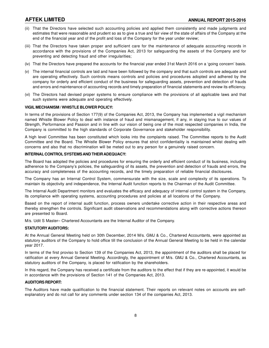- (ii) That the Directors have selected such accounting policies and applied them consistently and made judgments and estimates that were reasonable and prudent so as to give a true and fair view of the state of affairs of the Company at the end of the financial year and of the profit and loss of the Company for the year under review;
- (iii) That the Directors have taken proper and sufficient care for the maintenance of adequate accounting records in accordance with the provisions of the Companies Act, 2013 for safeguarding the assets of the Company and for preventing and detecting fraud and other irregularities;
- (iv) That the Directors have prepared the accounts for the financial year ended 31st March 2016 on a 'going concern' basis.
- (v) The internal financial controls are laid and have been followed by the company and that such controls are adequate and are operating effectively. Such controls means controls and policies and procedures adopted and adhered by the company for orderly and efficient conduct of the business for safeguarding assets, prevention and detection of frauds and errors and maintenance of accounting records and timely preparation of financial statements and review its efficiency.
- (vi) The Directors had devised proper systems to ensure compliance with the provisions of all applicable laws and that such systems were adequate and operating effectively.

#### **VIGIL MECHANISM / WHISTLE BLOWER POLICY:**

In terms of the provisions of Section 177(9) of the Companies Act, 2013, the Company has implemented a vigil mechanism named Whistle Blower Policy to deal with instance of fraud and mismanagement, if any, in staying true to our values of Strength, Performance and Passion and in line with our vision of being one of the most respected companies in India, the Company is committed to the high standards of Corporate Governance and stakeholder responsibility.

A high level Committee has been constituted which looks into the complaints raised. The Committee reports to the Audit Committee and the Board. The Whistle Blower Policy ensures that strict confidentiality is maintained whilst dealing with concerns and also that no discrimination will be meted out to any person for a genuinely raised concern.

#### **INTERNAL CONTROL SYSTEMS AND THEIR ADEQUACY:**

The Board has adopted the policies and procedures for ensuring the orderly and efficient conduct of its business, including adherence to the Company's policies, the safeguarding of its assets, the prevention and detection of frauds and errors, the accuracy and completeness of the accounting records, and the timely preparation of reliable financial disclosures.

The Company has an Internal Control System, commensurate with the size, scale and complexity of its operations. To maintain its objectivity and independence, the Internal Audit function reports to the Chairman of the Audit Committee.

The Internal Audit Department monitors and evaluates the efficacy and adequacy of internal control system in the Company, its compliance with operating systems, accounting procedures and policies at all locations of the Company.

Based on the report of internal audit function, process owners undertake corrective action in their respective areas and thereby strengthen the controls. Significant audit observations and recommendations along with corrective actions thereon are presented to Board.

M/s. Udit S Master– Chartered Accountants are the Internal Auditor of the Company.

#### **STATUTORY AUDITORS:**

At the Annual General Meeting held on 30th December, 2014 M/s. GMJ & Co., Chartered Accountants, were appointed as statutory auditors of the Company to hold office till the conclusion of the Annual General Meeting to be held in the calendar year 2017.

In terms of the first proviso to Section 139 of the Companies Act, 2013, the appointment of the auditors shall be placed for ratification at every Annual General Meeting. Accordingly, the appointment of M/s. GMJ & Co., Chartered Accountants, as statutory auditors of the Company, is placed for ratification by the shareholders.

In this regard, the Company has received a certificate from the auditors to the effect that if they are re-appointed, it would be in accordance with the provisions of Section 141 of the Companies Act, 2013.

#### **AUDITORS REPORT:**

The Auditors have made qualification to the financial statement. Their reports on relevant notes on accounts are selfexplanatory and do not call for any comments under section 134 of the companies Act, 2013.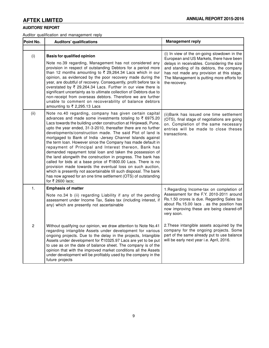# **AUDITORS' REPORT**

Auditor qualification and management reply

| Point No.      | <b>Auditors' qualifications</b>                                                                                                                                                                                                                                                                                                                                                                                                                                                                                                                                                                                                                                                                                                                                                                                                                                                                                                      | <b>Management reply</b>                                                                                                                                                                                                                                                                        |
|----------------|--------------------------------------------------------------------------------------------------------------------------------------------------------------------------------------------------------------------------------------------------------------------------------------------------------------------------------------------------------------------------------------------------------------------------------------------------------------------------------------------------------------------------------------------------------------------------------------------------------------------------------------------------------------------------------------------------------------------------------------------------------------------------------------------------------------------------------------------------------------------------------------------------------------------------------------|------------------------------------------------------------------------------------------------------------------------------------------------------------------------------------------------------------------------------------------------------------------------------------------------|
|                |                                                                                                                                                                                                                                                                                                                                                                                                                                                                                                                                                                                                                                                                                                                                                                                                                                                                                                                                      |                                                                                                                                                                                                                                                                                                |
| (i)            | <b>Basis for qualified opinion</b><br>Note no.39 regarding, Management has not considered any<br>provision in respect of outstanding Debtors for a period more<br>than 12 months amounting to ₹ 29,264.34 Lacs which in our<br>opinion, as evidenced by the poor recovery made during the<br>year, are doubtful of recovery. Consequently, profit before tax is<br>overstated by ₹ 29,264.34 Lacs. Further in our view there is<br>significant uncertainty as to ultimate collection of Debtors due to<br>non-receipt from overseas debtors. Therefore we are further<br>unable to comment on recoverability of balance debtors<br>amounting to ₹ 2,295.13 Lacs                                                                                                                                                                                                                                                                      | (i) In view of the on-going slowdown in the<br>European and US Markets, there have been<br>delays in receivables. Considering the size<br>and standing of its debtors, the company<br>has not made any provision at this stage.<br>The Management is putting more efforts for<br>the recovery. |
| (ii)           | Note no.40 regarding, company has given certain capital<br>advances and made some investments totaling to ₹ 6975.20<br>Lacs towards the building under construction at Hinjewadi, Pune,<br>upto the year ended, 31-3-2010, thereafter there are no further<br>developments/construction made. The said Plot of land is<br>mortgaged to Bank of India -Jersey Channel Islands against<br>the term loan. However since the Company has made default in<br>repayment of Principal and Interest thereon, Bank has<br>demanded repayment total loan and taken the possession of<br>the land alongwith the construction in progress. The bank has<br>called for bids at a base price of ₹1800.00 Lacs. There is no<br>provision made towards the eventual loss on such auction,<br>which is presently not ascertainable till such disposal. The bank<br>has now agreed for an one time settlement (OTS) of outstanding<br>for ₹ 2600 lacs; | (ii) Bank has issued one time settlement<br>(OTS), final stage of negotiations are going<br>on. Completion of the same necessary<br>entries will be made to close theses<br>transactions.                                                                                                      |
| 1.             | <b>Emphasis of matter</b>                                                                                                                                                                                                                                                                                                                                                                                                                                                                                                                                                                                                                                                                                                                                                                                                                                                                                                            | 1. Regarding Income-tax on completion of                                                                                                                                                                                                                                                       |
|                | Note no.34 b (ii) regarding Liability if any of the pending<br>assessment under Income Tax, Sales tax (including interest, if<br>any) which are presently not ascertainable                                                                                                                                                                                                                                                                                                                                                                                                                                                                                                                                                                                                                                                                                                                                                          | Assessment for the F.Y. 2010-2011 around<br>Rs.1.50 crores is due. Regarding Sales tax<br>about Rs.15.00 lacs. as the position has<br>now improving these are being cleared-off<br>very soon.                                                                                                  |
| $\overline{2}$ | Without qualifying our opinion, we draw attention to Note No.41<br>regarding intangible Assets under development for various<br>ongoing projects. Due to the delay in the projects, Intangible<br>Assets under development for ₹10325.97 Lacs are yet to be put<br>to use as on the date of balance sheet. The company is of the<br>opinion that with the improved market conditions all the Assets<br>under development will be profitably used by the company in the<br>future projects                                                                                                                                                                                                                                                                                                                                                                                                                                            | 2. These intangible assets acquired by the<br>company for the ongoing projects. Some<br>part of the same already put to use balance<br>will be early next year i.e. April, 2016.                                                                                                               |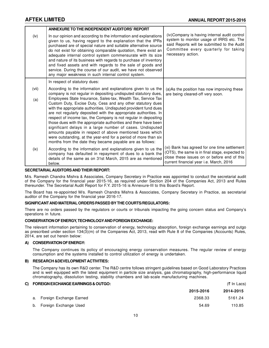|       | ANNEXURE TO THE INDEPENDENT AUDITORS' REPORT                                                                                                                                                                                                                                                                                                                                                                                                                                                                                                                                                                                                                                                                                           |                                                                                                                                                                                                      |
|-------|----------------------------------------------------------------------------------------------------------------------------------------------------------------------------------------------------------------------------------------------------------------------------------------------------------------------------------------------------------------------------------------------------------------------------------------------------------------------------------------------------------------------------------------------------------------------------------------------------------------------------------------------------------------------------------------------------------------------------------------|------------------------------------------------------------------------------------------------------------------------------------------------------------------------------------------------------|
| (iv)  | In our opinion and according to the information and explanations<br>given to us, having regard to the explanation that the IPRs<br>purchased are of special nature and suitable alternative source<br>do not exist for obtaining comparable quotation, there exist an<br>adequate internal control system commensurate with its size<br>and nature of its business with regards to purchase of inventory<br>and fixed assets and with regards to the sale of goods and<br>service. During the course of our audit, we have not observed<br>any major weakness in such internal control system.                                                                                                                                         | (iv)Company is having internal audit control<br>system to monitor usage of IRRS etc. The<br>said Reports will be submitted to the Audit<br>Committee every quarterly for taking<br>necessary action. |
|       | In respect of statutory dues:                                                                                                                                                                                                                                                                                                                                                                                                                                                                                                                                                                                                                                                                                                          |                                                                                                                                                                                                      |
| (vii) | According to the information and explanations given to us the                                                                                                                                                                                                                                                                                                                                                                                                                                                                                                                                                                                                                                                                          | (a)As the position has now improving these                                                                                                                                                           |
| (a)   | company is not regular in depositing undisputed statutory dues,<br>Employees State Insurance, Sales-tax, Wealth Tax, Service Tax<br>Custom Duty, Excise Duty, Cess and any other statutory dues<br>with the appropriate authorities. Undisputed provident fund dues<br>are not regularly deposited with the appropriate authorities. In<br>respect of income tax, the Company is not regular in depositing<br>those dues with the appropriate authorities and there have been<br>significant delays in a large number of cases. Undisputed<br>amounts payable in respect of above mentioned taxes which<br>were outstanding, at the year-end for a period of more than six<br>months from the date they became payable are as follows: | are being cleared-off very soon.                                                                                                                                                                     |
| (ix)  | According to the information and explanations given to us the<br>company has defaulted in repayment of dues to a bank the<br>details of the same as on 31st March, 2015 are as mentioned<br>below.                                                                                                                                                                                                                                                                                                                                                                                                                                                                                                                                     | (xi) Bank has agreed for one time settlement<br>(OTS), the same is in final stage, expected to<br>close these issues on or before end of this<br>current financial year i.e. March, 2016             |

#### **SECRETARIALAUDITORS AND THEIR REPORT:**

M/s. Ramesh Chandra Mishra & Associates, Company Secretary in Practice was appointed to conduct the secretarial audit of the Company for the financial year 2015-16, as required under Section 204 of the Companies Act, 2013 and Rules thereunder. The Secretarial Audit Report for F.Y. 2015-16 is Annexure-III to this Board's Report.

The Board has re-appointed M/s. Ramesh Chandra Mishra & Associates, Company Secretary in Practice, as secretarial auditor of the Company for the financial year 2016-17.

### **SIGNIFICANT AND MATERIAL ORDERS PASSED BY THE COURTS/REGULATORS:**

There are no orders passed by the regulators or courts or tribunals impacting the going concern status and Company's operations in future.

#### **CONSERVATION OF ENERGY, TECHNOLOGYAND FOREIGN EXCHANGE:**

The relevant information pertaining to conservation of energy, technology absorption, foreign exchange earnings and outgo as prescribed under section 134(3)(m) of the Companies Act, 2013, read with Rule 8 of the Companies (Accounts) Rules, 2014, are set out herein below:

#### **A) CONSERVATION OF ENERGY:**

The Company continues its policy of encouraging energy conservation measures. The regular review of energy consumption and the systems installed to control utilization of energy is undertaken.

#### **B) RESEARCH &DEVELOPMENT ACTIVITIES:**

The Company has its own R&D center. The R&D centre follows stringent guidelines based on Good Laboratory Practices and is well equipped with the latest equipment in particle size analysis, gas chromatography, high-performance liquid chromatography, dissolution testing, stability chambers and lab-scale manufacturing machines.

|                       |                                                                           | $(5 \text{ In}$ Lacs) |
|-----------------------|---------------------------------------------------------------------------|-----------------------|
|                       | 2015-2016                                                                 | 2014-2015             |
|                       | 2368.33                                                                   | 5161.24               |
| Foreign Exchange Used | 54.69                                                                     | 110.85                |
|                       | C) FOREIGN EXCHANGE EARNINGS & OUTGO:<br>a. Foreign Exchange Earned<br>b. |                       |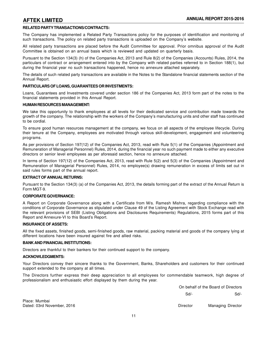### **RELATED PARTY TRANSACTIONS/CONTRACTS:**

The Company has implemented a Related Party Transactions policy for the purposes of identification and monitoring of such transactions. The policy on related party transactions is uploaded on the Company's website.

All related party transactions are placed before the Audit Committee for approval. Prior omnibus approval of the Audit Committee is obtained on an annual basis which is reviewed and updated on quarterly basis.

Pursuant to the Section 134(3) (h) of the Companies Act, 2013 and Rule 8(2) of the Companies (Accounts) Rules, 2014, the particulars of contract or arrangement entered into by the Company with related parties referred to in Section 188(1), but during the financial year no such transactions happened, hence no annexure attached separately.

The details of such related party transactions are available in the Notes to the Standalone financial statements section of the Annual Report.

#### **PARTICULARS OF LOANS, GUARANTEES OR INVESTMENTS:**

Loans, Guarantees and Investments covered under section 186 of the Companies Act, 2013 form part of the notes to the financial statements provided in this Annual Report.

#### **HUMAN RESOURCES MANAGEMENT:**

We take this opportunity to thank employees at all levels for their dedicated service and contribution made towards the growth of the company. The relationship with the workers of the Company's manufacturing units and other staff has continued to be cordial.

To ensure good human resources management at the company, we focus on all aspects of the employee lifecycle. During their tenure at the Company, employees are motivated through various skill-development, engagement and volunteering programs.

As per provisions of Section 197(12) of the Companies Act, 2013, read with Rule 5(1) of the Companies (Appointment and Remuneration of Managerial Personnel) Rules, 2014, during the financial year no such payment made to either any executive directors or senior level employees as per aforesaid section, hence no annexure attached.

In terms of Section 197(12) of the Companies Act, 2013, read with Rule 5(2) and 5(3) of the Companies (Appointment and Remuneration of Managerial Personnel) Rules, 2014, no employee(s) drawing remuneration in excess of limits set out in said rules forms part of the annual report.

#### **EXTRACT OF ANNUAL RETURNS:**

Pursuant to the Section 134(3) (a) of the Companies Act, 2013, the details forming part of the extract of the Annual Return is Form MGT-9.

#### **CORPORATE GOVERNANCE:**

A Report on Corporate Governance along with a Certificate from M/s. Ramesh Mishra, regarding compliance with the conditions of Corporate Governance as stipulated under Clause 49 of the Listing Agreement with Stock Exchange read with the relevant provisions of SEBI (Listing Obligations and Disclosures Requirements) Regulations, 2015 forms part of this Report and Annexure-VI to this Board's Report.

#### **INSURANCE OF ASSETS:**

All the fixed assets, finished goods, semi-finished goods, raw material, packing material and goods of the company lying at different locations have been insured against fire and allied risks.

#### **BANK AND FINANCIAL INSTITUTIONS:**

Directors are thankful to their bankers for their continued support to the company.

#### **ACKNOWLEDGMENTS:**

Your Directors convey their sincere thanks to the Government, Banks, Shareholders and customers for their continued support extended to the company at all times.

The Directors further express their deep appreciation to all employees for commendable teamwork, high degree of professionalism and enthusiastic effort displayed by them during the year.

> On behalf of the Board of Directors Sd/- Sd/-

Dated: 03rd November, 2016 **Director** Director Managing Director Managing Director

Place: Mumbai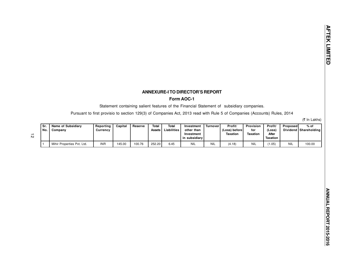## **ANNEXURE-I TO DIRECTOR'S REPORT**

### **Form AOC-1**

Statement containing salient features of the Financial Statement of subsidiary companies.

Pursuant to first provisio to section 129(3) of Companies Act, 2013 read with Rule 5 of Companies (Accounts) Rules, 2014

(₹ In Lakhs)

| Sr.<br>No. | <b>Name of Subsidiary</b><br>Company | Reporting<br>Currencv | Capital | Reserve | Total<br>Assets | Total<br>Liabilities | Investment<br>other than<br>Investment<br>in subsidiarv l | Turnover   | Profit/<br>(Loss) before<br>Taxation | Provision<br>for<br><b>Taxation</b> | Profit/<br>(Loss<br>After<br>Taxation | Proposed   | $%$ of<br>Dividend   Shareholding |
|------------|--------------------------------------|-----------------------|---------|---------|-----------------|----------------------|-----------------------------------------------------------|------------|--------------------------------------|-------------------------------------|---------------------------------------|------------|-----------------------------------|
|            | Mihir Properties Pvt. Ltd.           | <b>INR</b>            | 145.00  | 100.76  | 252.20          | 6.45                 | <b>NIL</b>                                                | <b>NIL</b> | (4.18)                               |                                     | (1.05)                                | <b>NIL</b> | 100.00                            |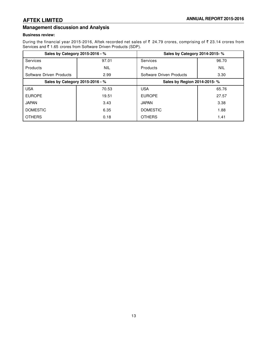# **Management discussion and Analysis**

### **Business review:**

During the financial year 2015-2016, Aftek recorded net sales of  $\bar{\tau}$  24.79 crores, comprising of  $\bar{\tau}$  23.14 crores from Services and ₹1.65 crores from Software Driven Products (SDP).

| Sales by Category 2015-2016 - % |            | Sales by Category 2014-2015- % |            |
|---------------------------------|------------|--------------------------------|------------|
| <b>Services</b>                 | 97.01      | Services                       | 96.70      |
| Products                        | <b>NIL</b> | Products                       | <b>NIL</b> |
| Software Driven Products        | 2.99       | Software Driven Products       | 3.30       |
| Sales by Category 2015-2016 - % |            | Sales by Region 2014-2015- %   |            |
| <b>USA</b>                      | 70.53      | <b>USA</b>                     | 65.76      |
| <b>EUROPE</b>                   | 19.51      | <b>EUROPE</b>                  | 27.57      |
| <b>JAPAN</b>                    | 3.43       | <b>JAPAN</b>                   | 3.38       |
| <b>DOMESTIC</b>                 | 6.35       | <b>DOMESTIC</b>                | 1.88       |
| <b>OTHERS</b>                   | 0.18       | <b>OTHERS</b>                  | 1.41       |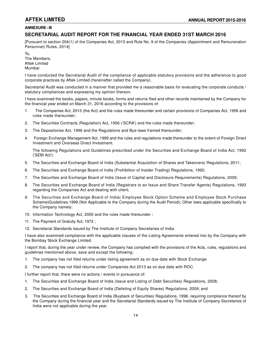# **ANNEXURE - III**

# **SECRETARIAL AUDIT REPORT FOR THE FINANCIAL YEAR ENDED 31ST MARCH 2016**

[Pursuant to section 204(1) of the Companies Act, 2013 and Rule No. 9 of the Companies (Appointment and Remuneration Personnel) Rules, 2014]

To, The Members, Aftek Limited Mumbai

I have conducted the Secretarial Audit of the compliance of applicable statutory provisions and the adherence to good corporate practices by Aftek Limited (hereinafter called the Company).

Secretarial Audit was conducted in a manner that provided me a reasonable basis for evaluating the corporate conducts / statutory compliances and expressing my opinion thereon.

I have examined the books, papers, minute books, forms and returns filed and other records maintained by the Company for the financial year ended on March 31, 2016 according to the provisions of:

- 1. The Companies Act, 2013 (the Act) and the rules made thereunder and certain provisions of Companies Act, 1956 and rules made thereunder;
- 2. The Securities Contracts (Regulation) Act, 1956 ('SCRA') and the rules made thereunder;
- 3. The Depositories Act, 1996 and the Regulations and Bye-laws framed thereunder;
- 4. Foreign Exchange Management Act, 1999 and the rules and regulations made thereunder to the extent of Foreign Direct Investment and Overseas Direct Investment.

The following Regulations and Guidelines prescribed under the Securities and Exchange Board of India Act, 1992 ('SEBI Act'):

- 5. The Securities and Exchange Board of India (Substantial Acquisition of Shares and Takeovers) Regulations, 2011;
- 6. The Securities and Exchange Board of India (Prohibition of Insider Trading) Regulations, 1992;
- 7. The Securities and Exchange Board of India (Issue of Capital and Disclosure Requirements) Regulations, 2009;
- 8. The Securities and Exchange Board of India (Registrars to an Issue and Share Transfer Agents) Regulations, 1993 regarding the Companies Act and dealing with client;
- 9. The Securities and Exchange Board of India( Employee Stock Option Scheme and Employee Stock Purchase Scheme)Guidelines,1999 (Not Applicable to the Company during the Audit Period); Other laws applicable specifically to the Company namely:
- 10. Information Technology Act, 2000 and the rules made thereunder ;
- 11. The Payment of Gratuity Act, 1972 ;
- 12. Secretarial Standards issued by The Institute of Company Secretaries of India.

I have also examined compliance with the applicable clauses of the Listing Agreements entered into by the Company with the Bombay Stock Exchange Limited.

I report that, during the year under review, the Company has complied with the provisions of the Acts, rules, regulations and guidelines mentioned above, save and except the following:

- 1. The company has not filed returns under listing agreement as on due date with Stock Exchange
- 2. The company has not filed returns under Companies Act 2013 as on due date with ROC.

I further report that, there were no actions / events in pursuance of:

- 1. The Securities and Exchange Board of India (Issue and Listing of Debt Securities) Regulations, 2008;
- 2. The Securities and Exchange Board of India (Delisting of Equity Shares) Regulations, 2009; and
- 3. The Securities and Exchange Board of India (Buyback of Securities) Regulations, 1998, requiring compliance thereof by the Company during the financial year and the Secretarial Standards issued by The Institute of Company Secretaries of India were not applicable during the year.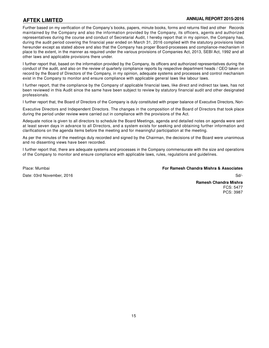Further based on my verification of the Company's books, papers, minute books, forms and returns filed and other Records maintained by the Company and also the information provided by the Company, its officers, agents and authorized representatives during the course and conduct of Secretarial Audit, I hereby report that in my opinion, the Company has, during the audit period covering the financial year ended on March 31, 2016 complied with the statutory provisions listed hereunder except as stated above and also that the Company has proper Board-processes and compliance-mechanism in place to the extent, in the manner as required under the various provisions of Companies Act, 2013, SEBI Act, 1992 and all other laws and applicable provisions there under.

I further report that, based on the information provided by the Company, its officers and authorized representatives during the conduct of the audit, and also on the review of quarterly compliance reports by respective department heads / CEO taken on record by the Board of Directors of the Company, in my opinion, adequate systems and processes and control mechanism exist in the Company to monitor and ensure compliance with applicable general laws like labour laws.

I further report, that the compliance by the Company of applicable financial laws, like direct and indirect tax laws, has not been reviewed in this Audit since the same have been subject to review by statutory financial audit and other designated professionals.

I further report that, the Board of Directors of the Company is duly constituted with proper balance of Executive Directors, Non-

Executive Directors and Independent Directors. The changes in the composition of the Board of Directors that took place during the period under review were carried out in compliance with the provisions of the Act.

Adequate notice is given to all directors to schedule the Board Meetings, agenda and detailed notes on agenda were sent at least seven days in advance to all Directors, and a system exists for seeking and obtaining further information and clarifications on the agenda items before the meeting and for meaningful participation at the meeting.

As per the minutes of the meetings duly recorded and signed by the Chairman, the decisions of the Board were unanimous and no dissenting views have been recorded.

I further report that, there are adequate systems and processes in the Company commensurate with the size and operations of the Company to monitor and ensure compliance with applicable laws, rules, regulations and guidelines.

Date: 03rd November, 2016 Sd/-

Place: Mumbai **For Ramesh Chandra Mishra & Associates**

**Ramesh Chandra Mishra** FCS: 5477 PCS: 3987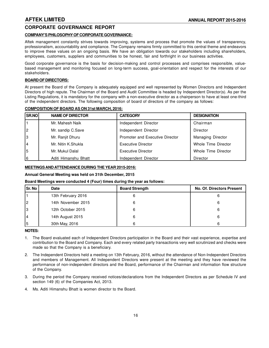# **CORPORATE GOVERNANCE REPORT**

### **COMPANY'S PHILOSOPHY OF CORPORATE GOVERNANCE:**

Aftek management constantly strives towards improving, systems and process that promote the values of transparency, professionalism, accountability and compliance. The Company remains firmly committed to this central theme and endeavors to improve these values on an ongoing basis. We have an obligation towards our stakeholders including shareholders, employees, customers, suppliers and communities to be honest, fair and forthright in our business activities.

Good corporate governance is the basis for decision-making and control processes and comprises responsible, valuebased management and monitoring focused on long-term success, goal-orientation and respect for the interests of our stakeholders.

### **BOARD OF DIRECTORS:**

At present the Board of the Company is adequately equipped and well represented by Women Directors and Independent Directors of high repute. The Chairman of the Board and Audit Committee is headed by Independent Director(s). As per the Listing Regulations, it is mandatory for the company with a non-executive director as a chairperson to have at least one-third of the independent directors. The following composition of board of directors of the company as follows:

| SR.NO          | <b>NAME OF DIRECTOR</b> | <b>CATEGORY</b>                 | <b>DESIGNATION</b>  |
|----------------|-------------------------|---------------------------------|---------------------|
|                | Mr. Mahesh Naik         | Independent Director            | Chairman            |
| $\overline{2}$ | Mr. sandip C.Save       | Independent Director            | Director            |
| 3              | Mr. Ranjit Dhuru        | Promoter and Executive Director | Managing Director   |
| $\overline{4}$ | Mr. Nitin K.Shukla      | <b>Executive Director</b>       | Whole Time Director |
| 5              | Mr. Mukul Dalal         | <b>Executive Director</b>       | Whole Time Director |
| 6              | Aditi Himanshu Bhatt    | Independent Director            | Director            |

#### **COMPOSITION OF BOARD AS ON 31st MARCH, 2016:**

### **MEETINGS AND ATTENDANCE DURING THE YEAR 2015-2016:**

#### **Annual General Meeting was held on 31th December, 2015**

#### **Board Meetings were conducted 4 (Four) times during the year as follows:**

| Sr. No         | Date               | <b>Board Strength</b> | <b>No. Of. Directors Present</b> |
|----------------|--------------------|-----------------------|----------------------------------|
|                | 13th February 2016 |                       |                                  |
| $\overline{c}$ | 14th November 2015 |                       |                                  |
| 3              | 12th October 2015  |                       |                                  |
| 4              | 14th August 2015   | 6                     |                                  |
| 5              | 30th May, 2016     | 6                     |                                  |

#### **NOTES:**

- 1. The Board evaluated each of Independent Directors participation in the Board and their vast experience, expertise and contribution to the Board and Company. Each and every related party transactionis very well scrutinized and checks were made so that the Company is a beneficiary.
- 2. The Independent Directors held a meeting on 13th February, 2016, without the attendance of Non-Independent Directors and members of Management. All Independent Directors were present at the meeting and they have reviewed the performance of non-independent directors and the Board, performance of the Chairman and information flow structure of the Company.
- 3. During the period the Company received notices/declarations from the Independent Directors as per Schedule IV and section 149 (6) of the Companies Act, 2013.
- 4. Ms. Aditi Himanshu Bhatt is women director to the Board.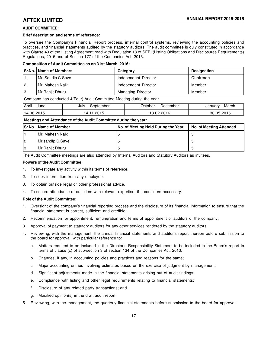### **AUDIT COMMITTEE:**

#### **Brief description and terms of reference:**

To oversee the Company's Financial Report process, internal control systems, reviewing the accounting policies and practices, and financial statements audited by the statutory auditors. The audit committee is duly constituted in accordance with Clause 49 of the Listing Agreement read with Regulation 18 of SEBI (Listing Obligations and Disclosures Requirements) Regulations, 2015 and of Section 177 of the Companies Act, 2013.

#### **Composition of Audit Committee as on 31st March, 2016:**

|            | <b>Sr.No.   Name of Members</b> | Category                 | <b>Designation</b> |
|------------|---------------------------------|--------------------------|--------------------|
|            | Mr. Sandip C.Save               | Independent Director     | Chairman           |
| I2.        | l Mr. Mahesh Naik               | Independent Director     | Member             |
| $\vert 3.$ | l Mr.Raniit Dhuru               | <b>Managing Director</b> | Member             |

Company has conducted 4(Four) Audit Committee Meeting during the year.

| April<br>June     | ptember<br>July -<br>- ہم . | ⊃ecember<br>юe | March<br>$\sim$ $\sim$ $\sim$ $\sim$ $\sim$<br>January |
|-------------------|-----------------------------|----------------|--------------------------------------------------------|
| - הוופ<br>114 O.R | ∍ר<br>4                     | nn.            | ነበ16<br>ハト<br>30                                       |

#### **Meetings and Attendance of the Audit Committee during the year:**

| <b>ISr.No</b> | Name of Member   | No. of Meeting Held During the Year | <b>No. of Meeting Attended</b> |
|---------------|------------------|-------------------------------------|--------------------------------|
|               | IMr. Mahesh Naik |                                     |                                |
| l2            | Mr.sandip C.Save |                                     |                                |
| IЗ            | Mr.Ranjit Dhuru  |                                     |                                |

The Audit Committee meetings are also attended by Internal Auditors and Statutory Auditors as invitees.

#### **Powers of the Audit Committee:**

- 1. To investigate any activity within its terms of reference.
- 2. To seek information from any employee.
- 3. To obtain outside legal or other professional advice.
- 4. To secure attendance of outsiders with relevant expertise, if it considers necessary.

#### **Role of the Audit Committee:**

- 1. Oversight of the company's financial reporting process and the disclosure of its financial information to ensure that the financial statement is correct, sufficient and credible;
- 2. Recommendation for appointment, remuneration and terms of appointment of auditors of the company;
- 3. Approval of payment to statutory auditors for any other services rendered by the statutory auditors;
- 4. Reviewing, with the management, the annual financial statements and auditor's report thereon before submission to the board for approval, with particular reference to:
	- a. Matters required to be included in the Director's Responsibility Statement to be included in the Board's report in terms of clause (c) of sub-section 3 of section 134 of the Companies Act, 2013;
	- b. Changes, if any, in accounting policies and practices and reasons for the same;
	- c. Major accounting entries involving estimates based on the exercise of judgment by management;
	- d. Significant adjustments made in the financial statements arising out of audit findings;
	- e. Compliance with listing and other legal requirements relating to financial statements;
	- f. Disclosure of any related party transactions; and
	- g. Modified opinion(s) in the draft audit report.
- 5. Reviewing, with the management, the quarterly financial statements before submission to the board for approval;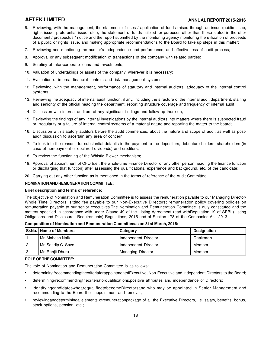- 6. Reviewing, with the management, the statement of uses / application of funds raised through an issue (public issue, rights issue, preferential issue, etc.), the statement of funds utilized for purposes other than those stated in the offer document / prospectus / notice and the report submitted by the monitoring agency monitoring the utilization of proceeds of a public or rights issue, and making appropriate recommendations to the Board to take up steps in this matter;
- 7. Reviewing and monitoring the auditor's independence and performance, and effectiveness of audit process;
- 8. Approval or any subsequent modification of transactions of the company with related parties;
- 9. Scrutiny of inter-corporate loans and investments;
- 10. Valuation of undertakings or assets of the company, wherever it is necessary;
- 11. Evaluation of internal financial controls and risk management systems;
- 12. Reviewing, with the management, performance of statutory and internal auditors, adequacy of the internal control systems;
- 13. Reviewing the adequacy of internal audit function, if any, including the structure of the internal audit department, staffing and seniority of the official heading the department, reporting structure coverage and frequency of internal audit;
- 14. Discussion with internal auditors of any significant findings and follow up there on;
- 15. Reviewing the findings of any internal investigations by the internal auditors into matters where there is suspected fraud or irregularity or a failure of internal control systems of a material nature and reporting the matter to the board;
- 16. Discussion with statutory auditors before the audit commences, about the nature and scope of audit as well as postaudit discussion to ascertain any area of concern;
- 17. To look into the reasons for substantial defaults in the payment to the depositors, debenture holders, shareholders (in case of non-payment of declared dividends) and creditors;
- 18. To review the functioning of the Whistle Blower mechanism;
- 19. Approval of appointment of CFO (i.e., the whole-time Finance Director or any other person heading the finance function or discharging that function) after assessing the qualifications, experience and background, etc. of the candidate;
- 20. Carrying out any other function as is mentioned in the terms of reference of the Audit Committee.

#### **NOMINATION AND REMUNERATION COMMITTEE:**

#### **Brief description and terms of reference:**

The objective of Nomination and Remuneration Committee is to assess the remuneration payable to our Managing Director/ Whole Time Directors; sitting fee payable to our Non-Executive Directors; remuneration policy covering policies on remuneration payable to our senior executives.The Nomination and Remuneration Committee is duly constituted and the matters specified in accordance with under Clause 49 of the Listing Agreement read withRegulation 19 of SEBI (Listing Obligations and Disclosures Requirements) Regulations, 2015 and of Section 178 of the Companies Act, 2013.

**Composition of Nomination and Remuneration Committeeas on 31st March, 2016:**

|    | <b>Sr.No.   Name of Members</b> | Category                 | <b>Designation</b> |
|----|---------------------------------|--------------------------|--------------------|
|    | IMr. Mahesh Naik                | Independent Director     | Chairman           |
| 12 | Mr. Sandip C. Save              | Independent Director     | Member             |
| 13 | Mr. Ranjit Dhuru                | <b>Managing Director</b> | Member             |

#### **ROLE OF THE COMMITTEE:**

The role of Nomination and Remuneration Committee is as follows:

- determining/recommendingthecriteriaforappointmentofExecutive, Non-Executive and Independent Directors to the Board;
- determining/recommendingthecriteriaforqualifications,positive attributes and independence of Directors;
- identifyingcandidateswhoarequalifiedtobecomeDirectorsand who may be appointed in Senior Management and recommending to the Board their appointment and removal;
- reviewinganddeterminingallelements ofremunerationpackage of all the Executive Directors, i.e. salary, benefits, bonus, stock options, pension, etc.;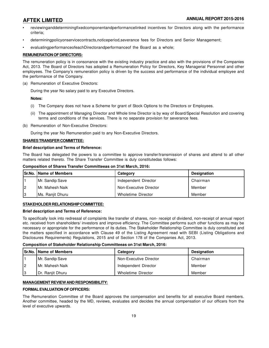- reviewinganddeterminingfixedcomponentandperformancelinked incentives for Directors along with the performance criteria;
- determiningpolicyonservicecontracts,noticeperiod,severance fees for Directors and Senior Management;
- evaluatingperformanceofeachDirectorandperformanceof the Board as a whole;

#### **REMUNERATION OF DIRECTORS:**

The remuneration policy is in consonance with the existing industry practice and also with the provisions of the Companies Act, 2013. The Board of Directors has adopted a Remuneration Policy for Directors, Key Managerial Personnel and other employees. The Company's remuneration policy is driven by the success and performance of the individual employee and the performance of the Company.

(a) Remuneration of Executive Directors:

During the year No salary paid to any Executive Directors.

**Notes:**

- (i) The Company does not have a Scheme for grant of Stock Options to the Directors or Employees.
- (ii) The appointment of Managing Director and Whole time Director is by way of Board/Special Resolution and covering terms and conditions of the services. There is no separate provision for severance fees.
- (b) Remuneration of Non-Executive Directors:

During the year No Remuneration paid to any Non-Executive Directors.

#### **SHARES TRANSFER COMMITTEE:**

#### **Brief description and Terms of Reference:**

The Board has delegated the powers to a committee to approve transfer/transmission of shares and attend to all other matters related thereto. The Share Transfer Committee is duly constitutedas follows:

**Composition of Shares Transfer Committeeas on 31st March, 2016:**

|    | Sr.No.   Name of Members | Category               | <b>Designation</b> |
|----|--------------------------|------------------------|--------------------|
|    | Mr. Sandip Save          | Independent Director   | Chairman           |
| 2  | IMr. Mahesh Naik         | Non-Executive Director | Member             |
| 13 | <b>IMs. Raniit Dhuru</b> | Wholetime Director     | Member             |

### **STAKEHOLDER RELATIONSHIP COMMITTEE:**

#### **Brief description and Terms of Reference:**

To specifically look into redressal of complaints like transfer of shares, non- receipt of dividend, non-receipt of annual report etc. received from shareholders/ investors and improve efficiency. The Committee performs such other functions as may be necessary or appropriate for the performance of its duties. The Stakeholder Relationship Committee is duly constituted and the matters specified in accordance with Clause 49 of the Listing Agreement read with SEBI (Listing Obligations and Disclosures Requirements) Regulations, 2015 and of Section 178 of the Companies Act, 2013.

#### **Composition of Stakeholder Relationship Committeeas on 31st March, 2016:**

|    | <b>Sr.No.   Name of Members</b> | Category               | <b>Designation</b> |
|----|---------------------------------|------------------------|--------------------|
|    | Mr. Sandip Save                 | Non-Executive Director | Chairman           |
| l2 | l Mr. Mahesh Naik               | Independent Director   | Member             |
| 3  | Dr. Ranjit Dhuru                | Wholetime Director     | Member             |

### **MANAGEMENT REVIEW AND RESPONSIBILITY:**

### **FORMAL EVALUATION OF OFFICERS:**

The Remuneration Committee of the Board approves the compensation and benefits for all executive Board members. Another committee, headed by the MD, reviews, evaluates and decides the annual compensation of our officers from the level of executive upwards.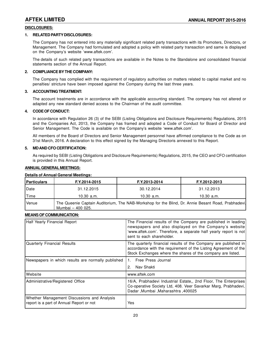### **DISCLOSURES:**

#### **1. RELATED PARTY DISCLOSURES:**

The Company has not entered into any materially significant related party transactions with its Promoters, Directors, or Management. The Company had formulated and adopted a policy with related party transaction and same is displayed on the Company's website 'www.aftek.com'.

The details of such related party transactions are available in the Notes to the Standalone and consolidated financial statements section of the Annual Report.

#### **2. COMPLIANCE BY THE COMPANY:**

The Company has complied with the requirement of regulatory authorities on matters related to capital market and no penalties/ stricture have been imposed against the Company during the last three years.

#### **3. ACCOUNTING TREATMENT:**

The account treatments are in accordance with the applicable accounting standard. The company has not altered or adapted any new standard denied access to the Chairman of the audit committee.

#### **4. CODE OF CONDUCT:**

In accordance with Regulation 26 (3) of the SEBI (Listing Obligations and Disclosure Requirements) Regulations, 2015 and the Companies Act, 2013, the Company has framed and adopted a Code of Conduct for Board of Director and Senior Management. The Code is available on the Company's website 'www.aftek.com'.

All members of the Board of Directors and Senior Management personnel have affirmed compliance to the Code as on 31st March, 2016. A declaration to this effect signed by the Managing Directoris annexed to this Report.

#### **5. MD AND CFO CERTIFICATION:**

As required by SEBI (Listing Obligations and Disclosure Requirements) Regulations, 2015, the CEO and CFO certification is provided in this Annual Report.

#### **ANNUAL GENERAL MEETINGS:**

#### **Details of Annual General Meetings:**

| <b>Particulars</b> | F.Y.2014-2015     | F.Y.2013-2014 | F.Y.2012-2013                                                                                      |
|--------------------|-------------------|---------------|----------------------------------------------------------------------------------------------------|
| l Date             | 31.12.2015        | 30.12.2014    | 31.12.2013                                                                                         |
| Time               | 10.30 $a.m.$      | $10.30$ a.m.  | $10.30$ a.m.                                                                                       |
| Venue              | Mumbai - 400 025. |               | The Queenie Captain Auditorium, The NAB-Workshop for the Blind, Dr. Annie Besant Road, Prabhadevi, |

#### **MEANS OF COMMUNICATION:**

| Half Yearly Financial Report                                                            | The Financial results of the Company are published in leading<br>newspapers and also displayed on the Company's website<br>'www.aftek.com'. Therefore, a separate half yearly report is not<br>sent to each shareholder. |
|-----------------------------------------------------------------------------------------|--------------------------------------------------------------------------------------------------------------------------------------------------------------------------------------------------------------------------|
| <b>Quarterly Financial Results</b>                                                      | The quarterly financial results of the Company are published in<br>accordance with the requirement of the Listing Agreement of the<br>Stock Exchanges where the shares of the company are listed.                        |
| Newspapers in which results are normally published                                      | Free Press Journal                                                                                                                                                                                                       |
|                                                                                         | Nav Shakti                                                                                                                                                                                                               |
| l Website                                                                               | www.aftek.com                                                                                                                                                                                                            |
| Administrative/Registered Office                                                        | 16/A, Prabhadevi Industrial Estate,, 2nd Floor, The Enterprises<br>Co-operative Society Ltd, 408. Veer Savarkar Marg, Prabhadevi,<br>Dadar , Mumbai , Maharashtra , 400025                                               |
| Whether Management Discussions and Analysis<br>report is a part of Annual Report or not | Yes                                                                                                                                                                                                                      |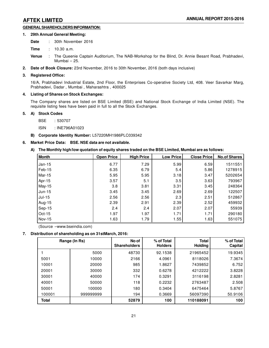### **GENERAL SHAREHOLDERS INFORMATION:**

#### **1. 29th Annual General Meeting:**

Date : 30th November 2016

**Time** : 10.30 a.m.

**Venue** : The Queenie Captain Auditorium, The NAB-Workshop for the Blind, Dr. Annie Besant Road, Prabhadevi, Mumbai – 25.

**2. Date of Book Closure:** 23rd November, 2016 to 30th November, 2016 (both days inclusive)

#### **3. Registered Office:**

16/A, Prabhadevi Industrial Estate, 2nd Floor, the Enterprises Co-operative Society Ltd, 408. Veer Savarkar Marg, Prabhadevi, Dadar , Mumbai , Maharashtra , 400025

#### **4. Listing of Shares on Stock Exchanges:**

The Company shares are listed on BSE Limited (BSE) and National Stock Exchange of India Limited (NSE). The requisite listing fees have been paid in full to all the Stock Exchanges.

#### **5. A) Stock Codes**

BSE : 530707

ISIN : INE796A01023

#### **B) Corporate Identity Number:** L57220MH1986PLC039342

### **6. Market Price Data: BSE. NSE data are not available.**

**A) The Monthly high/low quotation of equity shares traded on the BSE Limited, Mumbai are as follows:**

| Month          | <b>Open Price</b> | <b>High Price</b> | <b>Low Price</b> | <b>Close Price</b> | <b>No.of Shares</b> |
|----------------|-------------------|-------------------|------------------|--------------------|---------------------|
| $\vert$ Jan-15 | 6.77              | 7.29              | 5.99             | 6.59               | 1511551             |
| Feb-15         | 6.35              | 6.79              | 5.4              | 5.86               | 1278915             |
| Mar-15         | 5.95              | 5.95              | 3.18             | 3.47               | 5202654             |
| Apr-15         | 3.57              | 5.1               | 3.5              | 3.63               | 793967              |
| May-15         | 3.8               | 3.81              | 3.31             | 3.45               | 248364              |
| Jun-15         | 3.45              | 3.45              | 2.69             | 2.69               | 122507              |
| Jul-15         | 2.56              | 2.56              | 2.3              | 2.51               | 512867              |
| Aug-15         | 2.39              | 2.91              | 2.39             | 2.52               | 459932              |
| Sep-15         | 2.4               | 2.4               | 2.07             | 2.07               | 55939               |
| $\vert$ Oct-15 | 1.97              | 1.97              | 1.71             | 1.71               | 290180              |
| Nov-15         | 1.63              | 1.79              | 1.55             | 1.63               | 551075              |

(Source –www.bseindia.com)

### **7. Distribution of shareholding as on 31stMarch, 2016:**

|        | Range (In Rs) | No of<br><b>Shareholders</b> | % of Total<br><b>Holders</b> | <b>Total</b><br><b>Holding</b> | $%$ of Total<br>Capital |
|--------|---------------|------------------------------|------------------------------|--------------------------------|-------------------------|
|        | 5000          | 48730                        | 92.1538                      | 21965452                       | 19.9345                 |
| 5001   | 10000         | 2166                         | 4.0961                       | 8118026                        | 7.3674                  |
| 10001  | 20000         | 985                          | 1.8627                       | 7439852                        | 6.752                   |
| 20001  | 30000         | 332                          | 0.6278                       | 4212222                        | 3.8228                  |
| 30001  | 40000         | 174                          | 0.3291                       | 3116198                        | 2.8281                  |
| 40001  | 50000         | 118                          | 0.2232                       | 2763487                        | 2.508                   |
| 50001  | 100000        | 180                          | 0.3404                       | 6475464                        | 5.8767                  |
| 100001 | 999999999     | 194                          | 0.3669                       | 56097390                       | 50.9106                 |
| Total  |               | 52879                        | 100                          | 110188091                      | 100                     |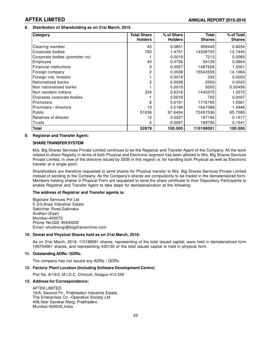### **8. Distribution of Shareholding as on 31st March, 2016**

| Category                       | <b>Total Share</b><br><b>Holders</b> | % of Share<br><b>Holders</b> | <b>Total</b><br><b>Shares</b> | % of Total<br><b>Shares</b> |
|--------------------------------|--------------------------------------|------------------------------|-------------------------------|-----------------------------|
| Clearing member                | 45                                   | 0.0851                       | 909449                        | 0.8254                      |
| Corporate bodies               | 780                                  | 1.4751                       | 14538755                      | 13.1945                     |
| Corporate bodies (promoter co) |                                      | 0.0019                       | 7213                          | 0.0065                      |
| Employee                       | 40                                   | 0.0756                       | 94126                         | 0.0854                      |
| <b>Financial institutions</b>  | 3                                    | 0.0057                       | 1487626                       | 1.3501                      |
| Foreign company                | 2                                    | 0.0038                       | 15543559                      | 14.1064                     |
| Foreign inst. Investor         |                                      | 0.0019                       | 335                           | 0.0003                      |
| Nationalised banks             | 2                                    | 0.0038                       | 2550                          | 0.0023                      |
| Non nationalised banks         |                                      | 0.0019                       | 5000                          | 0.00456                     |
| Non resident indians           | 334                                  | 0.6316                       | 1440375                       | 1.3072                      |
| Overseas corporate bodies      |                                      | 0.0019                       | 750                           | 0.0007                      |
| Promoters                      | 8                                    | 0.0151                       | 1716795                       | 1.5581                      |
| Promoters / directors          | 10                                   | 0.0189                       | 1647088                       | 1.4948                      |
| Public                         | 51636                                | 97.6494                      | 72457536                      | 65.7580                     |
| Relatives of director          | 12                                   | 0.0227                       | 167184                        | 0.1517                      |
| Trusts                         | 3                                    | 0.0057                       | 169750                        | 0.1541                      |
| <b>Total</b>                   | 52879                                | 100.000                      | 110188091                     | 100.000                     |

#### **9. Registrar and Transfer Agent:**

#### **SHARE TRANSFER SYSTEM**

M/s. Big Shares Services Private Limited continues to be the Registrar and Transfer Agent of the Company. All the work related to share Registry in terms of both Physical and Electronic segment has been allotted to M/s. Big Shares Services Private Limited, in view of the directive issued by SEBI in this regard i.e. for handling both Physical as well as Electronic transfer at a single point.

Shareholders are therefore requested to send shares for Physical transfer to M/s. Big Shares Services Private Limited instead of sending to the Company. As the Company's shares are compulsorily to be traded in the dematerialized form. Members holding shares in Physical Form are requested to send the share certificate to their Depository Participants to enable Registrar and Transfer Agent to take steps for dematerialization at the following:

#### **The address of Registrar and Transfer agents is:**

Bigshare Services Pvt Ltd E-2/3,Ansa Industrial Estate Sakivihar Road,Sakinaka Andheri-(East) Mumbai-400072 Phone No:022 40430200 Email:-shubhangi@bigshareonline.com

#### **10. Demat and Physical Shares held as on 31st March, 2016:**

As on 31st March, 2016: 110188091 shares, representing of the total issued capital, were held in dematerialized form 109754961 shares, and representing 433130 of the total issued capital is held in physical form.

#### **11. Outstanding ADRs / GDRs:**

The company has not issued any ADRs / GDRs

#### **12. Factory/ Plant Location (Including Software Development Centre)**

Plot No. A/19/2, M.I.D.C. Chincoli, Solapur-413 255

#### **13. Address for Correspondence:**

AFTEK LIMITED 16/A, Second Flr., Prabhadevi Industrial Estate, The Enterprises Co –Operative Society Ltd 408,Veer Savakar Marg, Prabhadevi, Mumbai-400025,India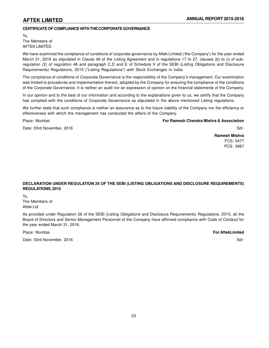### **CERTIFICATE OF COMPLIANCE WITH THE CORPORATE GOVERNANCE**

To, The Members of AFTEK LIMITED

We have examined the compliance of conditions of corporate governance by Aftek Limited ('the Company') for the year ended March 31, 2016 as stipulated in Clause 49 of the Listing Agreement and in regulations 17 to 27, clauses (b) to (i) of subregulation (2) of regulation 46 and paragraph C,D and E of Schedule V of the SEBI (Listing Obligations and Disclosure Requirements) Regulations, 2015 ("Listing Regulations") with Stock Exchanges in India.

The compliance of conditions of Corporate Governance is the responsibility of the Company's management. Our examination was limited to procedures and implementation thereof, adopted by the Company for ensuring the compliance of the conditions of the Corporate Governance. It is neither an audit nor an expression of opinion on the financial statements of the Company.

In our opinion and to the best of our information and according to the explanations given to us, we certify that the Company has complied with the conditions of Corporate Governance as stipulated in the above mentioned Listing regulations.

We further state that such compliance is neither an assurance as to the future viability of the Company nor the efficiency or effectiveness with which the management has conducted the affairs of the Company.

#### Place: Mumbai **For Ramesh Chandra Mishra & Association**

Date: 03rd November, 2016 Sd/-

**Ramesh Mishra** FCS: 5477 PCS: 3987

### **DECLARATION UNDER REGULATION 26 OF THE SEBI (LISTING OBLIGATIONS AND DISCLOSURE REQUIREMENTS) REGULATIONS, 2015**

To,

The Members of Aftek Ltd

As provided under Regulation 26 of the SEBI (Listing Obligations and Disclosure Requirements) Regulations, 2015, all the Board of Directors and Senior Management Personnel of the Company have affirmed compliance with Code of Conduct for the year ended March 31, 2016.

Place: Mumbai **For AftekLimited**

Date: 03rd November, 2016 Sd/-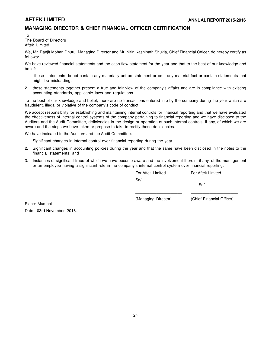# **MANAGING DIRECTOR & CHIEF FINANCIAL OFFICER CERTIFICATION**

To

The Board of Directors Aftek Limited

We, Mr. Ranjit Mohan Dhuru, Managing Director and Mr. Nitin Kashinath Shukla, Chief Financial Officer, do hereby certify as follows:

We have reviewed financial statements and the cash flow statement for the year and that to the best of our knowledge and belief:

- 1 these statements do not contain any materially untrue statement or omit any material fact or contain statements that might be misleading;
- 2. these statements together present a true and fair view of the company's affairs and are in compliance with existing accounting standards, applicable laws and regulations.

To the best of our knowledge and belief, there are no transactions entered into by the company during the year which are fraudulent, illegal or violative of the company's code of conduct.

We accept responsibility for establishing and maintaining internal controls for financial reporting and that we have evaluated the effectiveness of internal control systems of the company pertaining to financial reporting and we have disclosed to the Auditors and the Audit Committee, deficiencies in the design or operation of such internal controls, if any, of which we are aware and the steps we have taken or propose to take to rectify these deficiencies.

We have indicated to the Auditors and the Audit Committee:

- 1. Significant changes in internal control over financial reporting during the year;
- 2. Significant changes in accounting policies during the year and that the same have been disclosed in the notes to the financial statements; and
- 3. Instances of significant fraud of which we have become aware and the involvement therein, if any, of the management or an employee having a significant role in the company's internal control system over financial reporting.

| For Aftek Limited   | For Aftek Limited         |
|---------------------|---------------------------|
| Sd                  |                           |
|                     | Sd                        |
|                     |                           |
| (Managing Director) | (Chief Financial Officer) |
|                     |                           |
|                     |                           |

Place: Mumbai Date: 03rd November, 2016.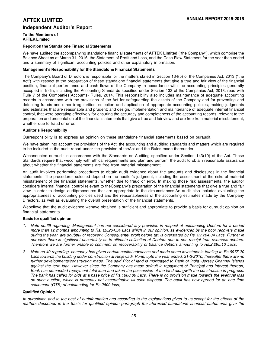# **Independent Auditor's Report**

#### **To the Members of AFTEK Limited**

#### **Report on the Standalone Financial Statements**

We have audited the accompanying standalone financial statements of **AFTEK Limited** ("the Company"), which comprise the Balance Sheet as at March 31, 2016, the Statement of Profit and Loss, and the Cash Flow Statement for the year then ended and a summary of significant accounting policies and other explanatory information.

#### **Management's Responsibility for the Standalone Financial Statements**

The Company's Board of Directors is responsible for the matters stated in Section 134(5) of the Companies Act, 2013 ("the Act") with respect to the preparation of these standalone financial statements that give a true and fair view of the financial position, financial performance and cash flows of the Company in accordance with the accounting principles generally accepted in India, including the Accounting Standards specified under Section 133 of the Companies Act, 2013, read with Rule 7 of the Companies(Accounts) Rules, 2014. This responsibility also includes maintenance of adequate accounting records in accordance with the provisions of the Act for safeguarding the assets of the Company and for preventing and detecting frauds and other irregularities; selection and application of appropriate accounting policies; making judgments and estimates that are reasonable and prudent; and design, implementation and maintenance of adequate internal financial control, that were operating effectively for ensuring the accuracy and completeness of the accounting records, relevant to the preparation and presentation of the financial statements that give a true and fair view and are free from material misstatement, whether due to fraud or error.

#### **Auditor's Responsibility**

Ourresponsibility is to express an opinion on these standalone financial statements based on ouraudit.

We have taken into account the provisions of the Act, the accounting and auditing standards and matters which are required to be included in the audit report under the provision of theAct and the Rules made thereunder.

Weconducted ouraudit in accordance with the Standards on Auditing specified under Section 143(10) of the Act. Those Standards require that wecomply with ethical requirements and plan and perform the audit to obtain reasonable assurance about whether the financial statements are free from material misstatement.

An audit involves performing procedures to obtain audit evidence about the amounts and disclosures in the financial statements. The procedures selected depend on the auditor's judgment, including the assessment of the risks of material misstatement of the financial statements, whether due to fraud or error. In making those risk assessments, the auditor considers internal financial control relevant to theCompany's preparation of the financial statements that give a true and fair view in order to design auditprocedures that are appropriate in the circumstances.An audit also includes evaluating the appropriateness of accounting policies used and the reasonableness of the accounting estimates made by the Company Directors, as well as evaluating the overall presentation of the financial statements.

Webelieve that the audit evidence wehave obtained is sufficient and appropriate to provide a basis for ouraudit opinion on financial statements.

#### **Basis for qualified opinion**

- *1. Note no.39 regarding, Management has not considered any provision in respect of outstanding Debtors for a period more than 12 months amounting to Rs. 29,264.34 Lacs which in our opinion, as evidenced by the poor recovery made during the year, are doubtful of recovery. Consequently, profit before tax is overstated by Rs. 29,264.34 Lacs. Further in our view there is significant uncertainty as to ultimate collection of Debtors due to non-receipt from overseas debtors. Therefore we are further unable to comment on recoverability of balance debtors amounting to Rs.2,295.13 Lacs;*
- *2. Note no.40 regarding, company has given certain capital advances and made some investments totaling to Rs.6975.20 Lacs towards the building under construction at Hinjewadi, Pune, upto the year ended, 31-3-2010, thereafter there are no further developments/construction made. The said Plot of land is mortgaged to Bank of India -Jersey Channel Islands against the term loan. However since the Company has made default in repayment of Principal and Interest thereon, Bank has demanded repayment total loan and taken the possession of the land alongwith the construction in progress. The bank has called for bids at a base price of Rs.1800.00 Lacs. There is no provision made towards the eventual loss on such auction, which is presently not ascertainable till such disposal. The bank has now agreed for an one time settlement (OTS) of outstanding for Rs.2600 lacs;*

#### **Qualified Opinion**

*In ouropinion and to the best of ourinformation and according to the explanations given to us,except for the effects of the matters described in the Basis for qualified opinion paragraph the aforesaid standalone financial statements give the*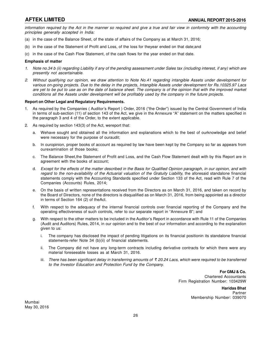*information required by the Act in the manner so required and give a true and fair view in conformity with the accounting principles generally accepted in India:*

- (a) in the case of the Balance Sheet, of the state of affairs of the Company as at March 31, 2016;
- (b) in the case of the Statement of Profit and Loss, of the loss for theyear ended on that date;and
- (c) in the case of the Cash Flow Statement, of the cash flows for the year ended on that date.

#### **Emphasis of matter**

- *1. Note no.34 b (ii) regarding Liability if any of the pending assessment under Sales tax (including interest, if any) which are presently not ascertainable.*
- *2. Without qualifying our opinion, we draw attention to Note No.41 regarding intangible Assets under development for various on-going projects. Due to the delay in the projects, Intangible Assets under development for Rs.10325.97 Lacs are yet to be put to use as on the date of balance sheet. The company is of the opinion that with the improved market conditions all the Assets under development will be profitably used by the company in the future projects.*

#### **Report on Other Legal and Regulatory Requirements.**

- 1. As required by the Companies ( Auditor's Report ) Order, 2016 ("the Order") issued by the Central Government of India in terms of sub-section (11) of section 143 of the Act, we give in the Annexure "A" statement on the matters specified in the paragraph 3 and 4 of the Order, to the extent applicable.
- 2. As required by section 143(3) of the Act, wereport that:
	- a. Wehave sought and obtained all the information and explanations which to the best of ourknowledge and belief were necessary for the purpose of ouraudit;
	- b. In ouropinion, proper books of account as required by law have been kept by the Company so far as appears from ourexamination of those books;
	- c. The Balance Sheet,the Statement of Profit and Loss, and the Cash Flow Statement dealt with by this Report are in agreement with the books of account;
	- d. *Except for the effects of the matter described in the Basis for Qualified Opinion paragraph, in our opinion, and with regard to the non-availability of the Actuarial valuation of the Gratuity Liability,* the aforesaid standalone financial statements comply with the Accounting Standards specified under Section 133 of the Act, read with Rule 7 of the Companies (Accounts) Rules, 2014;
	- e. On the basis of written representations received from the Directors as on March 31, 2016, and taken on record by the Board of Directors, none of the directors is disqualified as on March 31, 2016, from being appointed as a director in terms of Section 164 (2) of theAct.
	- f. With respect to the adequacy of the internal financial controls over financial reporting of the Company and the operating effectiveness of such controls, refer to our separate report in "Annexure B"; and
	- g. With respect to the other matters to be included in the Auditor's Report in accordance with Rule 11 of the Companies (Audit and Auditors) Rules, 2014, in our opinion and to the best of our information and according to the explanation given to us:
		- i. The company has disclosed the impact of pending litigations on its financial positionin its standalone financial statements-refer Note 34 (b)(ii) of financial statements.
		- ii. The Company did not have any long-term contracts including derivative contracts for which there were any material foreseeable losses as at March 31, 2016.
		- iii. There has been significant delay in transferring amounts of ₹ 20.24 Lacs, which were required to be transferred *to the Investor Education and Protection Fund by the Company.*

**For GMJ & Co.** Chartered Accountants Firm Registration Number: 103429W

> **Haridas Bhat** Partner Membership Number: 039070

Mumbai May 30, 2016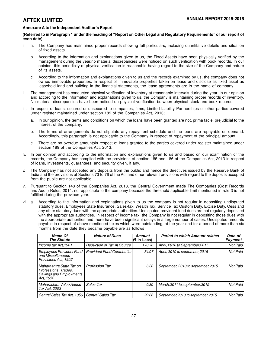### **Annexure A to the Independent Auditor's Report**

#### **(Referred to in Paragraph 1 under the heading of "Report on Other Legal and Regulatory Requirements" of our report of even date)**

- i. a. The Company has maintained proper records showing full particulars, including quantitative details and situation of fixed assets.
	- b. According to the information and explanations given to us, the Fixed Assets have been physically verified by the management during the year,no material discrepancies were noticed on such verification with book records. In our opinion, this periodicity of physical verification is reasonable having regard to the size of the Company and nature of its assets.
	- c. According to the information and explanations given to us and the records examined by us, the company does not owned immovable properties. In respect of immovable properties taken on lease and disclose as fixed asset as leasehold land and building in the financial statements, the lease agreements are in the name of company.
- ii. The management has conducted physical verification of inventory at reasonable intervals during the year. In our opinion and according to the information and explanations given to us, the Company is maintaining proper records of inventory. No material discrepancies have been noticed on physical verification between physical stock and book records.
- iii. In respect of loans, secured or unsecured to companies, firms, Limited Liability Partnerships or other parties covered under register maintained under section 189 of the Companies Act, 2013;
	- a. In our opinion, the terms and conditions on which the loans have been granted are not, prima facie, prejudicial to the interest of the company;
	- b. The terms of arrangements do not stipulate any repayment schedule and the loans are repayable on demand. Accordingly, this paragraph is not applicable to the Company in respect of repayment of the principal amount.
	- c. There are no overdue amountsin respect of loans granted to the parties covered under register maintained under section 189 of the Companies Act, 2013.
- iv. In our opinion and according to the information and explanations given to us and based on our examination of the records, the Company has complied with the provisions of section 185 and 186 of the Companies Act, 2013 in respect of loans, investments, guarantees, and security given, if any.
- The Company has not accepted any deposits from the public and hence the directives issued by the Reserve Bank of India and the provisions of Sections 73 to 76 of the Act and other relevant provisions with regard to the deposits accepted from the public are not applicable.
- vi. Pursuant to Section 148 of the Companies Act, 2013, the Central Government made The Companies (Cost Records and Audit) Rules, 2014, not applicable to the company because the threshold applicable limit mentioned in rule 3 is not fulfilled during the previous year.
- vii. a. According to the information and explanations given to us the company is not regular in depositing undisputed statutory dues, Employees State Insurance, Sales-tax, Wealth Tax, Service Tax Custom Duty, Excise Duty, Cess and any other statutory dues with the appropriate authorities. Undisputed provident fund dues are not regularly deposited with the appropriate authorities. In respect of income tax, the Company is not regular in depositing those dues with the appropriate authorities and there have been significant delays in a large number of cases. Undisputed amounts payable in respect of above mentioned taxes which were outstanding, at the year-end for a period of more than six months from the date they became payable are as follows

| Name Of<br><b>The Statute</b>                                                                    | <b>Nature of Dues</b>              | Amount<br>(₹ in Lacs) | <b>Period to which Amount relates</b> | Date of<br>Payment |
|--------------------------------------------------------------------------------------------------|------------------------------------|-----------------------|---------------------------------------|--------------------|
| Income tax Act, 1961                                                                             | Deduction of Tax At Source         | 178.76                | April, 2010 to September, 2015        | Not Paid           |
| <b>Employees Provident Fund</b><br>and Miscellaneous<br>Provisions Act, 1952                     | <b>Provident Fund Contribution</b> | 84.07                 | April, 2010 to september, 2015        | Not Paid           |
| Maharashtra State Tax on<br>Professions, Trades,<br><b>Callings and Employments</b><br>Act. 1952 | <b>Profession Tax</b>              | 6.30                  | September, 2010 to september, 2015    | Not Paid           |
| Maharashtra Value Added<br>Tax Act, 2002                                                         | Sales Tax                          | 0.80                  | March, 2011 to september, 2015        | <b>Not Paid</b>    |
| Central Sales Tax Act. 1956                                                                      | <b>Central Sales Tax</b>           | 22.66                 | September, 2010 to september, 2015    | Not Paid           |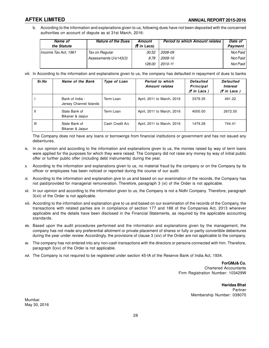b. According to the information and explanations given to us, following dues have not been deposited with the concerned authorities on account of dispute as at 31st March, 2016:

| Name of<br>the Statute | <b>Nature of the Dues</b> | Amount<br>$(5 \in \mathsf{In}$ Lacs) | <b>Period to which Amount relates</b> | Date of<br>Payment |
|------------------------|---------------------------|--------------------------------------|---------------------------------------|--------------------|
| Income Tax Act. 1961   | Tax on Regular            | 30.52                                | 2008-09                               | Not Paid           |
|                        | Assessments U/s143(3)     | 8.78                                 | 2009-10                               | Not Paid I         |
|                        |                           | 128.00                               | 2010-11                               | Not Paid I         |

viii. In According to the information and explanations given to us, the company has defaulted in repayment of dues to banks

| Sr.No         | Name of the Bank                          | Type of Loan    | Period to which<br><b>Amount relates</b> | <b>Defaulted</b><br>Principal<br>$(5$ in Lacs $)$ | <b>Defaulted</b><br><i><b>Interest</b></i><br>$(5$ in Lacs $)$ |
|---------------|-------------------------------------------|-----------------|------------------------------------------|---------------------------------------------------|----------------------------------------------------------------|
|               | Bank of India -<br>Jersey Channel Islands | Term Loan       | April, 2011 to March, 2016               | 3379.35                                           | 491.22                                                         |
| $\mathbf{II}$ | State Bank of<br>Bikaner & Jaipur         | Term Loan       | April, 2011 to March, 2016               | 4000.00                                           | 2672.50                                                        |
| Ш             | State Bank of<br>Bikaner & Jaipur         | Cash Credit A/c | April, 2011 to March, 2016               | 1479.28                                           | 744.41                                                         |

The Company does not have any loans or borrowings from financial institutions or government and has not issued any debentures.

- ix. In our opinion and according to the information and explanations given to us, the monies raised by way of term loans were applied for the purposes for which they were raised. The Company did not raise any money by way of initial public offer or further public offer (including debt instruments) during the year.
- x. According to the information and explanations given to us, no material fraud by the company or on the Company by its officer or employees has been noticed or reported during the course of our audit.
- xi. According to the information and explanation give to us and based on our examination of the records, the Company has not paid/provided for managerial remuneration. Therefore, paragraph 3 (xi) of the Order is not applicable.
- xii. In our opinion and according to the information given to us, the Company is not a Nidhi Company. Therefore, paragraph 3(xii) of the Order is not applicable.
- xiii. According to the information and explanation give to us and based on our examination of the records of the Company, the transactions with related parties are in compliance of section 177 and 188 of the Companies Act, 2013 wherever applicable and the details have been disclosed in the Financial Statements, as required by the applicable accounting standards.
- xiv. Based upon the audit procedures performed and the information and explanations given by the management, the company has not made any preferential allotment or private placement of shares or fully or partly convertible debentures during the year under review. Accordingly, the provisions of clause 3 (xiv) of the Order are not applicable to the company.
- xv. The company has not entered into any non-cash transactions with the directors or persons connected with him. Therefore, paragraph 3(xv) of the Order is not applicable.
- xvi. The Company is not required to be registered under section 45-IA of the Reserve Bank of India Act, 1934.

**ForGMJ& Co.** Chartered Accountants Firm Registration Number: 103429W

> **Haridas Bhat** Partner Membership Number: 039070

Mumbai May 30, 2016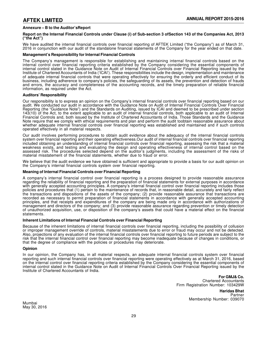### **Annexure – B to the Auditor'sReport**

#### **Report on the Internal Financial Controls under Clause (i) of Sub-section 3 ofSection 143 of the Companies Act, 2013 ("the Act")**

We have audited the internal financial controls over financial reporting of AFTEK Limited ("the Company") as of March 31, 2016 in conjunction with our audit of the standalone financial statements of the Company for the year ended on that date.

#### **Management's Responsibility for Internal Financial Controls**

The Company's management is responsible for establishing and maintaining internal financial controls based on the internal control over financial reporting criteria established by the Company considering the essential components of internal control stated in the Guidance Note on Audit of Internal Financial Controls over Financial Reporting issued by the Institute of Chartered Accountants of India ('ICAI'). These responsibilities include the design, implementation and maintenance of adequate internal financial controls that were operating effectively for ensuring the orderly and efficient conduct of its business, including adherence to company's policies, the safeguarding of its assets, the prevention and detection of frauds and errors, the accuracy and completeness of the accounting records, and the timely preparation of reliable financial information, as required under the Act.

#### **Auditors' Responsibility**

Our responsibility is to express an opinion on the Company's internal financial controls over financial reporting based on our audit. We conducted our audit in accordance with the Guidance Note on Audit of Internal Financial Controls Over Financial Reporting (the "Guidance Note") and the Standards on Auditing, issued by ICAI and deemed to be prescribed under section 143(10) of the Act, to the extent applicable to an audit of internal financial controls, both applicable to an audit of Internal Financial Controls and, both issued by the Institute of Chartered Accountants of India. Those Standards and the Guidance Note require that we comply with ethical requirements and plan and perform the audit toobtain reasonable assurance about whether adequate internal financial controls over financial reporting was established and maintained and if such controls operated effectively in all material respects.

Our audit involves performing procedures to obtain audit evidence about the adequacy of the internal financial controls system over financial reporting and their operating effectiveness.Our audit of internal financial controls over financial reporting included obtaining an understanding of internal financial controls over financial reporting, assessing the risk that a material weakness exists, and testing and evaluating the design and operating effectiveness of internal control based on the assessed risk. The procedures selected depend on the auditor's judgments, including the assessment of the risks of material misstatement of the financial statements, whether due to fraud or error.

We believe that the audit evidence we have obtained is sufficient and appropriate to provide a basis for our audit opinion on the Company's internal financial controls system over financial reporting.

#### **Meaning of Internal Financial Controls over Financial Reporting**

A company's internal financial control over financial reporting is a process designed to provide reasonable assurance regarding the reliability of financial reporting and the preparation of financial statements for external purposes in accordance with generally accepted accounting principles. A company's internal financial control over financial reporting includes those policies and procedures that (1) pertain to the maintenance of records that, in reasonable detail, accurately and fairly reflect the transactions and dispositions of the assets of the company; (2) provide reasonable assurance that transactions are recorded as necessary to permit preparation of financial statements in accordance with generally accepted accounting principles, and that receipts and expenditures of the company are being made only in accordance with authorizations of management and directors of the company; and (3) provide reasonable assurance regarding prevention or timely detection of unauthorized acquisition, use, or disposition of the company's assets that could have a material effect on the financial statements.

#### **Inherent Limitations of Internal Financial Controls over Financial Reporting**

Because of the inherent limitations of internal financial controls over financial reporting, including the possibility of collusion or improper management override of controls, material misstatements due to error or fraud may occur and not be detected. Also, projections of any evaluation of the internal financial controls over financial reporting to future periods are subject to the risk that the internal financial control over financial reporting may become inadequate because of changes in conditions, or that the degree of compliance with the policies or procedures may deteriorate.

#### **Opinion**

In our opinion, the Company has, in all material respects, an adequate internal financial controls system over financial reporting and such internal financial controls over financial reporting were operating effectively as at March 31, 2016, based on the internal control over financial reporting criteria established by the Company considering the essential components of internal control stated in the Guidance Note on Audit of Internal Financial Controls Over Financial Reporting issued by the Institute of Chartered Accountants of India.

> **For GMJ& Co.** Chartered Accountants Firm Registration Number: 103429W

> > **Haridas Bhat** Partner Membership Number: 039070

Mumbai May 30, 2016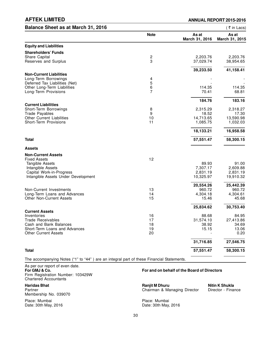| Balance Sheet as at March 31, 2016                           |                         |                         | (₹in Lacs)              |
|--------------------------------------------------------------|-------------------------|-------------------------|-------------------------|
|                                                              | <b>Note</b>             | As at<br>March 31, 2016 | As at<br>March 31, 2015 |
| <b>Equity and Liabilities</b>                                |                         |                         |                         |
| <b>Shareholders' Funds</b>                                   |                         |                         |                         |
| Share Capital                                                | $\overline{\mathbf{c}}$ | 2,203.76                | 2,203.76                |
| Reserves and Surplus                                         | 3                       | 37,029.74               | 38,954.65               |
|                                                              |                         | 39,233.50               | 41,158.41               |
| <b>Non-Current Liabilities</b>                               |                         |                         |                         |
| Long-Term Borrowings                                         | 4                       |                         |                         |
| Deferred Tax Liabilities (Net)                               | $\overline{5}$          |                         |                         |
| Other Long-Term Liabilities                                  | $\frac{6}{7}$           | 114.35                  | 114.35                  |
| Long-Term Provisions                                         |                         | 70.41                   | 68.81                   |
|                                                              |                         | 184.76                  | 183.16                  |
| <b>Current Liabilities</b>                                   |                         |                         |                         |
| Short-Term Borrowings                                        | 8                       | 2,315.29                | 2,318.27                |
| <b>Trade Payables</b>                                        | 9                       | 18.52                   | 17.30                   |
| <b>Other Current Liabilities</b>                             | 10<br>11                | 14,713.65               | 13,590.98               |
| Short-Term Provisions                                        |                         | 1,085.75                | 1,032.03                |
|                                                              |                         | 18,133.21               | 16,958.58               |
| <b>Total</b>                                                 |                         | 57,551.47               | 58,300.15               |
| <b>Assets</b>                                                |                         |                         |                         |
| <b>Non-Current Assets</b>                                    |                         |                         |                         |
| <b>Fixed Assets</b>                                          | 12                      |                         |                         |
| Tangible Assets                                              |                         | 89.93                   | 91.00                   |
| Intangible Assets                                            |                         | 7,307.17                | 2,609.88                |
| Capital Work-in-Progress                                     |                         | 2,831.19                | 2,831.19                |
| Intangible Assets Under Development                          |                         | 10,325.97               | 19,910.32               |
|                                                              |                         | 20,554.26               | 25,442.39               |
| Non-Current Investments                                      | 13                      | 960.72                  | 960.72                  |
| Long-Term Loans and Advances                                 | 14                      | 4,304.18                | 4,304.61                |
| <b>Other Non-Current Assets</b>                              | 15                      | 15.46                   | 45.68                   |
|                                                              |                         | 25,834.62               | 30,753.40               |
| <b>Current Assets</b>                                        |                         |                         |                         |
| Inventories                                                  | 16                      | 88.68                   | 84.95                   |
| <b>Trade Receivables</b>                                     | 17                      | 31,574.10               | 27,413.86               |
| Cash and Bank Balances                                       | 18                      | 38.92                   | 34.69                   |
| Short-Term Loans and Advances<br><b>Other Current Assets</b> | 19<br>20                | 15.15                   | 13.06<br>0.20           |
|                                                              |                         |                         |                         |
|                                                              |                         | 31,716.85               | 27,546.75               |
| <b>Total</b>                                                 |                         | 57,551.47               | 58,300.15               |
|                                                              |                         |                         |                         |

The accompanying Notes ("1" to "44" ) are an integral part of these Financial Statements.

As per our report of even date.<br>For GMJ & Co. Firm Registration Number: 103429W Chartered Accountants

Membership No. 039070

Date: 30th May, 2016

#### **For GMJ & Co. For and on behalf of the Board of Directors**

**Haridas Bhat Ranjit M Dhuru Nitin K Shukla**<br> **Partner Director - Finance Ranjit M Dhuru Chairman & Managing Director · Director - Finance** Chairman & Managing Director

Place: Mumbai <br>
Date: 30th May, 2016 <br>
Date: 30th May, 2016 <br>
Place: Mumbai **Place: Mumbai Place: 20th May, 2016**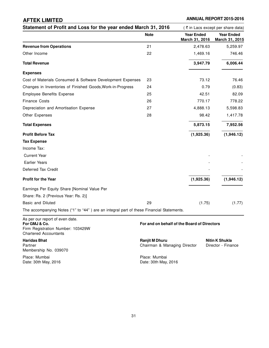| Statement of Profit and Loss for the year ended March 31, 2016                           |             |                                             | (₹ in Lacs except per share data)   |  |
|------------------------------------------------------------------------------------------|-------------|---------------------------------------------|-------------------------------------|--|
|                                                                                          | <b>Note</b> | <b>Year Ended</b><br>March 31, 2016         | <b>Year Ended</b><br>March 31, 2015 |  |
| <b>Revenue from Operations</b>                                                           | 21          | 2,478.63                                    | 5,259.97                            |  |
| Other Income                                                                             | 22          | 1,469.16                                    | 746.46                              |  |
| <b>Total Revenue</b>                                                                     |             | 3,947.79                                    | 6,006.44                            |  |
| <b>Expenses</b>                                                                          |             |                                             |                                     |  |
| Cost of Materials Consumed & Software Development Expenses                               | 23          | 73.12                                       | 76.46                               |  |
| Changes in Inventories of Finished Goods, Work-in-Progress                               | 24          | 0.79                                        | (0.83)                              |  |
| <b>Employee Benefits Expense</b>                                                         | 25          | 42.51                                       | 82.09                               |  |
| <b>Finance Costs</b>                                                                     | 26          | 770.17                                      | 778.22                              |  |
| Depreciation and Amortisation Expense                                                    | 27          | 4,888.13                                    | 5,598.83                            |  |
| Other Expenses                                                                           | 28          | 98.42                                       | 1,417.78                            |  |
| <b>Total Expenses</b>                                                                    |             | 5,873.15                                    | 7,952.56                            |  |
| <b>Profit Before Tax</b>                                                                 |             | (1,925.36)                                  | (1,946.12)                          |  |
| <b>Tax Expense</b>                                                                       |             |                                             |                                     |  |
| Income Tax:                                                                              |             |                                             |                                     |  |
| <b>Current Year</b>                                                                      |             |                                             |                                     |  |
| <b>Earlier Years</b>                                                                     |             |                                             |                                     |  |
| Deferred Tax Credit                                                                      |             |                                             |                                     |  |
| <b>Profit for the Year</b>                                                               |             | (1,925.36)                                  | (1,946.12)                          |  |
| Earnings Per Equity Share [Nominal Value Per                                             |             |                                             |                                     |  |
| Share: Rs. 2 (Previous Year: Rs. 2)]                                                     |             |                                             |                                     |  |
| <b>Basic and Diluted</b>                                                                 | 29          | (1.75)                                      | (1.77)                              |  |
| The accompanying Notes ("1" to "44") are an integral part of these Financial Statements. |             |                                             |                                     |  |
| As per our report of even date.<br>For GMJ & Co.                                         |             | For and on behalf of the Board of Directors |                                     |  |

Firm Registration Number: 103429W Chartered Accountants

Membership No. 039070

Place: Mumbai Place: Mumbai

**Haridas Bhat Nitin K Shukla**<br> **Partner Nitin K Shukla**<br> **Partner Director Director Director Director Chairman & Managing Director Director Pinance** Partner Chairman & Managing Director - Finance Director - Finance Director - Finance Director - Finance Director

Date: 30th May, 2016 **Date: 30th May, 2016**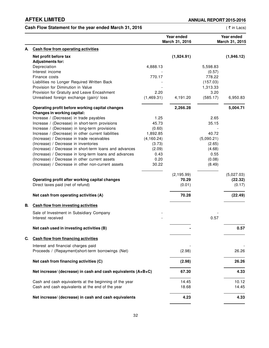# Cash Flow Statement for the year ended March 31, 2016 **and Statement 10 and Statement 10 and Statement** (₹ in Lacs)

|    |                                                               |             | Year ended<br>March 31, 2016 |            | Year ended<br>March 31, 2015 |
|----|---------------------------------------------------------------|-------------|------------------------------|------------|------------------------------|
| А. | <b>Cash flow from operating activities</b>                    |             |                              |            |                              |
|    | Net profit before tax                                         |             | (1,924.91)                   |            | (1,946.12)                   |
|    | <b>Adjustments for:</b>                                       |             |                              |            |                              |
|    | Depreciation                                                  | 4,888.13    |                              | 5,598.83   |                              |
|    | Interest income                                               |             |                              | (0.57)     |                              |
|    | Finance costs                                                 | 770.17      |                              | 778.22     |                              |
|    | Liabilities no Longer Required Written Back                   |             |                              | (157.03)   |                              |
|    | Provision for Diminution in Value                             |             |                              | 1,313.33   |                              |
|    | Provision for Gratuity and Leave Encashment                   | 2.20        |                              | 3.20       |                              |
|    | Unrealised foreign exchange (gain)/ loss                      | (1,469.31)  | 4,191.20                     | (585.17)   | 6,950.83                     |
|    | Operating profit before working capital changes               |             | 2,266.28                     |            | 5,004.71                     |
|    | Changes in working capital:                                   |             |                              |            |                              |
|    | Increase / (Decrease) in trade payables                       | 1.25        |                              | 2.65       |                              |
|    | Increase / (Decrease) in short-term provisions                | 45.73       |                              | 35.15      |                              |
|    | Increase / (Decrease) in long-term provisions                 | (0.60)      |                              |            |                              |
|    | Increase / (Decrease) in other current liabilities            | 1,892.85    |                              | 40.72      |                              |
|    | (Increase) / Decrease in trade receivables                    | (4, 160.24) |                              | (5,090.21) |                              |
|    | (Increase) / Decrease in inventories                          | (3.73)      |                              | (2.65)     |                              |
|    | (Increase) / Decrease in short-term loans and advances        | (2.09)      |                              | (4.68)     |                              |
|    | (Increase) / Decrease in long-term loans and advances         | 0.43        |                              | 0.55       |                              |
|    | (Increase) / Decrease in other current assets                 | 0.20        |                              | (0.08)     |                              |
|    | (Increase) / Decrease in other non-current assets             | 30.22       |                              | (8.49)     |                              |
|    |                                                               |             | (2, 195.99)                  |            | (5,027.03)                   |
|    | Operating profit after working capital changes                |             | 70.29                        |            | (22.32)                      |
|    | Direct taxes paid (net of refund)                             |             | (0.01)                       |            | (0.17)                       |
|    | Net cash from operating activities (A)                        |             | 70.28                        |            | (22.49)                      |
| В. | <b>Cash flow from investing activities</b>                    |             |                              |            |                              |
|    | Sale of Investment in Subsidiary Company                      |             |                              |            |                              |
|    | Interest received                                             |             |                              | 0.57       |                              |
|    | Net cash used in investing activities (B)                     |             |                              |            | 0.57                         |
| C. | Cash flow from financing activities                           |             |                              |            |                              |
|    | Interest and financial charges paid                           |             |                              |            |                              |
|    | Proceeds / (Repayment)short-term borrowings (Net)             |             | (2.98)                       |            | 26.26                        |
|    | Net cash from financing activities (C)                        |             | (2.98)                       |            | 26.26                        |
|    | Net increase/ (decrease) in cash and cash equivalents (A+B+C) |             | 67.30                        |            | 4.33                         |
|    | Cash and cash equivalents at the beginning of the year        |             | 14.45                        |            | 10.12                        |
|    | Cash and cash equivalents at the end of the year              |             | 18.68                        |            | 14.45                        |
|    | Net increase/ (decrease) in cash and cash equivalents         |             | 4.23                         |            | 4.33                         |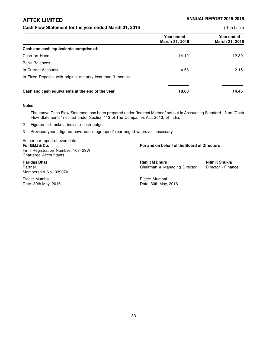### Cash Flow Statement for the year ended March 31, 2016 **and Statement 10 and 10 and 10 and 10 and 10 and 10 and 10** (₹ in Lacs)

|                                                             | Year ended<br>March 31, 2016 | Year ended<br>March 31, 2015 |
|-------------------------------------------------------------|------------------------------|------------------------------|
| Cash and cash equivalents comprise of:                      |                              |                              |
| Cash on Hand                                                | 14.12                        | 12.30                        |
| Bank Balances:                                              |                              |                              |
| In Current Accounts                                         | 4.56                         | 2.15                         |
| In Fixed Deposits with original maturity less than 3 months |                              |                              |
| Cash and cash equivalents at the end of the year            | 18.68                        | 14.45                        |

#### **Notes:**

- 1 The above Cash Flow Statement has been prepared under "Indirect Method" set out in Accounting Standard 3 on "Cash Flow Statements" notified under Section 113 of The Companies Act, 2013, of India.
- 2 Figures in brackets indicate cash outgo.
- 3 Previous year's figures have been regrouped/ rearranged wherever necessary.

As per our report of even date. Firm Registration Number: 103429W Chartered Accountants

Membership No. 039070

Place: Mumbai Place: Mumbai Date: 30th May, 2016 **Date: 30th May, 2016** 

### **For GMJ & Co. For and on behalf of the Board of Directors**

**Haridas Bhat Ranjit M Dhuru Nitin K Shukla** Partner **Chairman & Managing Director - Finance** Director - Finance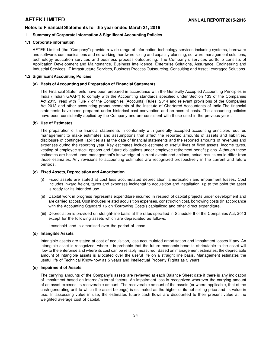# **Notes to Financial Statements for the year ended March 31, 2016**

# **1 Summary of Corporate information & Significant Accounting Policies**

### **1.1 Corporate information**

AFTEK Limited (the "Company") provide a wide range of information technology services including systems, hardware and software, communications and networking, hardware sizing and capacity planning, software management solutions, technology education services and business process outsourcing. The Company's services portfolio consists of Application Development and Maintenance, Business Intelligence, Enterprise Solutions, Assurance, Engineering and Industrial Services, IT Infrastructure Services, Business Process Outsourcing, Consulting and Asset Leveraged Solutions.

### **1.2 Significant Accounting Policies**

# **(a) Basis of Accounting and Preparation of Financial Statements**

The Financial Statements have been prepared in accordance with the Generally Accepted Accounting Principles in India ('Indian GAAP") to comply with the Accounting standards specified under Section 133 of the Companies Act,2013, read with Rule 7 of the Comapnies (Accounts) Rules, 2014 and relevant provisions of the Companies Act,2013 and other accounting pronouncements of the Institute of Chartered Accountants of India.The financial statements have been prepared under historical cost convention and on accrual basis. The accounting policies have been consistently applied by the Company and are consistent with those used in the previous year .

### **(b) Use of Estimates**

The preparation of the financial statements in conformity with generally accepted accounting principles requires management to make estimates and assumptions that affect the reported amounts of assets and liabilities, disclosure of contingent liabilities as at the date of financial statements and the reported amounts of revenues and expenses during the reporting year. Key estimates include estimate of useful lives of fixed assets, income taxes, vesting of employee stock options and future obligations under employee retirement benefit plans. Although these estimates are based upon management's knowledge of current events and actions, actual results could differ from those estimates. Any revisions to accounting estimates are recognized prospectively in the current and future periods.

### **(c) Fixed Assets, Depreciation and Amortisation**

- (i) Fixed assets are stated at cost less accumulated depreciation, amortisation and impairment losses. Cost includes inward freight, taxes and expenses incidental to acquisition and installation, up to the point the asset is ready for its intended use.
- (ii) Capital work in progress represents expenditure incurred in respect of capital projects under development and are carried at cost. Cost includes related acquisition expenses, construction cost, borrowing costs (In accordance with the Accounting Standard 16 on 'Borrowing Costs') capitalized and other direct expenditure.
- (iii) Depreciation is provided on straight-line basis at the rates specified in Schedule II of the Companies Act, 2013 except for the following assets which are depreciated as follows:

Leasehold land is amortised over the period of lease.

## **(d) Intangible Assets**

Intangible assets are stated at cost of acquisition, less accumulated amortisation and impairment losses if any. An intangible asset is recognized, where it is probable that the future economic benefits attributable to the asset will flow to the enterprise and where its cost can be reliably measured. Based on management estimates, the depreciable amount of intangible assets is allocated over the useful life on a straight line basis. Management estimates the useful life of Technical Know-how as 5 years and Intellectual Property Rights as 3 years.

### **(e) Impairment of Assets**

The carrying amounts of the Company's assets are reviewed at each Balance Sheet date if there is any indication of impairment based on internal/external factors. An impairment loss is recognized wherever the carrying amount of an asset exceeds its recoverable amount. The recoverable amount of the assets (or where applicable, that of the cash generating unit to which the asset belongs) is estimated as the higher of its net selling price and its value in use. In assessing value in use, the estimated future cash flows are discounted to their present value at the weighted average cost of capital.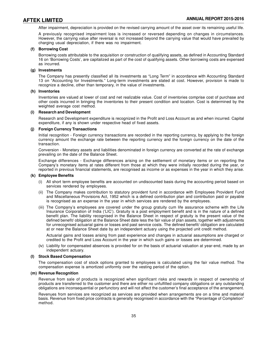After impairment, depreciation is provided on the revised carrying amount of the asset over its remaining useful life.

A previously recognised impairment loss is increased or reversed depending on changes in circumstances. However, the carrying value after reversal is not increased beyond the carrying value that would have prevailed by charging usual depreciation, if there was no impairment.

#### **(f) Borrowing Cost**

Borrowing costs attributable to the acquisition or construction of qualifying assets, as defined in Accounting Standard 16 on 'Borrowing Costs', are capitalized as part of the cost of qualifying assets. Other borrowing costs are expensed as incurred.

#### **(g) Investments**

The Company has presently classified all its investments as "Long Term" in accordance with Accounting Standard 13 on "Accounting for Investments." Long-term investments are stated at cost. However, provision is made to recognize a decline, other than temporary, in the value of investments.

### **(h) Inventories**

Inventories are valued at lower of cost and net realizable value. Cost of inventories comprise cost of purchase and other costs incurred in bringing the inventories to their present condition and location. Cost is determined by the weighted average cost method.

#### **(i) Research and Development**

Research and Development expenditure is recognized in the Profit and Loss Account as and when incurred. Capital expenditure, if any is shown under respective head of fixed assets.

#### **(j) Foreign Currency Transactions**

Initial recognition - Foreign currency transactions are recorded in the reporting currency, by applying to the foreign currency amount the exchange rate between the reporting currency and the foreign currency on the date of the transaction.

Conversion - Monetary assets and liabilities denominated in foreign currency are converted at the rate of exchange prevailing on the date of the Balance Sheet.

Exchange differences - Exchange differences arising on the settlement of monetary items or on reporting the Company's monetary items at rates different from those at which they were initially recorded during the year, or reported in previous financial statements, are recognised as income or as expenses in the year in which they arise.

#### **(k) Employee Benefits**

- (i) All short term employee benefits are accounted on undiscounted basis during the accounting period based on services rendered by employees.
- (ii) The Company makes contribution to statutory provident fund in accordance with Employees Provident Fund and Miscellaneous Provisions Act, 1952 which is a defined contribution plan and contribution paid or payable is recognised as an expense in the year in which services are rendered by the employees.
- (iii) The Company's employees are covered under the group gratuity cum life assurance scheme with the Life Insurance Corporation of India ('LIC'). Gratuity is a post employment benefit and is in the nature of a defined benefit plan. The liability recognised in the Balance Sheet in respect of gratuity is the present value of the defined benefit/ obligation at the Balance Sheet date less the fair value of plan assets, together with adjustments for unrecognised actuarial gains or losses and past service costs. The defined benefit/ obligation are calculated at or near the Balance Sheet date by an independent actuary using the projected unit credit method.

Actuarial gains and losses arising from past experience and changes in actuarial assumptions are charged or credited to the Profit and Loss Account in the year in which such gains or losses are determined.

(iv) Liability for compensated absences is provided for on the basis of actuarial valuation at year-end, made by an independent actuary.

#### **(l) Stock Based Compensation**

The compensation cost of stock options granted to employees is calculated using the fair value method. The compensation expense is amortized uniformly over the vesting period of the option.

### **(m) Revenue Recognition**

Revenue from sale of products is recognized when significant risks and rewards in respect of ownership of products are transferred to the customer and there are either no unfulfilled company obligations or any outstanding obligations are inconsequential or perfunctory and will not affect the customer's final acceptance of the arrangement.

Revenues from services are recognized as services are provided when arrangements are on a time and material basis. Revenue from fixed price contracts is generally recognised in accordance with the "Percentage of Completion" method.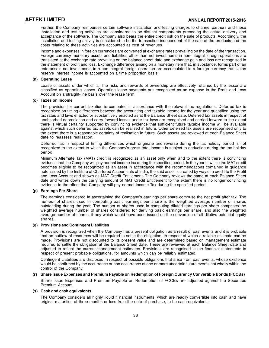Further, the Company reimburses certain software installation and testing charges to channel partners and these installation and testing activities are considered to be distinct components preceding the actual delivery and acceptance of the software. The Company also bears the entire credit risk on the sale of products. Accordingly, the installation and testing activity is considered to be the transaction independent of the sale of the products and the costs relating to these activities are accounted as cost of revenues.

Income and expenses in foreign currencies are converted at exchange rates prevailing on the date of the transaction. Foreign currency monetary assets and liabilities other than net investments in non-integral foreign operations are translated at the exchange rate prevailing on the balance sheet date and exchange gain and loss are recognised in the statement of profit and loss. Exchange difference arising on a monetary item that, in substance, forms part of an enterprise's net investments in a non-integral foreign operation are accumulated in a foreign currency translation reserve Interest income is accounted on a time proportion basis.

### **(n) Operating Lease**

Lease of assets under which all the risks and rewards of ownership are effectively retained by the lessor are classified as operating leases. Operating lease payments are recognized as an expense in the Profit and Loss Account on a straight-line basis over the lease term.

#### **(o) Taxes on Income**

The provision for current taxation is computed in accordance with the relevant tax regulations. Deferred tax is recognised on timing differences between the accounting and taxable income for the year and quantified using the tax rates and laws enacted or substantively enacted as at the Balance Sheet date. Deferred tax assets in respect of unabsorbed depreciation and carry forward losses under tax laws are recognised and carried forward to the extent there is virtual certainty supported by convincing evidence that sufficient future taxable income will be available against which such deferred tax assets can be realised in future. Other deferred tax assets are recognised only to the extent there is a reasonable certainty of realisation in future. Such assets are reviewed at each Balance Sheet date to reassess realisation.

Deferred tax in respect of timing differences which originate and reverse during the tax holiday period is not recognized to the extent to which the Company's gross total income is subject to deduction during the tax holiday period.

Minimum Alternate Tax (MAT) credit is recognized as an asset only when and to the extent there is convincing evidence that the Company will pay normal income tax during the specified period. In the year in which the MAT credit becomes eligible to be recognized as an asset in accordance with the recommendations contained in guidance note issued by the Institute of Chartered Accountants of India, the said asset is created by way of a credit to the Profit and Loss Account and shown as MAT Credit Entitlement. The Company reviews the same at each Balance Sheet date and writes down the carrying amount of MAT Credit Entitlement to the extent there is no longer convincing evidence to the effect that Company will pay normal Income Tax during the specified period.

### **(p) Earnings Per Share**

The earnings considered in ascertaining the Company's earnings per share comprise the net profit after tax. The number of shares used in computing basic earnings per share is the weighted average number of shares outstanding during the year. The number of shares used in computing diluted earnings per share comprises the weighted average number of shares considered for deriving basic earnings per share, and also the weighted average number of shares, if any which would have been issued on the conversion of all dilutive potential equity shares.

### **(q) Provisions and Contingent Liabilities**

A provision is recognized when the Company has a present obligation as a result of past events and it is probable that an outflow of resources will be required to settle the obligation, in respect of which a reliable estimate can be made. Provisions are not discounted to its present value and are determined based on management estimate required to settle the obligation at the Balance Sheet date. These are reviewed at each Balance Sheet date and adjusted to reflect the current management estimates. Provisions are recognised in the financial statements in respect of present probable obligations, for amounts which can be reliably estimated.

Contingent Liabilities are disclosed in respect of possible obligations that arise from past events, whose existence would be confirmed by the occurrence or non occurrence of one or more uncertain future events not wholly within the control of the Company.

### **(r) Share Issue Expenses and Premium Payable on Redemption of Foreign Currency Convertible Bonds (FCCBs)**

Share Issue Expenses and Premium Payable on Redemption of FCCBs are adjusted against the Securities Premium Account.

### **(s) Cash and cash equivalents**

The Company considers all highly liquid fi nancial instruments, which are readily convertible into cash and have original maturities of three months or less from the date of purchase, to be cash equivalents.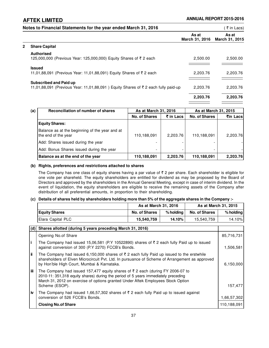|   | Notes to Financial Statements for the year ended March 31, 2016                                                    |                         | ₹ in Lacs)              |
|---|--------------------------------------------------------------------------------------------------------------------|-------------------------|-------------------------|
|   |                                                                                                                    | As at<br>March 31, 2016 | As at<br>March 31, 2015 |
| 2 | <b>Share Capital</b>                                                                                               |                         |                         |
|   | <b>Authorised</b><br>125,000,000 (Previous Year: 125,000,000) Equity Shares of ₹ 2 each                            | 2,500.00                | 2,500.00                |
|   | <b>Issued</b><br>11,01,88,091 (Previous Year: 11,01,88,091) Equity Shares of ₹2 each                               | 2,203.76                | 2,203.76                |
|   | <b>Subscribed and Paid up</b><br>11,01,88,091 (Previous Year: 11,01,88,091) Equity Shares of ₹2 each fully paid-up | 2,203.76                | 2,203.76                |
|   |                                                                                                                    | 2,203.76                | 2,203.76                |

| (a) | Reconciliation of number of shares                                    | As at March 31, 2016     |                            | As at March 31, 2015 |          |
|-----|-----------------------------------------------------------------------|--------------------------|----------------------------|----------------------|----------|
|     |                                                                       | <b>No. of Shares</b>     | $\bar{\mathbf{z}}$ in Lacs | <b>No. of Shares</b> | ₹in Lacs |
|     | <b>Equity Shares:</b>                                                 |                          |                            |                      |          |
|     | Balance as at the beginning of the year and at<br>the end of the year | 110,188,091              | 2,203.76                   | 110,188,091          | 2,203.76 |
|     | Add: Shares issued during the year                                    |                          |                            |                      |          |
|     | Add: Bonus Shares issued during the year                              | $\overline{\phantom{a}}$ |                            | -                    |          |
|     | Balance as at the end of the year                                     | 110,188,091              | 2,203.76                   | 110,188,091          | 2,203.76 |

# **(b) Rights, preferences and restrictions attached to shares**

The Company has one class of equity shares having a par value of  $\bar{\tau}$  2 per share. Each shareholder is eligible for one vote per shareheld. The equity shareholders are entitled for dividend as may be proposed by the Board of Directors and approved by the shareholders in the Annual General Meeting, except in case of interim dividend. In the event of liquidation, the equity shareholders are eligible to receive the remaining assets of the Company after distribution of all preferential amounts, in proportion to their shareholding.

# **(c) Details of shares held by shareholders holding more than 5% of the aggregate shares in the Company :-**

|                   |                      | As at March 31, 2016 |                      | As at March 31, 2015 |
|-------------------|----------------------|----------------------|----------------------|----------------------|
| Equity Shares     | <b>No. of Shares</b> | % holdina            | <b>No. of Shares</b> | $%$ holding          |
| Elara Capital PLC | 15,540,759           | $14.10\%$ .          | 15.540.759           | 14.10%l              |

| (d)  | Shares allotted (during 5 years preceding March 31, 2016)                                                                                                                                                                                                                                  |             |
|------|--------------------------------------------------------------------------------------------------------------------------------------------------------------------------------------------------------------------------------------------------------------------------------------------|-------------|
|      | Opening No.of Share                                                                                                                                                                                                                                                                        | 85,716,731  |
| l i  | The Company had issued 15,06,581 (P.Y 10522890) shares of $\bar{\tau}$ 2 each fully Paid up to issued<br>against conversion of 300 (P.Y 2270) FCCB's Bonds.                                                                                                                                | 1,506,581   |
| ∣ ii | The Company had issued 6,150,000 shares of $\overline{\xi}$ 2 each fully Paid up issued to the erstwhile<br>shareholders of Elven Microcircuit Pvt. Ltd. In pursuance of Scheme of Arrangement as approved<br>by Hon'ble High Court, Mumbai & Karnataka.                                   | 6, 150, 000 |
| iii  | The Company had issued 157,477 equity shares of $\overline{\tau}$ 2 each (during FY 2006-07 to<br>2010-11: 351,318 equity shares) during the period of 5 years immediately preceding<br>March 31, 2012 on exercise of options granted Under Aftek Employees Stock Option<br>Scheme (ESOP). | 157,477     |
| l iv | The Company had issued 1,66,57,302 shares of $\bar{\tau}$ 2 each fully Paid up to issued against                                                                                                                                                                                           |             |
|      | conversion of 526 FCCB's Bonds.                                                                                                                                                                                                                                                            | 1,66,57,302 |
|      | <b>Closing No.of Share</b>                                                                                                                                                                                                                                                                 | 110,188,091 |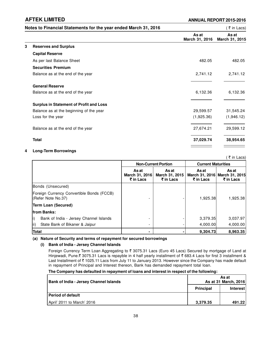|   | Notes to Financial Statements for the year ended March 31, 2016 |                         | ( ₹ in Lacs)            |
|---|-----------------------------------------------------------------|-------------------------|-------------------------|
|   |                                                                 | As at<br>March 31, 2016 | As at<br>March 31, 2015 |
| 3 | <b>Reserves and Surplus</b>                                     |                         |                         |
|   | <b>Capital Reserve</b>                                          |                         |                         |
|   | As per last Balance Sheet                                       | 482.05                  | 482.05                  |
|   | <b>Securities Premium</b>                                       |                         |                         |
|   | Balance as at the end of the year                               | 2,741.12                | 2,741.12                |
|   | <b>General Reserve</b>                                          |                         |                         |
|   | Balance as at the end of the year                               | 6,132.36                | 6,132.36                |
|   | <b>Surplus in Statement of Profit and Loss</b>                  |                         |                         |
|   | Balance as at the beginning of the year                         | 29,599.57               | 31,545.24               |
|   | Loss for the year                                               | (1,925.36)              | (1,946.12)              |
|   | Balance as at the end of the year                               | 27,674.21               | 29,599.12               |
|   | <b>Total</b>                                                    | 37,029.74               | 38,954.65               |
|   |                                                                 |                         |                         |

# **4 Long-Term Borrowings**

|                                                                 |                                      |                                      |                    | ्र in Lacs)                                         |
|-----------------------------------------------------------------|--------------------------------------|--------------------------------------|--------------------|-----------------------------------------------------|
|                                                                 |                                      | <b>Non-Current Portion</b>           |                    | <b>Current Maturities</b>                           |
|                                                                 | As at<br>March 31, 2016<br>₹ in Lacs | As at<br>March 31, 2015<br>₹ in Lacs | As at<br>₹ in Lacs | As at<br>March 31, 2016 March 31, 2015<br>₹ in Lacs |
| Bonds (Unsecured)                                               |                                      |                                      |                    |                                                     |
| Foreign Currency Convertible Bonds (FCCB)<br>(Refer Note No.37) |                                      |                                      | 1,925.38           | 1,925.38                                            |
| Term Loan (Secured)                                             |                                      |                                      |                    |                                                     |
| from Banks:                                                     |                                      |                                      |                    |                                                     |
| i).<br>Bank of India - Jersey Channel Islands                   |                                      |                                      | 3,379.35           | 3,037.97                                            |
| ii).<br>State Bank of Bikaner & Jaipur                          |                                      |                                      | 4,000.00           | 4,000.00                                            |
| <b>Total</b>                                                    |                                      |                                      | 9,304.73           | 8,963.35                                            |

**(a) Nature of Security and terms of repayment for secured borrowings**

# **(i) Bank of India - Jersey Channel Islands**

Foreign Currency Term Loan Aggregating to ₹ 3075.31 Lacs (Euro 45 Lacs) Secured by mortgage of Land at Hinjewadi, Pune.₹ 3075.31 Lacs is repayble in 4 half yearly installment of ₹ 683.4 Lacs for first 3 installment & Last Installment of ₹1025.11 Lacs from July 11 to January 2013. However since the Company has made default in repayment of Principal and Interest thereon, Bank has demanded repayment total loan.

# **The Company has defaulted in repayment of loans and interest in respect of the following:**

| <b>Bank of India - Jersey Channel Islands</b> | As at<br>As at 31 March, 2016 |          |
|-----------------------------------------------|-------------------------------|----------|
|                                               | <b>Principal</b>              | Interest |
| <b>Period of default</b>                      |                               |          |
| April' 2011 to March' 2016                    | 3.379.35                      | 491.22   |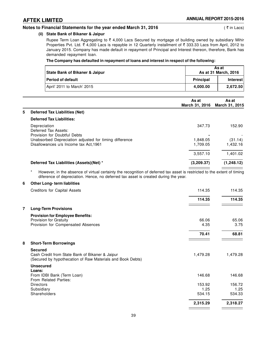# **Notes to Financial Statements for the year ended March 31, 2016** (₹ in Lacs) (₹ in Lacs)

# **(ii) State Bank of Bikaner & Jaipur**

Rupee Term Loan Aggregating to  $\bar{\tau}$  4,000 Lacs Secured by mortgage of building owned by subsidiary Mihir Properties Pvt. Ltd.  $\bar{\xi}$  4,000 Lacs is repayble in 12 Quarterly installment of  $\bar{\xi}$  333.33 Lacs from April, 2012 to January 2015. Company has made default in repayment of Principal and Interest thereon, therefore, Bank has demanded repayment loan.

# **The Company has defaulted in repayment of loans and interest in respect of the following:**

| State Bank of Bikaner & Jaipur | As at<br>As at 31 March, 2016 |          |
|--------------------------------|-------------------------------|----------|
| <b>Period of default</b>       | <b>Principal</b>              | Interest |
| April' 2011 to March' 2015     | 4.000.00                      | 2.672.50 |

|    |                                                                      | As at<br>March 31, 2016 | As at<br><b>March 31, 2015</b> |
|----|----------------------------------------------------------------------|-------------------------|--------------------------------|
| 5. | Deferred Tax Liabilities (Net)                                       |                         |                                |
|    | <b>Deferred Tax Liabilities:</b>                                     |                         |                                |
|    | Depreciation<br>Deferred Tax Assets:<br>Provision for Doubtful Debts | 347.73                  | 152.90                         |
|    | Unabsorbed Depreciation adjusted for timing difference               | 1.848.05                | (31.14)                        |
|    | Disallowances u/s Income tax Act, 1961                               | 1,709.05                | 1,432.16                       |
|    |                                                                      | 3,557.10                | 1.401.02                       |
|    | Deferred Tax Liabilities (Assets)(Net) *                             | (3,209.37)              | (1,248.12)                     |

\* However, in the absence of virtual certainty the recognition of deferred tax asset is restricted to the extent of timing diference of depreciation. Hence, no deferred tax asset is created during the year.

# **6 Other Long- term liablities**

|   | Creditors for Capital Assets                                                                                                    | 114.35   | 114.35   |
|---|---------------------------------------------------------------------------------------------------------------------------------|----------|----------|
|   |                                                                                                                                 | 114.35   | 114.35   |
|   | <b>Long-Term Provisions</b>                                                                                                     |          |          |
|   | <b>Provision for Employee Benefits:</b>                                                                                         |          |          |
|   | Provision for Gratuity                                                                                                          | 66.06    | 65.06    |
|   | Provision for Compensated Absences                                                                                              | 4.35     | 3.75     |
|   |                                                                                                                                 | 70.41    | 68.81    |
| 8 | <b>Short-Term Borrowings</b>                                                                                                    |          |          |
|   | <b>Secured</b><br>Cash Credit from State Bank of Bikaner & Jaipur<br>(Secured by hypothecation of Raw Materials and Book Debts) | 1,479.28 | 1,479.28 |
|   | <b>Unsecured</b>                                                                                                                |          |          |
|   | Loans:<br>From IDBI Bank (Term Loan)<br>From Related Parties:                                                                   | 146.68   | 146.68   |
|   | <b>Directors</b>                                                                                                                | 153.92   | 156.72   |
|   | Subsidiary                                                                                                                      | 1.25     | 1.25     |
|   | Shareholders                                                                                                                    | 534.15   | 534.33   |
|   |                                                                                                                                 | 2,315.29 | 2,318.27 |
|   |                                                                                                                                 |          |          |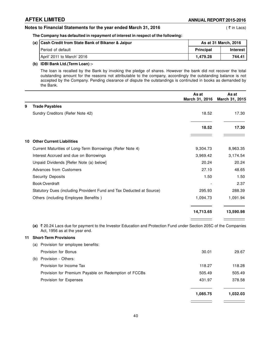# **Notes to Financial Statements for the year ended March 31, 2016** (₹ in Lacs)

# **The Company has defaulted in repayment of interest in respect of the following:**

| (a) Cash Credit from State Bank of Bikaner & Jaipur | As at 31 March, 2016 |                 |
|-----------------------------------------------------|----------------------|-----------------|
| l Period of default                                 | <b>Principal</b>     | <b>Interest</b> |
| April' 2011 to March' 2016                          | 1.479.28             | 744.41          |

# **(b) IDBI Bank Ltd.(Term Loan) :-**

The loan is recalled by the Bank by invoking the pledge of shares. However the bank did not recover the total outstanding amount for the reasons not attributable to the company, accordingly the outstanding balance is not accepted by the Company. Pending clearance of dispute the outstandings is continuted in books as demanded by the Bank.

|     |                                                                                                                                                    | As at<br>March 31, 2016 | As at<br>March 31, 2015 |
|-----|----------------------------------------------------------------------------------------------------------------------------------------------------|-------------------------|-------------------------|
| 9   | <b>Trade Payables</b>                                                                                                                              |                         |                         |
|     | Sundry Creditors (Refer Note 42)                                                                                                                   | 18.52                   | 17.30                   |
|     |                                                                                                                                                    | 18.52                   | 17.30                   |
| 10  | <b>Other Current Liabilities</b>                                                                                                                   |                         |                         |
|     | Current Maturities of Long-Term Borrowings (Refer Note 4)                                                                                          | 9,304.73                | 8,963.35                |
|     | Interest Accrued and due on Borrowings                                                                                                             | 3,969.42                | 3,174.54                |
|     | Unpaid Dividends [Refer Note (a) below]                                                                                                            | 20.24                   | 20.24                   |
|     | Advances from Customers                                                                                                                            | 27.10                   | 48.65                   |
|     | <b>Security Deposits</b>                                                                                                                           | 1.50                    | 1.50                    |
|     | <b>Book Overdraft</b>                                                                                                                              |                         | 2.37                    |
|     | Statutory Dues (including Provident Fund and Tax Deducted at Source)                                                                               | 295.93                  | 288.39                  |
|     | Others (including Employee Benefits)                                                                                                               | 1,094.73                | 1,091.94                |
|     |                                                                                                                                                    | 14,713.65               | 13,590.98               |
|     | (a) ₹20.24 Lacs due for payment to the Investor Education and Protection Fund under Section 205C of the Companies<br>Act, 1956 as at the year end. |                         |                         |
| 11. | <b>Short-Term Provisions</b>                                                                                                                       |                         |                         |
|     | (a) Provision for employee benefits:                                                                                                               |                         |                         |
|     | Provision for Bonus                                                                                                                                | 30.01                   | 29.67                   |
|     | Provision - Others:<br>(b)                                                                                                                         |                         |                         |

| FIUVISIUII - ULIIEIS.                                |        |        |
|------------------------------------------------------|--------|--------|
| Provision for Income Tax                             | 118.27 | 118.28 |
| Provision for Premium Payable on Redemption of FCCBs | 505.49 | 505.49 |
| Provision for Expenses                               | 431.97 | 378.58 |
|                                                      |        |        |

**1,085.75 1,032.03**

 $\frac{1}{\sqrt{2}}$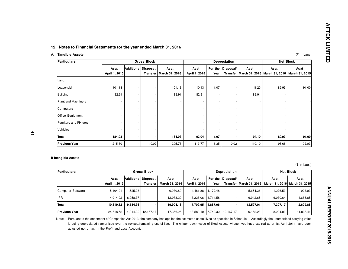|                                                                                                                                 |                        |                       | <b>Gross Block</b>    |                                |                       |                 | <b>Depreciation</b> |                                           | <b>Net Block</b>                                                    |                                 |  |
|---------------------------------------------------------------------------------------------------------------------------------|------------------------|-----------------------|-----------------------|--------------------------------|-----------------------|-----------------|---------------------|-------------------------------------------|---------------------------------------------------------------------|---------------------------------|--|
|                                                                                                                                 | As at<br>April 1, 2015 | Additions             | Disposal/<br>Transfer | <b>As at</b><br>March 31, 2016 | Asat<br>April 1, 2015 | For the<br>Year | Disposal/           | <b>As at</b>                              | Asat<br>Transfer   March 31, 2016   March 31, 2016   March 31, 2015 | Asat                            |  |
| Land:                                                                                                                           |                        |                       |                       |                                |                       |                 |                     |                                           |                                                                     |                                 |  |
| Leasehold                                                                                                                       | 101.13                 |                       |                       | 101.13                         | 10.13                 | 1.07            |                     | 11.20                                     | 89.93                                                               | 91.00                           |  |
| <b>Building</b>                                                                                                                 | 82.91                  |                       |                       | 82.91                          | 82.91                 |                 |                     | 82.91                                     |                                                                     |                                 |  |
| Plant and Machinery                                                                                                             |                        |                       |                       |                                |                       |                 |                     |                                           |                                                                     |                                 |  |
| Computers                                                                                                                       |                        |                       |                       |                                |                       |                 |                     |                                           |                                                                     |                                 |  |
| Office Equipment                                                                                                                |                        |                       |                       |                                |                       |                 |                     |                                           |                                                                     |                                 |  |
| <b>Furniture and Fixtures</b>                                                                                                   |                        |                       |                       |                                |                       |                 |                     |                                           |                                                                     |                                 |  |
|                                                                                                                                 |                        |                       |                       |                                |                       |                 |                     |                                           |                                                                     |                                 |  |
|                                                                                                                                 |                        |                       |                       |                                |                       |                 |                     |                                           |                                                                     |                                 |  |
|                                                                                                                                 | 184.03                 |                       |                       | 184.03                         | 93.04                 | 1.07            |                     | 94.10                                     | 89.93                                                               | 91.00                           |  |
|                                                                                                                                 | 215.80                 |                       | 10.02                 | 205.78                         | 113.77                | 6.35            | 10.02               | 110.10                                    | 95.68                                                               | 102.03                          |  |
|                                                                                                                                 |                        |                       | <b>Gross Block</b>    |                                |                       |                 | <b>Depreciation</b> |                                           |                                                                     | (₹ in Lacs)<br><b>Net Block</b> |  |
|                                                                                                                                 | Asat<br>April 1, 2015  | Additions   Disposal/ | <b>Transfer</b>       | Asat<br>March 31, 2016         | Asat<br>April 1, 2015 | For the<br>Year | Disposal/           | <b>As at</b><br>Transfer   March 31, 2016 | Asat<br>March 31, 2016                                              | <b>As at</b>                    |  |
|                                                                                                                                 | 5,404.91               | 1,525.98              |                       | 6,930.89                       | 4,481.88              | 1,172.48        |                     | 5,654.36                                  | 1,276.53                                                            | March 31, 2015<br>923.03        |  |
| Vehicles<br>Total<br><b>Previous Year</b><br><b>B Inangible Assets</b><br><b>Particulars</b><br>Computer Software<br><b>IPR</b> | 4,914.92               | 8,058.37              |                       | 12,973.29                      | 3,228.06              | 3,714.58        |                     | 6,942.65                                  | 6,030.64                                                            | 1,686.85                        |  |
| Total                                                                                                                           | 10,319.82              | 9,584.36              |                       | 19,904.18                      | 7,709.95              | 4,887.06        |                     | 12,597.01                                 | 7,307.17                                                            | 2,609.88                        |  |

| Particulars          | <b>Gross Block</b>     |          |                                          |                        | <b>Depreciation</b>    |          |                   |                                    | <b>Net Block</b> |                                               |
|----------------------|------------------------|----------|------------------------------------------|------------------------|------------------------|----------|-------------------|------------------------------------|------------------|-----------------------------------------------|
|                      | As at<br>April 1, 2015 |          | Additions   Disposal/<br><b>Transfer</b> | Asat<br>March 31, 2016 | As at<br>April 1, 2015 | Year     | For the Disposal/ | As at<br>Transfer   March 31, 2016 | As at            | <b>As at</b><br>March 31, 2016 March 31, 2015 |
| Computer Software    | 5.404.91               | .525.98  |                                          | 6,930.89               | 4,481.88               | 1.172.48 |                   | 5,654.36                           | .276.53          | 923.03                                        |
| lipr                 | 4.914.92               | 8,058.37 |                                          | 12.973.29              | 3.228.06               | 3.714.58 |                   | 6.942.65                           | 6.030.64         | ا 85.85% ا                                    |
| Total                | 10.319.82              | 9,584.36 |                                          | 19.904.18              | 7.709.95               | 4.887.06 |                   | 12.597.01                          | 7.307.17         | 2,609.88                                      |
| <b>Previous Year</b> | 24,618.52              |          | 4,914.92   12,167.17                     | 17,366.26              | 13,580.10              | 7,749.30 | 12,167.17         | 9,162.23                           | 8,204.03         | 11,038.41                                     |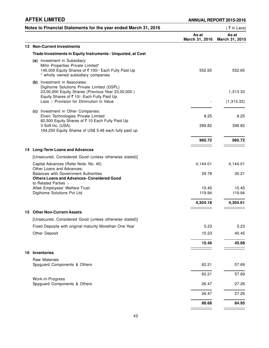|    | Notes to Financial Statements for the year ended March 31, 2016                                                                                                                                                            |                         | ₹ in Lacs)              |
|----|----------------------------------------------------------------------------------------------------------------------------------------------------------------------------------------------------------------------------|-------------------------|-------------------------|
|    |                                                                                                                                                                                                                            | As at<br>March 31, 2016 | As at<br>March 31, 2015 |
|    | 13 Non-Current Investments                                                                                                                                                                                                 |                         |                         |
|    | Trade Investments in Equity Instruments - Unquoted, at Cost                                                                                                                                                                |                         |                         |
|    | (a) Investment in Subsidiary:<br>Mihir Properties Private Limited*<br>145,000 Equity Shares of ₹ 100/- Each Fully Paid Up<br>* wholly owned subsidiary companies                                                           | 552.65                  | 552.65                  |
|    | (b) Investment in Associates:<br>Digihome Solutions Private Limited (DSPL)<br>23,00,000 Equity Shares (Previous Year 23,00,000)<br>Equity Shares of ₹ 10/- Each Fully Paid Up<br>Less :- Provision for Diminution in Value |                         | 1,313.33<br>(1,313.33)  |
|    | (c) Investment in Other Companies:<br>Elven Technologies Private Limited<br>82,500 Equity Shares of ₹10 Each Fully Paid Up<br>V Soft Inc. (USA)<br>164,250 Equity Shares of US\$ 5.48 each fully paid up                   | 8.25<br>399.82          | 8.25<br>399.82          |
|    |                                                                                                                                                                                                                            | 960.72                  | 960.72                  |
|    | 14 Long-Term Loans and Advances                                                                                                                                                                                            |                         |                         |
|    | [Unsecured, Considered Good (unless otherwise stated)]                                                                                                                                                                     |                         |                         |
|    | Capital Advances (Refer Note. No. 40)<br>Other Loans and Advances:<br><b>Balances with Government Authorities</b><br><b>Others Loans and Advances- Considered Good</b>                                                     | 4,144.01<br>29.78       | 4,144.01<br>30.21       |
|    | to Related Parties :-<br>Aftek Employees' Welfare Trust<br>Digihome Solutions Pvt Ltd.                                                                                                                                     | 10.45<br>119.94         | 10.45<br>119.94         |
|    |                                                                                                                                                                                                                            | 4,304.18                | 4,304.61                |
|    | 15 Other Non-Current Assets                                                                                                                                                                                                |                         |                         |
|    | [Unsecured, Considered Good (unless otherwise stated)]                                                                                                                                                                     |                         |                         |
|    | Fixed Deposits with original maturity Morethan One Year                                                                                                                                                                    | 5.23                    | 5.23                    |
|    | Other Deposit                                                                                                                                                                                                              | 10.23                   | 40.45                   |
|    |                                                                                                                                                                                                                            | 15.46                   | 45.68                   |
| 16 | <b>Inventories</b>                                                                                                                                                                                                         |                         |                         |
|    | Raw Materials<br>Spyguard Components & Others                                                                                                                                                                              | 62.21                   | 57.69                   |
|    |                                                                                                                                                                                                                            | 62.21                   | 57.69                   |
|    | Work-in-Progress<br>Spyguard Components & Others                                                                                                                                                                           | 26.47                   | 27.26                   |
|    |                                                                                                                                                                                                                            | 26.47                   | 27.26                   |
|    |                                                                                                                                                                                                                            | 88.68                   | 84.95                   |
|    |                                                                                                                                                                                                                            |                         |                         |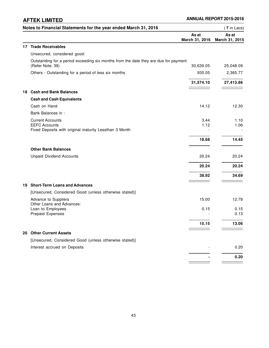|     | Notes to Financial Statements for the year ended March 31, 2016                                          |                         | (₹in Lacs)              |
|-----|----------------------------------------------------------------------------------------------------------|-------------------------|-------------------------|
|     |                                                                                                          | As at<br>March 31, 2016 | As at<br>March 31, 2015 |
|     | 17 Trade Receivables                                                                                     |                         |                         |
|     | Unsecured, considered good:                                                                              |                         |                         |
|     | Outstanding for a period exceeding six months from the date they are due for payment<br>(Refer Note. 39) | 30,639.05               | 25,048.09               |
|     | Others - Outstanding for a period of less six months                                                     | 935.05                  | 2,365.77                |
|     |                                                                                                          | 31,574.10               | 27,413.86               |
|     | 18 Cash and Bank Balances                                                                                |                         |                         |
|     | <b>Cash and Cash Equivalents</b>                                                                         |                         |                         |
|     | Cash on Hand                                                                                             | 14.12                   | 12.30                   |
|     | Bank Balances in :                                                                                       |                         |                         |
|     | <b>Current Accounts</b>                                                                                  | 3.44                    | 1.10                    |
|     | <b>EEFC Accounts</b><br>Fixed Deposits with original maturity Lessthan 3 Month                           | 1.12                    | 1.06                    |
|     |                                                                                                          | 18.68                   | 14.45                   |
|     | <b>Other Bank Balances</b>                                                                               |                         |                         |
|     | <b>Unpaid Dividend Accounts</b>                                                                          | 20.24                   | 20.24                   |
|     |                                                                                                          | 20.24                   | 20.24                   |
|     |                                                                                                          | 38.92                   | 34.69                   |
| 19. | <b>Short-Term Loans and Advances</b>                                                                     |                         |                         |
|     | [Unsecured, Considered Good (unless otherwise stated)]                                                   |                         |                         |
|     | Advance to Suppliers<br>Other Loans and Advances:                                                        | 15.00                   | 12.78                   |
|     | Loan to Employees<br>Prepaid Expenses                                                                    | 0.15                    | 0.15<br>0.13            |
|     |                                                                                                          | 15.15                   | 13.06                   |
|     | 20 Other Current Assets                                                                                  |                         |                         |
|     | [Unsecured, Considered Good (unless otherwise stated)]                                                   |                         |                         |
|     | Interest accrued on Deposits                                                                             |                         | 0.20                    |
|     |                                                                                                          |                         | 0.20                    |
|     |                                                                                                          |                         |                         |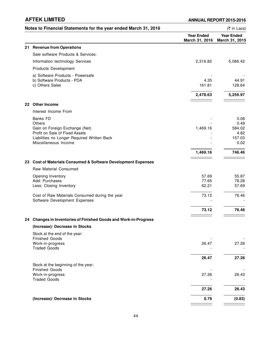| Notes to Financial Statements for the year ended March 31, 2016                   |                                     | (₹ in Lacs)                         |
|-----------------------------------------------------------------------------------|-------------------------------------|-------------------------------------|
|                                                                                   | <b>Year Ended</b><br>March 31, 2016 | <b>Year Ended</b><br>March 31, 2015 |
| 21 Revenue from Operations                                                        |                                     |                                     |
| Sale software Products & Services:                                                |                                     |                                     |
| Information technology Services                                                   | 2,316.82                            | 5,086.42                            |
| Products Development                                                              |                                     |                                     |
| a) Software Products - Powersafe<br>b) Software Products - PDA<br>c) Others Sales | 4.35<br>161.81                      | 44.91<br>128.64                     |
|                                                                                   | 2,478.63                            | 5,259.97                            |
| 22 Other Income                                                                   |                                     |                                     |
| Interest Income From                                                              |                                     |                                     |
| Banks FD                                                                          |                                     | 0.08                                |
| Others                                                                            |                                     | 0.49                                |
| Gain on Foreign Exchange (Net)<br>Profit on Sale of Fixed Assets                  | 1,469.16                            | 584.02<br>4.82                      |
| Liabilities no Longer Required Written Back<br>Miscellaneous Income               |                                     | 157.03<br>0.02                      |
|                                                                                   | 1,469.16                            | 746.46                              |
| 23 Cost of Materials Consumed & Software Development Expenses                     |                                     |                                     |
| Raw Material Consumed                                                             |                                     |                                     |
| Opening Inventory                                                                 | 57.69                               | 55.87                               |
| Add: Purchases<br>Less: Closing Inventory                                         | 77.65<br>62.21                      | 78.28<br>57.69                      |
|                                                                                   |                                     |                                     |
| Cost of Raw Materials Consumed during the year<br>Software Development Expenses   | 73.12                               | 76.46                               |
|                                                                                   | 73.12                               | 76.46                               |
| 24 Changes in Inventories of Finished Goods and Work-in-Progress                  |                                     |                                     |
| (Increase)/ Decrease in Stocks                                                    |                                     |                                     |
| Stock at the end of the year:                                                     |                                     |                                     |
| <b>Finished Goods</b><br>Work-in-progress<br><b>Traded Goods</b>                  | 26.47                               | 27.26                               |
|                                                                                   | 26.47                               | 27.26                               |
| Stock at the beginning of the year:<br><b>Finished Goods</b>                      |                                     |                                     |
| Work-in-progress<br><b>Traded Goods</b>                                           | 27.26                               | 26.43                               |
|                                                                                   | 27.26                               | 26.43                               |
| (Increase)/ Decrease in Stocks                                                    | 0.79                                | (0.83)                              |
|                                                                                   |                                     |                                     |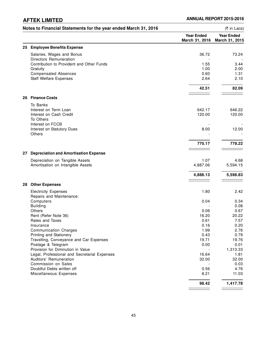|     | Notes to Financial Statements for the year ended March 31, 2016     |                                     | (₹ in Lacs)                         |
|-----|---------------------------------------------------------------------|-------------------------------------|-------------------------------------|
|     |                                                                     | <b>Year Ended</b><br>March 31, 2016 | <b>Year Ended</b><br>March 31, 2015 |
|     | 25 Employee Benefits Expense                                        |                                     |                                     |
|     | Salaries, Wages and Bonus                                           | 36.72                               | 73.24                               |
|     | Directors Remuneration<br>Contribution to Provident and Other Funds | 1.55                                | 3.44                                |
|     | Gratuity                                                            | 1.00                                | 2.00                                |
|     | <b>Compensated Absences</b>                                         | 0.60                                | 1.31                                |
|     | <b>Staff Welfare Expenses</b>                                       | 2.64                                | 2.10                                |
|     |                                                                     | 42.51                               | 82.09                               |
| 26  | <b>Finance Costs</b>                                                |                                     |                                     |
|     | To Banks                                                            |                                     |                                     |
|     | Interest on Term Loan                                               | 642.17                              | 646.22                              |
|     | Interest on Cash Credit                                             | 120.00                              | 120.00                              |
|     | To Others                                                           |                                     |                                     |
|     | Interest on FCCB                                                    |                                     |                                     |
|     | Interest on Statutory Dues<br>Others                                | 8.00                                | 12.00                               |
|     |                                                                     | 770.17                              | 778.22                              |
|     |                                                                     |                                     |                                     |
| 27. | <b>Depreciation and Amortisation Expense</b>                        |                                     |                                     |
|     | Depreciation on Tangible Assets                                     | 1.07                                | 4.68                                |
|     | Amortisation on Intangible Assets                                   | 4,887.06                            | 5,594.15                            |
|     |                                                                     | 4,888.13                            | 5,598.83                            |
|     | 28 Other Expenses                                                   |                                     |                                     |
|     | <b>Electricity Expenses</b>                                         | 1.80                                | 2.42                                |
|     | Repairs and Maintenance:                                            |                                     |                                     |
|     | Computers                                                           | 0.04                                | 0.34                                |
|     | <b>Building</b>                                                     |                                     | 0.08                                |
|     | Others<br>Rent (Refer Note 36)                                      | 0.06<br>16.20                       | 0.67<br>20.22                       |
|     | Rates and Taxes                                                     | 0.61                                | 7.57                                |
|     | Insurance                                                           | 0.16                                | 0.20                                |
|     | <b>Communication Charges</b>                                        | 1.99                                | 2.76                                |
|     | Printing and Stationery                                             | 0.43                                | 0.79                                |
|     | Travelling, Conveyance and Car Expenses                             | 19.71                               | 19.76                               |
|     | Postage & Telegram                                                  | 0.00                                | 0.01                                |
|     | Provision for Diminution in Value                                   |                                     | 1,313.33                            |
|     | Legal, Professional and Secretarial Expenses                        | 16.64                               | 1.81                                |
|     | Auditors' Remuneration                                              | 32.00                               | 32.00                               |
|     | Commission on Sales                                                 |                                     | 0.03                                |
|     | Doubtful Debts written off                                          | 0.56                                | 4.76                                |
|     | Miscellaneous Expenses                                              | 8.21                                | 11.03                               |
|     |                                                                     | 98.42                               | 1,417.78                            |
|     |                                                                     |                                     |                                     |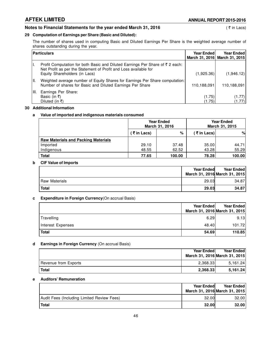# **Notes to Financial Statements for the year ended March 31, 2016** (₹ in Lacs)

## **29 Computation of Earnings per Share (Basic and Diluted):**

The number of shares used in computing Basic and Diluted Earnings Per Share is the weighted average number of shares outstanding during the year.

|       | <b>Particulars</b>                                                                                                                                                                         | <b>Year Ended</b> | <b>Year Ended</b><br>March 31, 2016 March 31, 2015 |
|-------|--------------------------------------------------------------------------------------------------------------------------------------------------------------------------------------------|-------------------|----------------------------------------------------|
|       | Profit Computation for both Basic and Diluted Earnings Per Share of $\bar{z}$ 2 each:<br>Net Profit as per the Statement of Profit and Loss available for<br>Equity Shareholders (in Lacs) | (1,925.36)        | (1,946.12)                                         |
| I II. | Weighted average number of Equity Shares for Earnings Per Share computation:<br>Number of shares for Basic and Diluted Earnings Per Share                                                  | 110,188,091       | 110,188,091                                        |
| HI.   | Earnings Per Share:<br>Basic (in ₹)<br>Diluted (in ₹)                                                                                                                                      | (1.75)<br>(1.75)  | (1.77)<br>(1.77)                                   |

### **30 Additional Information**

# **a Value of imported and indigenous materials consumed**

|                                            |             | <b>Year Ended</b><br>March 31, 2016 |            | <b>Year Ended</b><br>March 31, 2015 |
|--------------------------------------------|-------------|-------------------------------------|------------|-------------------------------------|
|                                            | (₹ in Lacs) | %                                   | (₹in Lacs) | %                                   |
| <b>Raw Materials and Packing Materials</b> |             |                                     |            |                                     |
| Imported                                   | 29.10       | 37.48                               | 35.00      | 44.71                               |
| Indigenous                                 | 48.55       | 62.52                               | 43.28      | 55.29                               |
| <b>Total</b>                               | 77.65       | 100.00                              | 78.28      | 100.00                              |

## **b CIF Value of Imports**

|                      | <b>Year Ended</b> | <b>Year Ended</b><br>March 31, 2016 March 31, 2015 |
|----------------------|-------------------|----------------------------------------------------|
| <b>Raw Materials</b> | 29.03             | 34.87                                              |
| <b>Total</b>         | 29.03             | 34.87                                              |

# **c Expenditure in Foreign Currency**(On accrual Basis)

|                   | Year Ended<br>March 31, 2016 March 31, 2015 | Year Ended |
|-------------------|---------------------------------------------|------------|
| Travelling        | 6.29                                        | 9.13       |
| Interest Expenses | 48.40                                       | 101.72     |
| <b>Total</b>      | 54.69                                       | 110.85     |

# **d Earnings in Foreign Currency** (On accrual Basis)

|                      | <b>Year Endedl</b><br>March 31, 2016 March 31, 2015 | Year Ended |
|----------------------|-----------------------------------------------------|------------|
| Revenue from Exports | 2.368.33                                            | 5.161.24   |
| <b>Total</b>         | 2,368.33                                            | 5.161.24   |

# **e Auditors' Remuneration**

|                                            | <b>Year Ended</b> | <b>Year Ended</b><br>March 31, 2016 March 31, 2015 |
|--------------------------------------------|-------------------|----------------------------------------------------|
| Audit Fees (Including Limited Review Fees) | 32.00             | 32.00                                              |
| <b>Total</b>                               | 32.00             | 32.00                                              |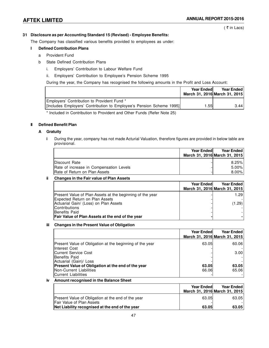# **31 Disclosure as per Accounting Standard 15 (Revised) - Employee Benefits:**

The Company has classified various benefits provided to employees as under:

# **I Defined Contribution Plans**

- a Provident Fund
- b State Defined Contribution Plans
	- i. Employers' Contribution to Labour Welfare Fund
	- ii. Employers' Contribution to Employee's Pension Scheme 1995

During the year, the Company has recognised the following amounts in the Profit and Loss Account:

|                                                                      | <b>Year Endedl</b><br>March 31, 2016 March 31, 2015 | <b>Year Ended</b> |
|----------------------------------------------------------------------|-----------------------------------------------------|-------------------|
| Employers' Contribution to Provident Fund *                          |                                                     |                   |
| [Includes Employers' Contribution to Employee's Pension Scheme 1995] | .551                                                | 3.44              |

\* Included in Contribution to Provident and Other Funds (Refer Note 25)

# **II Defined Benefit Plan**

# **A Gratuity**

**i** During the year, company has not made Acturial Valuation, therefore figures are provided in below table are provisional.

|                                         | <b>Year Endedl</b> | <b>Year Ended</b><br>March 31, 2016 March 31, 2015 |
|-----------------------------------------|--------------------|----------------------------------------------------|
| Discount Rate                           |                    | 8.25%                                              |
| Rate of increase in Compensation Levels |                    | $5.00\%$                                           |
| <b>Rate of Return on Plan Assets</b>    |                    | $8.00\%$                                           |

# **ii Changes in the Fair value of Plan Assets**

|                                                           | <b>Year Ended</b> | <b>Year Ended</b><br>March 31, 2016 March 31, 2015 |
|-----------------------------------------------------------|-------------------|----------------------------------------------------|
| Present Value of Plan Assets at the beginning of the year |                   | 1.29                                               |
| <b>Expected Return on Plan Assets</b>                     |                   |                                                    |
| Actuarial Gain/ (Loss) on Plan Assets                     |                   | (1.29)                                             |
| <b>Contributions</b>                                      |                   |                                                    |
| Benefits Paid                                             |                   |                                                    |
| Fair Value of Plan Assets at the end of the year          |                   |                                                    |

# **iii Changes in the Present Value of Obligation**

|                                                                                                                    | <b>Year Ended</b> | <b>Year Ended</b><br>March 31, 2016 March 31, 2015 |
|--------------------------------------------------------------------------------------------------------------------|-------------------|----------------------------------------------------|
| Present Value of Obligation at the beginning of the year<br><b>Interest Cost</b>                                   | 63.05             | 60.06                                              |
| Current Service Cost<br>Benefits Paid                                                                              |                   | 3.00                                               |
| Actuarial (Gain)/ Loss                                                                                             | 63.05             | 63.05                                              |
| <b>Present Value of Obligation at the end of the year</b><br><b>Non-Current Liabilities</b><br>Current Liabilities | 66.06             | 65.06                                              |

# **iv Amount recognised in the Balance Sheet**

|                                                                                 | <b>Year Ended</b> | <b>Year Ended</b><br>March 31, 2016 March 31, 2015 |
|---------------------------------------------------------------------------------|-------------------|----------------------------------------------------|
| Present Value of Obligation at the end of the year<br>Fair Value of Plan Assets | 63.05             | 63.05                                              |
| Net Liability recognised at the end of the year                                 | 63.05             | 63.05                                              |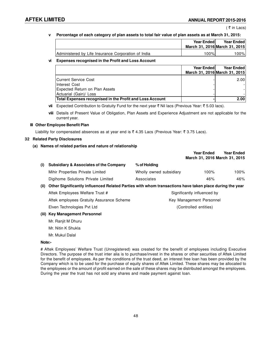# **v Percentage of each category of plan assets to total fair value of plan assets as at March 31, 2015:**

|                                                     | <b>Year Endedl</b> | <b>Year Ended</b>             |  |
|-----------------------------------------------------|--------------------|-------------------------------|--|
|                                                     |                    | March 31, 2016 March 31, 2015 |  |
| Administered by Life Insurance Corporation of India | 100%I              | 100%                          |  |

# **vi Expenses recognised in the Profit and Loss Account**

|                                                          | <b>Year Ended</b> | <b>Year Ended</b>             |
|----------------------------------------------------------|-------------------|-------------------------------|
|                                                          |                   | March 31, 2016 March 31, 2015 |
| Current Service Cost                                     |                   | 2.001                         |
| Interest Cost                                            |                   |                               |
| <b>Expected Return on Plan Assets</b>                    |                   |                               |
| Actuarial (Gain)/ Loss                                   |                   |                               |
| Total Expenses recognised in the Profit and Loss Account |                   | 2.00                          |

vii Expected Contribution to Gratuity Fund for the next year ₹ Nil lacs (Previous Year: ₹ 5.03 lacs).

**viii** Details of Present Value of Obligation, Plan Assets and Experience Adjustment are not applicable for the current year.

# **III Other Employee Benefit Plan**

Liability for compensated absences as at year end is  $\bar{\tau}$  4.35 Lacs (Previous Year:  $\bar{\tau}$  3.75 Lacs).

# **32 Related Party Disclosures**

# **(a) Names of related parties and nature of relationship**

|       |                                                                                                        |                         | <b>Year Ended</b><br>March 31, 2016 March 31, 2015 | <b>Year Ended</b> |
|-------|--------------------------------------------------------------------------------------------------------|-------------------------|----------------------------------------------------|-------------------|
| (i)   | <b>Subsidiary &amp; Associates of the Company</b>                                                      | % of Holding            |                                                    |                   |
|       | Mihir Properties Private Limited                                                                       | Wholly owned subsidiary | $100\%$                                            | 100%              |
|       | Digihome Solutions Private Limited                                                                     | Associates              | 46%                                                | 46%               |
| (ii)  | Other Significantly influenced Related Parties with whom transactions have taken place during the year |                         |                                                    |                   |
|       | Aftek Employees Welfare Trust #                                                                        |                         | Significantly influenced by                        |                   |
|       | Aftek employees Gratuity Assurance Scheme                                                              |                         | Key Management Personnel                           |                   |
|       | Elven Technologies Pvt Ltd                                                                             |                         | (Controlled entities)                              |                   |
| (iii) | <b>Key Management Personnel</b>                                                                        |                         |                                                    |                   |
|       | Mr. Ranjit M Dhuru                                                                                     |                         |                                                    |                   |
|       | Mr. Nitin K Shukla                                                                                     |                         |                                                    |                   |

Mr. Mukul Dalal

# **Note:-**

# Aftek Employees' Welfare Trust (Unregistered) was created for the benefit of employees including Executive Directors. The purpose of the trust inter alia is to purchase/invest in the shares or other securities of Aftek Limited for the benefit of employees. As per the conditions of the trust deed, an interest free loan has been provided by the Company which is to be used for the purchase of equity shares of Aftek Limited. These shares may be allocated to the employees or the amount of profit earned on the sale of these shares may be distributed amongst the employees. During the year the trust has not sold any shares and made payment against loan.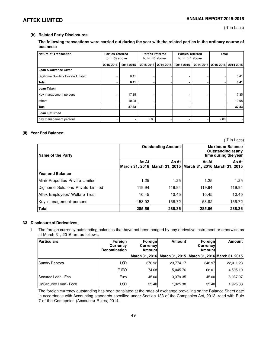# **(b) Related Party Disclosures**

# **The following transactions were carried out during the year with the related parties in the ordinary course of business:**

| <b>Nature of Transaction</b>      |           | <b>Parties referred</b><br>to in (i) above |           | <b>Parties referred</b><br><b>Parties referred</b><br>to in (ii) above<br>to in (iii) above |           |           |           | Total     |
|-----------------------------------|-----------|--------------------------------------------|-----------|---------------------------------------------------------------------------------------------|-----------|-----------|-----------|-----------|
|                                   | 2015-2016 | 2014-2015                                  | 2015-2016 | 2014-2015                                                                                   | 2015-2016 | 2014-2015 | 2015-2016 | 2014-2015 |
| <b>Loan &amp; Advance Given</b>   |           |                                            |           |                                                                                             |           |           |           |           |
| Digihome Solutins Private Limited |           | 0.41                                       |           |                                                                                             |           |           |           | 0.41      |
| <b>Total</b>                      |           | 0.41                                       |           | $\blacksquare$                                                                              | ۰         |           |           | 0.41      |
| Loan Taken                        |           |                                            |           |                                                                                             |           |           |           |           |
| Key management persons            |           | 17.35                                      |           |                                                                                             |           |           |           | 17.35     |
| others                            |           | 19.98                                      |           |                                                                                             | ٠         |           |           | 19.98     |
| <b>Total</b>                      |           | 37.33                                      |           |                                                                                             |           |           |           | 37.33     |
| Loan Returned                     |           |                                            |           |                                                                                             |           |           |           |           |
| Key management persons            |           |                                            | 2.80      |                                                                                             |           |           | 2.80      |           |

# **(ii) Year End Balance:**

( $\overline{\tau}$  in Lacs) **Outstanding Amount Maximum Balance Outstanding at any Name of the Party time during the year As At As At As At As At March 31, 2016 March 31, 2015 March 31, 2016 March 31, 2015 Year end Balance** Mihir Properties Private Limited  $1.25$  1.25 1.25 1.25 1.25 Digihome Solutions Private Limited 119.94 119.94 119.94 119.94 Aftek Employees' Welfare Trust  $\begin{array}{ccc} | & 10.45 & 10.45 \\ \end{array}$  10.45 10.45 10.45 Key management persons  $\vert$  153.92 | 156.72 | 153.92 | 156.72 **Total 285.56 288.36 285.56 288.36**

# **33 Disclosure of Derivatives:**

**i** The foreign currency outstanding balances that have not been hedged by any derivative instrument or otherwise as at March 31, 2016 are as follows:

| Particulars           | Foreign<br>Currency<br><b>Denomination</b> | Foreign<br><b>Currencyl</b><br>Amountl | Amount                        | Foreign<br><b>Currencyl</b><br>Amountl | Amount                        |
|-----------------------|--------------------------------------------|----------------------------------------|-------------------------------|----------------------------------------|-------------------------------|
|                       |                                            |                                        | March 31, 2016 March 31, 2015 |                                        | March 31, 2016 March 31, 2015 |
| Sundry Debtors        | <b>USD</b>                                 | 376.92                                 | 23.774.17                     | 348.97                                 | 22,011.23                     |
|                       | <b>EURO</b>                                | 74.68l                                 | 5.045.76                      | 68.01                                  | 4,595.10                      |
| Secured Loan - Ecb    | Euro                                       | 45.00l                                 | 3.379.35                      | 45.00l                                 | 3,037.97                      |
| UnSecured Loan - Fccb | <b>USD</b>                                 | 35.40                                  | 1,925.38                      | 35.40                                  | 1,925.38                      |

The foreign currency outstanding has been translated at the rates of exchange prevailing on the Balance Sheet date in accordance with Accounting standards specified under Section 133 of the Companies Act, 2013, read with Rule 7 of the Comapnies (Accounts) Rules, 2014.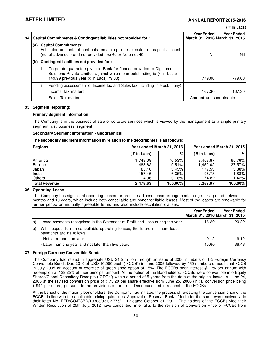| 34 |     |     | Capital Commitments & Contingent liabilities not provided for:                                                                                                                                           | Year Endedl            | Year Ended I<br>March 31, 2016 March 31, 2015 |
|----|-----|-----|----------------------------------------------------------------------------------------------------------------------------------------------------------------------------------------------------------|------------------------|-----------------------------------------------|
|    | (a) |     | <b>Capital Commitments:</b><br>Estimated amounts of contracts remaining to be executed on capital account<br>(net of advances) and not provided for (Refer Note no. 40)                                  | Nil                    | Nill                                          |
|    | (b) |     | Contingent liabilities not provided for:                                                                                                                                                                 |                        |                                               |
|    |     |     | Corporate guarantee given to Bank for finance provided to Digihome<br>Solutions Private Limited against which loan outstanding is (₹ in Lacs)<br>149.99 previous year ( $\overline{\xi}$ in Lacs) 79.00} | 779.00                 | 779.00                                        |
|    |     | ii. | Pending assessement of Income tax and Sales tax(Including Interest, if any)                                                                                                                              |                        |                                               |
|    |     |     | Income Tax matters                                                                                                                                                                                       | 167.30                 | 167.30                                        |
|    |     |     | Sales Tax matters                                                                                                                                                                                        | Amount unascertainable |                                               |

### **35 Segment Reporting:**

### **Primary Segment Information**

The Company is in the business of sale of software services which is viewed by the management as a single primary segment, i.e. business segment.

### **Secondary Segment Information - Geographical**

### **The secondary segment information in relation to the geographies is as follows:**

| Regions              | Year ended March 31, 2016 |         | Year ended March 31, 2015 |           |
|----------------------|---------------------------|---------|---------------------------|-----------|
|                      | (₹in Lacs)                | %       | (₹in Lacs)                | %         |
| America              | 1.748.09                  | 70.53%  | 3.458.87                  | 65.76%    |
| Europe               | 483.62                    | 19.51%  | 1,450.02                  | 27.57%    |
| Japan                | 85.10                     | 3.43%   | 177.53                    | 3.38%     |
| India                | 157.46                    | 6.35%   | 98.73                     | $1.88\%$  |
| <b>Others</b>        | 4.36                      | 0.18%   | 74.82                     | $ .42\% $ |
| <b>Total Revenue</b> | 2,478.63                  | 100.00% | 5,259.97                  | 100.00%   |

# **36 Operating Lease**

The Company has significant operating leases for premises. These lease arrangements range for a period between 11 months and 10 years, which include both cancellable and noncancellable leases. Most of the leases are renewable for further period on mutually agreeable terms and also include escalation clauses.

|     |                                                                                                        | <b>Year Ended</b> | Year Ended<br>March 31, 2016 March 31, 2015 |
|-----|--------------------------------------------------------------------------------------------------------|-------------------|---------------------------------------------|
| la) | Lease payments recognised in the Statement of Profit and Loss during the year                          | 16.20             | 20.22                                       |
| lb) | With respect to non-cancellable operating leases, the future minimum lease<br>payments are as follows: |                   |                                             |
|     | - Not later than one year                                                                              | 9.12              | 9.12                                        |
|     | - Later than one year and not later than five years                                                    | 45.60             | 36.48                                       |

# **37 Foreign Currency Convertible Bonds**

The Company had raised in aggregate USD 34.5 million through an issue of 3000 numbers of 1% Foreign Currency Convertible Bonds Due 2010 of USD 10,000 each ("FCCB") in June 2005 followed by 450 numbers of additional FCCB in July 2005 on account of exercise of green shoe option of 15%. The FCCBs bear interest @ 1% per annum with redemption at 128.25% of their principal amount. At the option of the Bondholders, FCCBs were convertible into Equity Shares/Global Depository Receipts ("GDRs") within a period of 5 years from the date of the original issue i.e. June 24, 2005 at the revised conversion price of ₹ 75.20 per share effective from June 25, 2006 (initial conversion price being ` 94/- per share) pursuant to the provisions of the Trust Deed executed in respect of the FCCBs.

At the behest of the majority bondholders, the Company had initiated the process of re-setting the conversion price of the FCCBs in line with the applicable pricing guidelines. Approval of Reserve Bank of India for the same was received vide their letter No. FED/CO/ECBD/10308/03.02.775/11-12 dated October 31, 2011. The holders of the FCCBs vide their Written Resolution of 25th July, 2012 have consented, inter alia, to the revision of Conversion Price of FCCBs from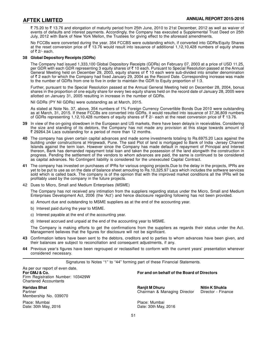₹ 75.20 to ₹ 13.76 and elongation of maturity period from 25th June, 2010 to 21st December, 2012 as well as waiver of events of defaults and interest payments. Accordingly, the Company has executed a Supplemental Trust Deed on 25th July, 2012 with Bank of New York Mellon, the Trustees for giving effect to the aforesaid amendments.

No FCCBs were converted during the year. 354 FCCBS were outstanding which, if converted into GDRs/Equity Shares at the reset conversion price of  $\bar{\xi}$  13.76 would result into issuance of additional 1,12,10,428 numbers of equity shares of  $\overline{\tau}$  2/- each.

### **38 Global Depository Receipts (GDRs)**

The Company had issued 1,333,100 Global Depository Receipts (GDRs) on February 07, 2003 at a price of USD 11.25, per GDR with each GDR representing 3 equity shares of ₹ 10 each. Pursuant to Special Resolution passed at the Annual General Meeting held on December 29, 2003, equity shares of ₹ 10 each were sub-divided into smaller denomination of ₹ 2 each for which the Company had fixed January 29, 2004 as the Record Date. Corresponding increase was made to the number of GDRs from one to five in order to maintain the GDR to Equity proportion of 1:3.

Further, pursuant to the Special Resolution passed at the Annual General Meeting held on December 28, 2004, bonus shares in the proportion of one equity share for every two equity shares held on the record date of January 28, 2005 were allotted on January 31, 2005 resulting in increase in the number of GDRs.

Nil GDRs (PY Nil GDRs) were outstanding as at March, 2015.

As stated at Note No. 37, above, 354 numbers of 1% Foreign Currency Convertible Bonds Due 2010 were outstanding as at March, 31, 2015. If these FCCBs are converted into GDRs, it would resulted into issuance of 37,36,809 numbers of GDRs representing 1,12,10,428 numbers of equity shares of  $\bar{\tau}$  2/- each at the reset conversion price of  $\bar{\tau}$  13.76.

- **39** In view of the on-going slowdown in the European and US markets, there have been delayis in receivables. Considering the size and standing of its debtors, the Company has not made any provision at this stage towards amount of ₹ 29264.34 Lacs outstanding for a period of more than 12 months.
- **40** The company has given certain capital advances and made some investments totaling to Rs.6975.20 Lacs against the building under constructions at Hinjewadi, Pune. The said Plot of land is mortgaged to Bank of India -Jersey Channel Islands against the term loan. However since the Company has made default in repayment of Principal and Interest thereon, Bank has demanded repayment total loan and taken the possession of the land alongwith the construction in progress. Pending the settlement of the vendors to whom advances are paid, the same is continued to be considered as capital advances. No Contingent liability is considered for the unexecuted Capital Contract.
- **41** The company has invested on purchases of IPRs for various ongoing projects.Due to the delay in the projects, IPRs are yet to be put to use as on the date of balance sheet amouting to Rs.10,325.97 Lacs which includes the software services sold which is called back. The company is of the opinion that with the improved market conditions all the IPRs will be profitably used by the company in the future projects.
- 42 Dues to Micro, Small and Medium Enterprises (MSME)

The Company has not received any intimation from the suppliers regarding status under the Micro, Small and Medium Enterprises Development Act, 2006 (the 'Act') and hence disclosure regarding following has not been provided.

a) Amount due and outstanding to MSME suppliers as at the end of the accounting year.

- b) Interest paid during the year to MSME.
- c) Interest payable at the end of the accounting year.
- d) Interest accrued and unpaid at the end of the accounting year to MSME.

The Company is making efforts to get the confirmations from the suppliers as regards their status under the Act. Management believes that the figures for disclosure will not be significant.

- **43** Confirmation letters have been sent to the debtors, creditors and to parties to whom advances have been given, and their balances are subject to reconciliation and consequent adjustments, if any.
- **44** Previous year's figures have been regrouped or reclassified to conform with the current years' presentation wherever considered necessary.

Signatures to Notes "1" to "44" forming part of these Financial Statements.

As per our report of even date.<br>For GMJ & Co. Firm Registration Number: 103429W Chartered Accountants

Membership No. 039070

Place: Mumbai Place: Mumbai

# **For GMJ & Co. For and on behalf of the Board of Directors**

**Haridas Bhat Ranjit M Dhuru Nitin K Shukla** Chairman & Managing Director

Date: 30th May, 2016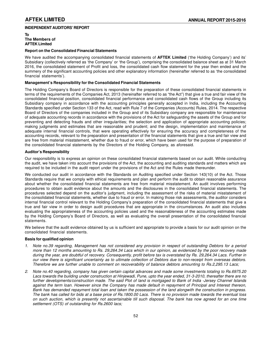# **INDEPENDENT AUDITORS' REPORT**

**To The Members of AFTEK Limited**

## **Report on the Consolidated Financial Statements**

We have audited the accompanying consolidated financial statements of **AFTEK Limited** ('the Holding Company') and its' Subsidiary (collectively referred as 'the Company' or 'the Group'), comprising the consolidated balance sheet as at 31 March 2016, the consolidated statement of Profit and loss, the consolidated cash flow statement for the year then ended and the summery of the significant accounting policies and other explanatory information (hereinafter referred to as 'the consolidated financial statements').

# **Management's Responsibility for the Consolidated Financial Statements**

The Holding Company's Board of Directors is responsible for the preparation of these consolidated financial statements in terms of the requirements of the Companies Act, 2013 (hereinafter referred to as "the Act") that give a true and fair view of the consolidated financial position, consolidated financial performance and consolidated cash flows of the Group including its Subsidiary company in accordance with the accounting principles generally accepted in India, including the Accounting Standards specified under Section 133 of the Act, read with Rule 7 of the Companies (Accounts) Rules, 2014. The respective Board of Directors of the companies included in the Group and of its Subsidiary company are responsible for maintenance of adequate accounting records in accordance with the provisions of the Act for safeguarding the assets of the Group and for preventing and detecting frauds and other irregularities; the selection and application of appropriate accounting policies; making judgments and estimates that are reasonable and prudent; and the design, implementation and maintenance of adequate internal financial controls, that were operating effectively for ensuring the accuracy and completeness of the accounting records, relevant to the preparation and presentation of the financial statements that give a true and fair view and are free from material misstatement, whether due to fraud or error, which have been used for the purpose of preparation of the consolidated financial statements by the Directors of the Holding Company, as aforesaid.

### **Auditor's Responsibility**

Our responsibility is to express an opinion on these consolidated financial statements based on our audit. While conducting the audit, we have taken into account the provisions of the Act, the accounting and auditing standards and matters which are required to be included in the audit report under the provisions of the Act and the Rules made thereunder.

We conducted our audit in accordance with the Standards on Auditing specified under Section 143(10) of the Act. Those Standards require that we comply with ethical requirements and plan and perform the audit to obtain reasonable assurance about whether the consolidated financial statements are free from material misstatement. An audit involves performing procedures to obtain audit evidence about the amounts and the disclosures in the consolidated financial statements. The procedures selected depend on the auditor's judgment, including the assessment of the risks of material misstatement of the consolidated financial statements, whether due to fraud or error. In making those risk assessments, the auditor considers internal financial control relevant to the Holding Company's preparation of the consolidated financial statements that give a true and fair view in order to design audit procedures that are appropriate in the circumstances. An audit also includes evaluating the appropriateness of the accounting policies used and the reasonableness of the accounting estimates made by the Holding Company's Board of Directors, as well as evaluating the overall presentation of the consolidated financial statements.

We believe that the audit evidence obtained by us is sufficient and appropriate to provide a basis for our audit opinion on the consolidated financial statements.

### **Basis for qualified opinion**

- *1. Note no.39 regarding, Management has not considered any provision in respect of outstanding Debtors for a period more than 12 months amounting to Rs. 29,264.34 Lacs which in our opinion, as evidenced by the poor recovery made during the year, are doubtful of recovery. Consequently, profit before tax is overstated by Rs. 29,264.34 Lacs. Further in our view there is significant uncertainty as to ultimate collection of Debtors due to non-receipt from overseas debtors. Therefore we are further unable to comment on recoverability of balance debtors amounting to Rs.2,295.13 Lacs;*
- *2. Note no.40 regarding, company has given certain capital advances and made some investments totaling to Rs.6975.20 Lacs towards the building under construction at Hinjewadi, Pune, upto the year ended, 31-3-2010, thereafter there are no further developments/construction made. The said Plot of land is mortgaged to Bank of India -Jersey Channel Islands against the term loan. However since the Company has made default in repayment of Principal and Interest thereon, Bank has demanded repayment total loan and taken the possession of the land alongwith the construction in progress. The bank has called for bids at a base price of Rs.1800.00 Lacs. There is no provision made towards the eventual loss on such auction, which is presently not ascertainable till such disposal. The bank has now agreed for an one time settlement (OTS) of outstanding for Rs.2600 lacs;*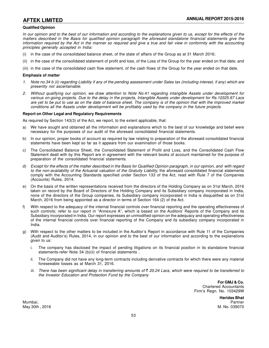## **Qualified Opinion**

*In our opinion and to the best of our information and according to the explanations given to us, except for the effects of the matters described in the Basis for qualified opinion paragraph the aforesaid standalone financial statements give the information required by the Act in the manner so required and give a true and fair view in conformity with the accounting principles generally accepted in India:*

- (i) in the case of the consolidated balance sheet, of the state of affairs of the Group as at 31 March 2016;
- (ii) in the case of the consolidated statement of profit and loss, of the Loss of the Group for the year ended on that date; and
- (iii) in the case of the consolidated cash flow statement, of the cash flows of the Group for the year ended on that date.

### **Emphasis of matter**

- *1. Note no.34 b (ii) regarding Liability if any of the pending assessment under Sales tax (including interest, if any) which are presently not ascertainable.*
- *2. Without qualifying our opinion, we draw attention to Note No.41 regarding intangible Assets under development for various on-going projects. Due to the delay in the projects, Intangible Assets under development for Rs.10325.97 Lacs are yet to be put to use as on the date of balance sheet. The company is of the opinion that with the improved market conditions all the Assets under development will be profitably used by the company in the future projects.*

### **Report on Other Legal and Regulatory Requirements**

As required by Section 143(3) of the Act, we report, to the extent applicable, that:

- a) We have sought and obtained all the information and explanations which to the best of our knowledge and belief were necessary for the purposes of our audit of the aforesaid consolidated financial statements.
- b) In our opinion, proper books of account as required by law relating to preparation of the aforesaid consolidated financial statements have been kept so far as it appears from our examination of those books.
- c) The Consolidated Balance Sheet, the Consolidated Statement of Profit and Loss, and the Consolidated Cash Flow Statement dealt with by this Report are in agreement with the relevant books of account maintained for the purpose of preparation of the consolidated financial statements.
- d) *Except for the effects of the matter described in the Basis for Qualified Opinion paragraph, in our opinion, and with regard* to the non-availability of the Actuarial valuation of the Gratuity Liability, the aforesaid consolidated financial statements comply with the Accounting Standards specified under Section 133 of the Act, read with Rule 7 of the Companies (Accounts) Rules, 2014.
- e) On the basis of the written representations received from the directors of the Holding Company as on 31st March, 2016 taken on record by the Board of Directors of the Holding Company and its Subsidiary company incorporated in India, none of the directors of the Group companies, its Subsidiary company incorporated in India is disqualified as on 31st March, 2016 from being appointed as a director in terms of Section 164 (2) of the Act.
- f) With respect to the adequacy of the internal financial controls over financial reporting and the operating effectiveness of such controls; refer to our report in "Annexure A", which is based on the Auditors' Reports of the Company and its Subsidiary incorporated in India. Our report expresses an unmodified opinion on the adequacy and operating effectiveness of the internal financial controls over financial reporting of the Company and its subsidiary company incorporated in India.
- g) With respect to the other matters to be included in the Auditor's Report in accordance with Rule 11 of the Companies (Audit and Auditor's) Rules, 2014, in our opinion and to the best of our information and according to the explanations given to us:
	- i. The company has disclosed the impact of pending litigations on its financial position in its standalone financial statements-refer Note 34 (b)(ii) of financial statements.
	- ii. The Company did not have any long-term contracts including derivative contracts for which there were any material foreseeable losses as at March 31, 2016.
	- iii. There has been significant delay in transferring amounts of ₹ 20.24 Lacs, which were required to be transferred to *the Investor Education and Protection Fund by the Company*

**For GMJ & Co.** Chartered Accountants Firm's Regn. No. 103429W

**Haridas Bhat**

Mumbai, Partner May 30th , 2016 M. No. 039070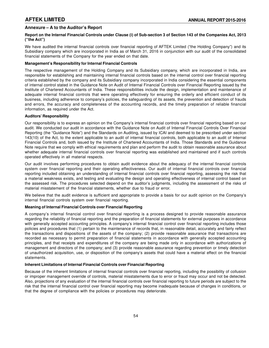# **Annexure – A to the Auditor's Report**

# **Report on the Internal Financial Controls under Clause (i) of Sub-section 3 of Section 143 of the Companies Act, 2013 ("the Act")**

We have audited the internal financial controls over financial reporting of AFTEK Limited ("the Holding Company") and its Subsidiary company which are incorporated in India as of March 31, 2016 in conjunction with our audit of the consolidated financial statements of the Company for the year ended on that date.

# **Management's Responsibility for Internal Financial Controls**

The respective management of the Holding Company and its Subsidiary company, which are incorporated in India, are responsible for establishing and maintaining internal financial controls based on the internal control over financial reporting criteria established by the company and its Subsidiary company incorporated in India considering the essential components of internal control stated in the Guidance Note on Audit of Internal Financial Controls over Financial Reporting issued by the Institute of Chartered Accountants of India. These responsibilities include the design, implementation and maintenance of adequate internal financial controls that were operating effectively for ensuring the orderly and efficient conduct of its business, including adherence to company's policies, the safeguarding of its assets, the prevention and detection of frauds and errors, the accuracy and completeness of the accounting records, and the timely preparation of reliable financial information, as required under the Act.

# **Auditors' Responsibility**

Our responsibility is to express an opinion on the Company's internal financial controls over financial reporting based on our audit. We conducted our audit in accordance with the Guidance Note on Audit of Internal Financial Controls Over Financial Reporting (the "Guidance Note") and the Standards on Auditing, issued by ICAI and deemed to be prescribed under section 143(10) of the Act, to the extent applicable to an audit of internal financial controls, both applicable to an audit of Internal Financial Controls and, both issued by the Institute of Chartered Accountants of India. Those Standards and the Guidance Note require that we comply with ethical requirements and plan and perform the audit to obtain reasonable assurance about whether adequate internal financial controls over financial reporting was established and maintained and if such controls operated effectively in all material respects.

Our audit involves performing procedures to obtain audit evidence about the adequacy of the internal financial controls system over financial reporting and their operating effectiveness. Our audit of internal financial controls over financial reporting included obtaining an understanding of internal financial controls over financial reporting, assessing the risk that a material weakness exists, and testing and evaluating the design and operating effectiveness of internal control based on the assessed risk. The procedures selected depend on the auditor's judgments, including the assessment of the risks of material misstatement of the financial statements, whether due to fraud or error.

We believe that the audit evidence is sufficient and appropriate to provide a basis for our audit opinion on the Company's internal financial controls system over financial reporting.

# **Meaning of Internal Financial Controls over Financial Reporting**

A company's internal financial control over financial reporting is a process designed to provide reasonable assurance regarding the reliability of financial reporting and the preparation of financial statements for external purposes in accordance with generally accepted accounting principles. A company's internal financial control over financial reporting includes those policies and procedures that (1) pertain to the maintenance of records that, in reasonable detail, accurately and fairly reflect the transactions and dispositions of the assets of the company; (2) provide reasonable assurance that transactions are recorded as necessary to permit preparation of financial statements in accordance with generally accepted accounting principles, and that receipts and expenditures of the company are being made only in accordance with authorizations of management and directors of the company; and (3) provide reasonable assurance regarding prevention or timely detection of unauthorized acquisition, use, or disposition of the company's assets that could have a material effect on the financial statements.

# **Inherent Limitations of Internal Financial Controls over Financial Reporting**

Because of the inherent limitations of internal financial controls over financial reporting, including the possibility of collusion or improper management override of controls, material misstatements due to error or fraud may occur and not be detected. Also, projections of any evaluation of the internal financial controls over financial reporting to future periods are subject to the risk that the internal financial control over financial reporting may become inadequate because of changes in conditions, or that the degree of compliance with the policies or procedures may deteriorate.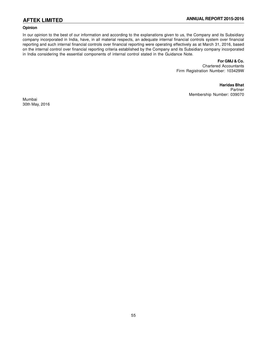# **Opinion**

In our opinion to the best of our information and according to the explanations given to us, the Company and its Subsidiary company incorporated in India, have, in all material respects, an adequate internal financial controls system over financial reporting and such internal financial controls over financial reporting were operating effectively as at March 31, 2016, based on the internal control over financial reporting criteria established by the Company and its Subsidiary company incorporated in India considering the essential components of internal control stated in the Guidance Note.

# **For GMJ & Co.**

Chartered Accountants Firm Registration Number: 103429W

> **Haridas Bhat** Partner Membership Number: 039070

Mumbai 30th May, 2016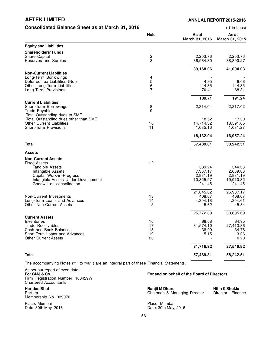| <b>Consolidated Balance Sheet as at March 31, 2016</b>                                   |                              |                         | (₹in Lacs)              |
|------------------------------------------------------------------------------------------|------------------------------|-------------------------|-------------------------|
|                                                                                          | <b>Note</b>                  | As at<br>March 31, 2016 | As at<br>March 31, 2015 |
| <b>Equity and Liabilities</b>                                                            |                              |                         |                         |
| <b>Shareholders' Funds</b>                                                               |                              |                         |                         |
| Share Capital<br>Reserves and Surplus                                                    | $\overline{\mathbf{c}}$<br>3 | 2,203.76<br>36,964.30   | 2,203.76<br>38,890.27   |
|                                                                                          |                              |                         |                         |
| <b>Non-Current Liabilities</b>                                                           |                              | 39,168.06               | 41,094.03               |
| Long-Term Borrowings                                                                     |                              |                         |                         |
| Deferred Tax Liabilities (Net)                                                           | $\frac{4}{5}$                | 4.95                    | 8.08                    |
| Other Long-Term Liabilities                                                              | $\,6$                        | 114.35                  | 114.35                  |
| Long-Term Provisions                                                                     | 7                            | 70.41                   | 68.81                   |
|                                                                                          |                              | 189.71                  | 191.24                  |
| <b>Current Liabilities</b><br>Short-Term Borrowings                                      | 8                            | 2,314.04                | 2,317.02                |
| <b>Trade Payables</b>                                                                    | 9                            |                         |                         |
| Total Outstanding dues to SME                                                            |                              |                         |                         |
| Total Outstanding dues other than SME                                                    |                              | 18.52                   | 17.30                   |
| <b>Other Current Liabilities</b>                                                         | 10                           | 14,714.32               | 13,591.65               |
| <b>Short-Term Provisions</b>                                                             | 11                           | 1,085.16                | 1,031.27                |
|                                                                                          |                              | 18,132.04               | 16,957.24               |
| <b>Total</b>                                                                             |                              | 57,489.81               | 58,242.51               |
| <b>Assets</b>                                                                            |                              |                         |                         |
| <b>Non-Current Assets</b>                                                                |                              |                         |                         |
| <b>Fixed Assets</b>                                                                      | 12                           |                         |                         |
| Tangible Assets                                                                          |                              | 339.24                  | 344.33                  |
| Intangible Assets<br>Capital Work-in-Progress                                            |                              | 7,307.17<br>2,831.19    | 2,609.88<br>2,831.19    |
| Intangible Assets Under Development                                                      |                              | 10,325.97               | 19,910.32               |
| Goodwill on consolidation                                                                |                              | 241.45                  | 241.45                  |
|                                                                                          |                              | 21,045.02               | 25,937.17               |
| Non-Current Investments                                                                  | 13                           | 408.07                  | 408.07                  |
| Long-Term Loans and Advances                                                             | 14                           | 4,304.18                | 4,304.61                |
| <b>Other Non-Current Assets</b>                                                          | 15                           | 15.62                   | 45.84                   |
|                                                                                          |                              | 25,772.89               | 30,695.69               |
| <b>Current Assets</b>                                                                    |                              |                         |                         |
| Inventories<br><b>Trade Receivables</b>                                                  | 16<br>17                     | 88.68<br>31,574.10      | 84.95<br>27,413.86      |
| Cash and Bank Balances                                                                   | 18                           | 38.99                   | 34.76                   |
| Short-Term Loans and Advances                                                            | 19                           | 15.15                   | 13.06                   |
| <b>Other Current Assets</b>                                                              | 20                           |                         | 0.20                    |
|                                                                                          |                              | 31,716.92               | 27,546.82               |
| <b>Total</b>                                                                             |                              | 57,489.81               | 58,242.51               |
| The accompanying Notes ("1" to "46") are an integral part of these Financial Statements. |                              |                         |                         |

As per our report of even date. Firm Registration Number: 103429W Chartered Accountants

Membership No. 039070

Place: Mumbai **Place: Mumbai Place: Mumbai Place: Mumbai** Place: Mumbai Place: Mumbai Place: 20th May,

# **For GMJ & Co. For and on behalf of the Board of Directors**

**Haridas Bhat Ranjit M Dhuru Nitin K Shukla**<br> **Partner Director - Finance Chairman & Managing Director Children Director - Finance** Partner Chairman & Managing Director

Date: 30th May, 2016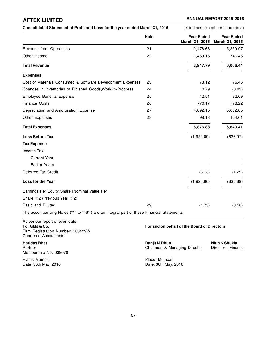Consolidated Statement of Profit and Loss for the year ended March 31, 2016 (₹ in Lacs except per share data)

|                                                                                          | <b>Note</b> | <b>Year Ended</b><br>March 31, 2016 | <b>Year Ended</b><br>March 31, 2015 |
|------------------------------------------------------------------------------------------|-------------|-------------------------------------|-------------------------------------|
| Revenue from Operations                                                                  | 21          | 2,478.63                            | 5,259.97                            |
| Other Income                                                                             | 22          | 1,469.16                            | 746.46                              |
| <b>Total Revenue</b>                                                                     |             | 3,947.79                            | 6,006.44                            |
| <b>Expenses</b>                                                                          |             |                                     |                                     |
| Cost of Materials Consumed & Software Development Expenses                               | 23          | 73.12                               | 76.46                               |
| Changes in Inventories of Finished Goods, Work-in-Progress                               | 24          | 0.79                                | (0.83)                              |
| <b>Employee Benefits Expense</b>                                                         | 25          | 42.51                               | 82.09                               |
| <b>Finance Costs</b>                                                                     | 26          | 770.17                              | 778.22                              |
| Depreciation and Amortisation Expense                                                    | 27          | 4,892.15                            | 5,602.85                            |
| Other Expenses                                                                           | 28          | 98.13                               | 104.61                              |
| <b>Total Expenses</b>                                                                    |             | 5,876.88                            | 6,643.41                            |
| <b>Loss Before Tax</b>                                                                   |             | (1,929.09)                          | (636.97)                            |
| <b>Tax Expense</b>                                                                       |             |                                     |                                     |
| Income Tax:                                                                              |             |                                     |                                     |
| <b>Current Year</b>                                                                      |             |                                     |                                     |
| Earlier Years                                                                            |             |                                     |                                     |
| Deferred Tax Credit                                                                      |             | (3.13)                              | (1.29)                              |
| Loss for the Year                                                                        |             | (1,925.96)                          | (635.68)                            |
| Earnings Per Equity Share [Nominal Value Per                                             |             |                                     |                                     |
| Share: ₹2 (Previous Year: ₹2)]                                                           |             |                                     |                                     |
| <b>Basic and Diluted</b>                                                                 | 29          | (1.75)                              | (0.58)                              |
| The accompanying Notes ("1" to "46") are an integral part of these Financial Statements. |             |                                     |                                     |
| As ner our renort of even date                                                           |             |                                     |                                     |

As per our report of even date. **For GMJ & Co. For and on behalf of the Board of Directors** Firm Registration Number: 103429W Chartered Accountants

Membership No. 039070

Place: Mumbai Place: Mumbai

**Haridas Bhat Nitin K Shukla**<br> **Partner Nitin K Shukla**<br> **Partner Director - Finance Ranjit M Dhuru Chairman & Managing Director • Director - Finance** Chairman & Managing Director

Date: 30th May, 2016 **Date: 30th May, 2016**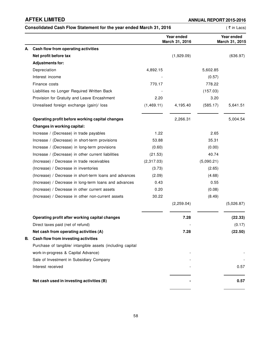|    | Consolidated Cash Flow Statement for the year ended March 31, 2016 |            |                              |            | (₹in Lacs)                   |
|----|--------------------------------------------------------------------|------------|------------------------------|------------|------------------------------|
|    |                                                                    |            | Year ended<br>March 31, 2016 |            | Year ended<br>March 31, 2015 |
| А. | Cash flow from operating activities                                |            |                              |            |                              |
|    | Net profit before tax                                              |            | (1,929.09)                   |            | (636.97)                     |
|    | <b>Adjustments for:</b>                                            |            |                              |            |                              |
|    | Depreciation                                                       | 4,892.15   |                              | 5,602.85   |                              |
|    | Interest income                                                    |            |                              | (0.57)     |                              |
|    | Finance costs                                                      | 770.17     |                              | 778.22     |                              |
|    | Liabilities no Longer Required Written Back                        |            |                              | (157.03)   |                              |
|    | Provision for Gratuity and Leave Encashment                        | 2.20       |                              | 3.20       |                              |
|    | Unrealised foreign exchange (gain)/ loss                           | (1,469.11) | 4,195.40                     | (585.17)   | 5,641.51                     |
|    | Operating profit before working capital changes                    |            | 2,266.31                     |            | 5,004.54                     |
|    | Changes in working capital:                                        |            |                              |            |                              |
|    | Increase / (Decrease) in trade payables                            | 1.22       |                              | 2.65       |                              |
|    | Increase / (Decrease) in short-term provisions                     | 53.88      |                              | 35.31      |                              |
|    | Increase / (Decrease) in long-term provisions                      | (0.60)     |                              | (0.00)     |                              |
|    | Increase / (Decrease) in other current liabilities                 | (21.53)    |                              | 40.74      |                              |
|    | (Increase) / Decrease in trade receivables                         | (2,317.03) |                              | (5,090.21) |                              |
|    | (Increase) / Decrease in inventories                               | (3.73)     |                              | (2.65)     |                              |
|    | (Increase) / Decrease in short-term loans and advances             | (2.09)     |                              | (4.68)     |                              |
|    | (Increase) / Decrease in long-term loans and advances              | 0.43       |                              | 0.55       |                              |
|    | (Increase) / Decrease in other current assets                      | 0.20       |                              | (0.08)     |                              |
|    | (Increase) / Decrease in other non-current assets                  | 30.22      |                              | (8.49)     |                              |
|    |                                                                    |            | (2,259.04)                   |            | (5,026.87)                   |
|    | Operating profit after working capital changes                     |            | 7.28                         |            | (22.33)                      |
|    | Direct taxes paid (net of refund)                                  |            |                              |            | (0.17)                       |
|    | Net cash from operating activities (A)                             |            | 7.28                         |            | (22.50)                      |
| В. | Cash flow from investing activities                                |            |                              |            |                              |
|    | Purchase of tangible/ intangible assets (including capital         |            |                              |            |                              |
|    | work-in-progress & Capital Advance)                                |            |                              |            |                              |
|    | Sale of Investment in Subsidiary Company                           |            |                              |            |                              |
|    | Interest received                                                  |            |                              |            | 0.57                         |
|    | Net cash used in investing activities (B)                          |            |                              |            | 0.57                         |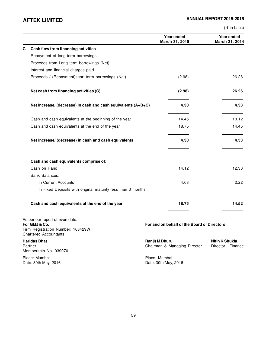| Year ended<br>March 31, 2015 | Year ended     |
|------------------------------|----------------|
|                              | March 31, 2014 |
|                              |                |
|                              |                |
|                              |                |
|                              |                |
| (2.98)                       | 26.26          |
| (2.98)                       | 26.26          |
| 4.30                         | 4.33           |
| 14.45                        | 10.12          |
| 18.75                        | 14.45          |
| 4.30                         | 4.33           |
|                              |                |
| 14.12                        | 12.30          |
|                              |                |
| 4.63                         | 2.22           |
|                              |                |
| 18.75                        | 14.52          |
|                              |                |

As per our report of even date.<br>For GMJ & Co. Firm Registration Number: 103429W Chartered Accountants

Membership No. 039070

Date: 30th May, 2016

**For GMJ & Co. For and on behalf of the Board of Directors**

**Haridas Bhat Nitin K Shukla**<br> **Partner Nitin K Shukla**<br> **Partner Director - Finance Chairman & Managing Director <b>Director** - Finance Partner Chairman & Managing Director - Finance Director - Finance Director - Finance Director - Finance Director

Place: Mumbai Place: Mumbai Place: Mumbai Place: Mumbai Place: Mumbai Place: Mumbai Place: 30th May, 2016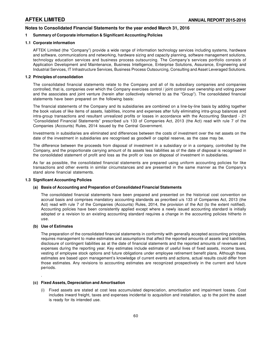# **Notes to Consolidated Financial Statements for the year ended March 31, 2016**

# **1 Summary of Corporate information & Significant Accounting Policies**

# **1.1 Corporate information**

AFTEK Limited (the "Company") provide a wide range of information technology services including systems, hardware and software, communications and networking, hardware sizing and capacity planning, software management solutions, technology education services and business process outsourcing. The Company's services portfolio consists of Application Development and Maintenance, Business Intelligence, Enterprise Solutions, Assurance, Engineering and Industrial Services, IT Infrastructure Services, Business Process Outsourcing, Consulting and Asset Leveraged Solutions.

# **1.2 Principles of consolidation**

The consolidated financial statements relate to the Company and all of its subsidiary companies and companies controlled, that is, companies over which the Company exercises control / joint control over ownership and voting power and the associates and joint venture (herein after collectively referred to as the "Group"). The consolidated financial statements have been prepared on the following basis:

The financial statements of the Company and its subsidiaries are combined on a line-by-line basis by adding together the book values of like items of assets, liabilities, income and expenses after fully eliminating intra-group balances and intra-group transactions and resultant unrealized profits or losses in accordance with the Accounting Standard - 21 "Consolidated Financial Statements" prescribed u/s 133 of Companies Act, 2013 (the Act) read with rule 7 of the Companies (Accounts) Rules, 2014 issued by the Central Government.

Investments in subsidiaries are eliminated and differences between the costs of investment over the net assets on the date of the investment in subsidiaries are recognised as goodwill or capital reserve, as the case may be.

The difference between the proceeds from disposal of investment in a subsidiary or in a company, controlled by the Company, and the proportionate carrying amount of its assets less liabilities as of the date of disposal is recognised in the consolidated statement of profit and loss as the profit or loss on disposal of investment in subsidiaries.

As far as possible, the consolidated financial statements are prepared using uniform accounting policies for like transactions and other events in similar circumstances and are presented in the same manner as the Company's stand alone financial statements.

# **1.3 Significant Accounting Policies**

# **(a) Basis of Accounting and Preparation of Consolidated Financial Statements**

The consolidated financial statements have been prepared and presented on the historical cost convention on accrual basis and comprises mandatory accounting standards as precribed u/s 133 of Companies Act, 2013 (the Act) read with rule 7 of the Companies (Accounts) Rules, 2014, the provision of the Act (to the extent notified). Accounting policies have been consistently applied except where a newly issued accounting standard is initially adopted or a revision to an existing accounting standard requires a change in the accounting policies hitherto in use.

# **(b) Use of Estimates**

.

The preparation of the consolidated financial statements in conformity with generally accepted accounting principles requires management to make estimates and assumptions that affect the reported amounts of assets and liabilities, disclosure of contingent liabilities as at the date of financial statements and the reported amounts of revenues and expenses during the reporting year. Key estimates include estimate of useful lives of fixed assets, income taxes, vesting of employee stock options and future obligations under employee retirement benefit plans. Although these estimates are based upon management's knowledge of current events and actions, actual results could differ from those estimates. Any revisions to accounting estimates are recognized prospectively in the current and future periods.

# **(c) Fixed Assets, Depreciation and Amortisation**

(i) Fixed assets are stated at cost less accumulated depreciation, amortisation and impairment losses. Cost includes inward freight, taxes and expenses incidental to acquisition and installation, up to the point the asset is ready for its intended use.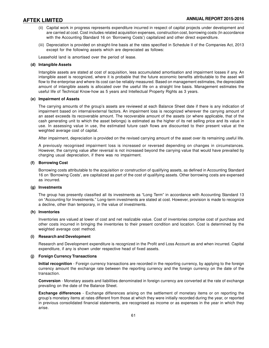- (ii) Capital work in progress represents expenditure incurred in respect of capital projects under development and are carried at cost. Cost includes related acquisition expenses, construction cost, borrowing costs (In accordance with the Accounting Standard 16 on 'Borrowing Costs') capitalized and other direct expenditure.
- (iii) Depreciation is provided on straight-line basis at the rates specified in Schedule II of the Companies Act, 2013 except for the following assets which are depreciated as follows:

Leasehold land is amortised over the period of lease.

## **(d) Intangible Assets**

Intangible assets are stated at cost of acquisition, less accumulated amortisation and impairment losses if any. An intangible asset is recognized, where it is probable that the future economic benefits attributable to the asset will flow to the enterprise and where its cost can be reliably measured. Based on management estimates, the depreciable amount of intangible assets is allocated over the useful life on a straight line basis. Management estimates the useful life of Technical Know-how as 5 years and Intellectual Property Rights as 3 years.

### **(e) Impairment of Assets**

The carrying amounts of the group's assets are reviewed at each Balance Sheet date if there is any indication of impairment based on internal/external factors. An impairment loss is recognized wherever the carrying amount of an asset exceeds its recoverable amount. The recoverable amount of the assets (or where applicable, that of the cash generating unit to which the asset belongs) is estimated as the higher of its net selling price and its value in use. In assessing value in use, the estimated future cash flows are discounted to their present value at the weighted average cost of capital.

After impairment, depreciation is provided on the revised carrying amount of the asset over its remaining useful life.

A previously recognised impairment loss is increased or reversed depending on changes in circumstances. However, the carrying value after reversal is not increased beyond the carrying value that would have prevailed by charging usual depreciation, if there was no impairment.

### **(f) Borrowing Cost**

Borrowing costs attributable to the acquisition or construction of qualifying assets, as defined in Accounting Standard 16 on 'Borrowing Costs', are capitalized as part of the cost of qualifying assets. Other borrowing costs are expensed as incurred.

### **(g) Investments**

The group has presently classified all its investments as "Long Term" in accordance with Accounting Standard 13 on "Accounting for Investments." Long-term investments are stated at cost. However, provision is made to recognize a decline, other than temporary, in the value of investments.

### **(h) Inventories**

Inventories are valued at lower of cost and net realizable value. Cost of inventories comprise cost of purchase and other costs incurred in bringing the inventories to their present condition and location. Cost is determined by the weighted average cost method.

### **(i) Research and Development**

Research and Development expenditure is recognized in the Profit and Loss Account as and when incurred. Capital expenditure, if any is shown under respective head of fixed assets.

# **(j) Foreign Currency Transactions**

**Initial recognition** - Foreign currency transactions are recorded in the reporting currency, by applying to the foreign currency amount the exchange rate between the reporting currency and the foreign currency on the date of the transaction.

**Conversion** - Monetary assets and liabilities denominated in foreign currency are converted at the rate of exchange prevailing on the date of the Balance Sheet.

**Exchange differences** - Exchange differences arising on the settlement of monetary items or on reporting the group's monetary items at rates different from those at which they were initially recorded during the year, or reported in previous consolidated financial statements, are recognised as income or as expenses in the year in which they arise.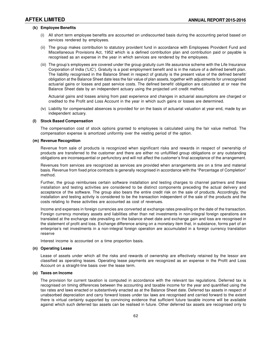# **(k) Employee Benefits**

- (i) All short term employee benefits are accounted on undiscounted basis during the accounting period based on services rendered by employees.
- (ii) The group makes contribution to statutory provident fund in accordance with Employees Provident Fund and Miscellaneous Provisions Act, 1952 which is a defined contribution plan and contribution paid or payable is recognised as an expense in the year in which services are rendered by the employees.
- (iii) The group's employees are covered under the group gratuity cum life assurance scheme with the Life Insurance Corporation of India ('LIC'). Gratuity is a post employment benefit and is in the nature of a defined benefit plan. The liability recognised in the Balance Sheet in respect of gratuity is the present value of the defined benefit/ obligation at the Balance Sheet date less the fair value of plan assets, together with adjustments for unrecognised actuarial gains or losses and past service costs. The defined benefit/ obligation are calculated at or near the Balance Sheet date by an independent actuary using the projected unit credit method.

Actuarial gains and losses arising from past experience and changes in actuarial assumptions are charged or credited to the Profit and Loss Account in the year in which such gains or losses are determined.

(iv) Liability for compensated absences is provided for on the basis of actuarial valuation at year-end, made by an independent actuary.

### **(l) Stock Based Compensation**

The compensation cost of stock options granted to employees is calculated using the fair value method. The compensation expense is amortized uniformly over the vesting period of the option.

### **(m) Revenue Recognition**

Revenue from sale of products is recognized when significant risks and rewards in respect of ownership of products are transferred to the customer and there are either no unfulfilled group obligations or any outstanding obligations are inconsequential or perfunctory and will not affect the customer's final acceptance of the arrangement.

Revenues from services are recognized as services are provided when arrangements are on a time and material basis. Revenue from fixed price contracts is generally recognised in accordance with the "Percentage of Completion" method.

Further, the group reimburses certain software installation and testing charges to channel partners and these installation and testing activities are considered to be distinct components preceding the actual delivery and acceptance of the software. The group also bears the entire credit risk on the sale of products. Accordingly, the installation and testing activity is considered to be the transaction independent of the sale of the products and the costs relating to these activities are accounted as cost of revenues.

Income and expenses in foreign currencies are converted at exchange rates prevailing on the date of the transaction. Foreign currency monetary assets and liabilities other than net investments in non-integral foreign operations are translated at the exchange rate prevailing on the balance sheet date and exchange gain and loss are recognised in the statement of profit and loss. Exchange difference arising on a monetary item that, in substance, forms part of an enterprise's net investments in a non-integral foreign operation are accumulated in a foreign currency translation reserve

Interest income is accounted on a time proportion basis.

## **(n) Operating Lease**

Lease of assets under which all the risks and rewards of ownership are effectively retained by the lessor are classified as operating leases. Operating lease payments are recognized as an expense in the Profit and Loss Account on a straight-line basis over the lease term.

# **(o) Taxes on Income**

The provision for current taxation is computed in accordance with the relevant tax regulations. Deferred tax is recognised on timing differences between the accounting and taxable income for the year and quantified using the tax rates and laws enacted or substantively enacted as at the Balance Sheet date. Deferred tax assets in respect of unabsorbed depreciation and carry forward losses under tax laws are recognised and carried forward to the extent there is virtual certainty supported by convincing evidence that sufficient future taxable income will be available against which such deferred tax assets can be realised in future. Other deferred tax assets are recognised only to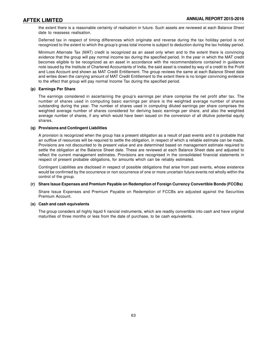the extent there is a reasonable certainty of realisation in future. Such assets are reviewed at each Balance Sheet date to reassess realisation.

Deferred tax in respect of timing differences which originate and reverse during the tax holiday period is not recognized to the extent to which the group's gross total income is subject to deduction during the tax holiday period.

Minimum Alternate Tax (MAT) credit is recognized as an asset only when and to the extent there is convincing evidence that the group will pay normal income tax during the specified period. In the year in which the MAT credit becomes eligible to be recognized as an asset in accordance with the recommendations contained in guidance note issued by the Institute of Chartered Accountants of India, the said asset is created by way of a credit to the Profit and Loss Account and shown as MAT Credit Entitlement. The group reviews the same at each Balance Sheet date and writes down the carrying amount of MAT Credit Entitlement to the extent there is no longer convincing evidence to the effect that group will pay normal Income Tax during the specified period.

# **(p) Earnings Per Share**

The earnings considered in ascertaining the group's earnings per share comprise the net profit after tax. The number of shares used in computing basic earnings per share is the weighted average number of shares outstanding during the year. The number of shares used in computing diluted earnings per share comprises the weighted average number of shares considered for deriving basic earnings per share, and also the weighted average number of shares, if any which would have been issued on the conversion of all dilutive potential equity shares.

# **(q) Provisions and Contingent Liabilities**

A provision is recognized when the group has a present obligation as a result of past events and it is probable that an outflow of resources will be required to settle the obligation, in respect of which a reliable estimate can be made. Provisions are not discounted to its present value and are determined based on management estimate required to settle the obligation at the Balance Sheet date. These are reviewed at each Balance Sheet date and adjusted to reflect the current management estimates. Provisions are recognised in the consolidated financial statements in respect of present probable obligations, for amounts which can be reliably estimated.

Contingent Liabilities are disclosed in respect of possible obligations that arise from past events, whose existence would be confirmed by the occurrence or non occurrence of one or more uncertain future events not wholly within the control of the group.

# **(r) Share Issue Expenses and Premium Payable on Redemption of Foreign Currency Convertible Bonds (FCCBs)**

Share Issue Expenses and Premium Payable on Redemption of FCCBs are adjusted against the Securities Premium Account.

### **(s) Cash and cash equivalents**

The group considers all highly liquid fi nancial instruments, which are readily convertible into cash and have original maturities of three months or less from the date of purchase, to be cash equivalents.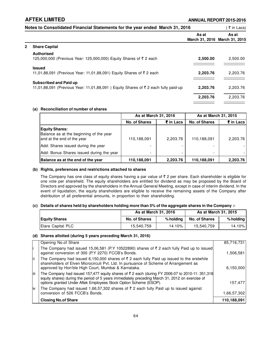|              | Notes to Consolidated Financial Statements for the year ended March 31, 2016                                        |          | ्₹ in Lacs)                            |
|--------------|---------------------------------------------------------------------------------------------------------------------|----------|----------------------------------------|
|              |                                                                                                                     | As at    | As at<br>March 31, 2016 March 31, 2015 |
| $\mathbf{2}$ | <b>Share Capital</b>                                                                                                |          |                                        |
|              | <b>Authorised</b><br>125,000,000 (Previous Year: 125,000,000) Equity Shares of ₹2 each                              | 2.500.00 | 2,500.00                               |
|              | <b>Issued</b><br>11,01,88,091 (Previous Year: 11,01,88,091) Equity Shares of ₹2 each                                | 2.203.76 | 2,203.76                               |
|              | <b>Subscribed and Paid up</b><br>11,01,88,091 (Previous Year: 11,01,88,091) Equity Shares of ₹ 2 each fully paid-up | 2,203.76 | 2,203.76                               |
|              |                                                                                                                     | 2,203.76 | 2.203.76                               |

# **(a) Reconciliation of number of shares**

|                                                                                                | As at March 31, 2016     |           | As at March 31, 2015 |           |
|------------------------------------------------------------------------------------------------|--------------------------|-----------|----------------------|-----------|
|                                                                                                | <b>No. of Shares</b>     | ₹ in Lacs | <b>No. of Shares</b> | ₹ in Lacs |
| <b>Equity Shares:</b><br>Balance as at the beginning of the year<br>and at the end of the year | 110,188,091              | 2,203.76  | 110,188,091          | 2.203.76  |
| Add: Shares issued during the year                                                             | $\overline{\phantom{0}}$ |           |                      |           |
| Add: Bonus Shares issued during the year                                                       | $\overline{\phantom{0}}$ |           |                      |           |
| Balance as at the end of the year                                                              | 110,188,091              | 2,203.76  | 110,188,091          | 2,203.76  |

# **(b) Rights, preferences and restrictions attached to shares**

The Company has one class of equity shares having a par value of  $\bar{\tau}$  2 per share. Each shareholder is eligible for one vote per shareheld. The equity shareholders are entitled for dividend as may be proposed by the Board of Directors and approved by the shareholders in the Annual General Meeting, except in case of interim dividend. In the event of liquidation, the equity shareholders are eligible to receive the remaining assets of the Company after distribution of all preferential amounts, in proportion to their shareholding.

# **(c) Details of shares held by shareholders holding more than 5% of the aggregate shares in the Company :-**

|                      | As at March 31, 2016 |           | As at March 31, 2015 |                 |
|----------------------|----------------------|-----------|----------------------|-----------------|
| <b>Equity Shares</b> | No. of Shares        | % holdina | <b>No. of Shares</b> | $%$ holding $ $ |
| Elara Capital PLC    | 15.540.759           | 14.10%    | 15,540,759           | 14.10%          |

### **(d) Shares allotted (during 5 years preceding March 31, 2016)**

|      | Opening No.of Share                                                                                                                                                                                                                                                     | 85,716,731  |
|------|-------------------------------------------------------------------------------------------------------------------------------------------------------------------------------------------------------------------------------------------------------------------------|-------------|
| li.  | The Company had issued 15,06,581 (P.Y 10522890) shares of ₹ 2 each fully Paid up to issued<br>against conversion of 300 (P.Y 2270) FCCB's Bonds.                                                                                                                        | 1,506,581   |
| lii. | The Company had issued 6,150,000 shares of $\overline{\zeta}$ 2 each fully Paid up issued to the erstwhile<br>shareholders of Elven Microcircuit Pvt. Ltd. In pursuance of Scheme of Arrangement as<br>approved by Hon'ble High Court, Mumbai & Karnataka.              | 6,150,000   |
| liii | The Company had issued 157,477 equity shares of ₹2 each (during FY 2006-07 to 2010-11: 351,318)<br>equity shares) during the period of 5 years immediately preceding March 31, 2012 on exercise of<br>options granted Under Aftek Employees Stock Option Scheme (ESOP). | 157,477     |
| liv  | The Company had issued 1,66,57,302 shares of $\bar{\tau}$ 2 each fully Paid up to issued against<br>conversion of 526 FCCB's Bonds.                                                                                                                                     | 1,66,57,302 |
|      | <b>Closing No.of Share</b>                                                                                                                                                                                                                                              | 110,188,091 |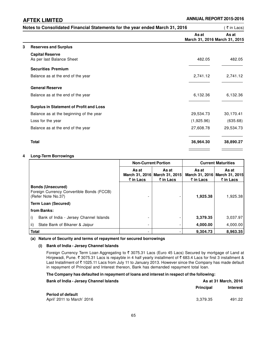|   | Notes to Consolidated Financial Statements for the year ended March 31, 2016 |                                        | ∶ ₹ in Lacs) |
|---|------------------------------------------------------------------------------|----------------------------------------|--------------|
|   |                                                                              | As at<br>March 31, 2016 March 31, 2015 | As at        |
| 3 | <b>Reserves and Surplus</b>                                                  |                                        |              |
|   | <b>Capital Reserve</b><br>As per last Balance Sheet                          | 482.05                                 | 482.05       |
|   | <b>Securities Premium</b>                                                    |                                        |              |
|   | Balance as at the end of the year                                            | 2,741.12                               | 2,741.12     |
|   | <b>General Reserve</b>                                                       |                                        |              |
|   | Balance as at the end of the year                                            | 6,132.36                               | 6,132.36     |
|   | <b>Surplus in Statement of Profit and Loss</b>                               |                                        |              |
|   | Balance as at the beginning of the year                                      | 29,534.73                              | 30,170.41    |
|   | Loss for the year                                                            | (1,925.96)                             | (635.68)     |
|   | Balance as at the end of the year                                            | 27,608.78                              | 29,534.73    |
|   | <b>Total</b>                                                                 | 36,964.30                              | 38,890.27    |

### **4 Long-Term Borrowings**

|                                                                                             | <b>Non-Current Portion</b> |                                                             | <b>Current Maturities</b> |                                                                |
|---------------------------------------------------------------------------------------------|----------------------------|-------------------------------------------------------------|---------------------------|----------------------------------------------------------------|
|                                                                                             | As at<br>$\bar{z}$ in Lacs | As at<br>March 31, 2016 March 31, 2015<br>$\bar{z}$ in Lacs | As at<br>₹ in Lacs        | As at<br>March 31, 2016 March 31, 2015<br>$\bar{\tau}$ in Lacs |
| <b>Bonds (Unsecured)</b><br>Foreign Currency Convertible Bonds (FCCB)<br>(Refer Note No.37) |                            |                                                             | 1.925.38                  | 1,925.38                                                       |
| Term Loan (Secured)                                                                         |                            |                                                             |                           |                                                                |
| from Banks:                                                                                 |                            |                                                             |                           |                                                                |
| Bank of India - Jersey Channel Islands<br>i)                                                |                            |                                                             | 3,379.35                  | 3,037.97                                                       |
| ii)<br>State Bank of Bikaner & Jaipur                                                       | $\overline{\phantom{0}}$   |                                                             | 4,000.00                  | 4,000.00                                                       |
| <b>Total</b>                                                                                |                            |                                                             | 9,304.73                  | 8,963.35                                                       |

### **(a) Nature of Security and terms of repayment for secured borrowings**

# **(i) Bank of India - Jersey Channel Islands**

Foreign Currency Term Loan Aggregating to ₹ 3075.31 Lacs (Euro 45 Lacs) Secured by mortgage of Land at Hinjewadi, Pune.  $\bar{\tau}$  3075.31 Lacs is repayble in 4 half yearly installment of  $\bar{\tau}$  683.4 Lacs for first 3 installment & Last Installment of ₹1025.11 Lacs from July 11 to January 2013. However since the Company has made default in repayment of Principal and Interest thereon, Bank has demanded repayment total loan.

# **The Company has defaulted in repayment of loans and interest in respect of the following:**

| <b>Bank of India - Jersey Channel Islands</b> | As at 31 March, 2016 |          |  |  |
|-----------------------------------------------|----------------------|----------|--|--|
|                                               | <b>Principal</b>     | Interest |  |  |
| <b>Period of default</b>                      |                      |          |  |  |
| April' 2011 to March' 2016                    | 3.379.35             | 491.22   |  |  |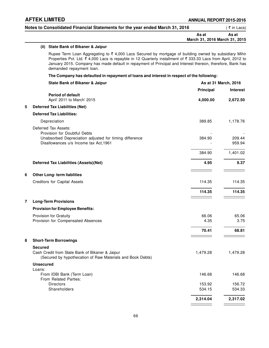| Notes to Consolidated Financial Statements for the year ended March 31, 2016 |       | ( ₹ in Lacs)                  |  |  |
|------------------------------------------------------------------------------|-------|-------------------------------|--|--|
|                                                                              | As at | As at                         |  |  |
|                                                                              |       | March 31, 2016 March 31, 2015 |  |  |

# **(ii) State Bank of Bikaner & Jaipur**

Rupee Term Loan Aggregating to  $\bar{\tau}$  4,000 Lacs Secured by mortgage of building owned by subsidiary Mihir Properties Pvt. Ltd. ₹ 4,000 Lacs is repayble in 12 Quarterly installment of ₹ 333.33 Lacs from April, 2012 to January 2015. Company has made default in repayment of Principal and Interest thereon, therefore, Bank has demanded repayment loan.

## **The Company has defaulted in repayment of loans and interest in respect of the following:**

|   | <b>State Bank of Bikaner &amp; Jaipur</b>                                                                                       | As at 31 March, 2016 |                  |  |
|---|---------------------------------------------------------------------------------------------------------------------------------|----------------------|------------------|--|
|   |                                                                                                                                 | Principal            | <b>Interest</b>  |  |
|   | <b>Period of default</b><br>April' 2011 to March' 2015                                                                          | 4,000.00             | 2,672.50         |  |
| 5 | <b>Deferred Tax Liabilities (Net)</b>                                                                                           |                      |                  |  |
|   | <b>Deferred Tax Liabilities:</b>                                                                                                |                      |                  |  |
|   | Depreciation                                                                                                                    | 389.85               | 1,178.76         |  |
|   | Deferred Tax Assets:<br>Provision for Doubtful Debts                                                                            |                      |                  |  |
|   | Unabsorbed Depreciation adjusted for timing difference<br>Disallowances u/s Income tax Act, 1961                                | 384.90               | 209.44<br>959.94 |  |
|   |                                                                                                                                 | 384.90               | 1,401.02         |  |
|   | <b>Deferred Tax Liabilities (Assets)(Net)</b>                                                                                   | 4.95                 | 9.37             |  |
| 6 | <b>Other Long-term liablities</b>                                                                                               |                      |                  |  |
|   | Creditors for Capital Assets                                                                                                    | 114.35               | 114.35           |  |
|   |                                                                                                                                 | 114.35               | 114.35           |  |
| 7 | <b>Long-Term Provisions</b>                                                                                                     |                      |                  |  |
|   | <b>Provision for Employee Benefits:</b>                                                                                         |                      |                  |  |
|   | Provision for Gratuity                                                                                                          | 66.06                | 65.06            |  |
|   | Provision for Compensated Absences                                                                                              | 4.35                 | 3.75             |  |
|   |                                                                                                                                 | 70.41                | 68.81            |  |
| 8 | <b>Short-Term Borrowings</b>                                                                                                    |                      |                  |  |
|   | <b>Secured</b><br>Cash Credit from State Bank of Bikaner & Jaipur<br>(Secured by hypothecation of Raw Materials and Book Debts) | 1,479.28             | 1,479.28         |  |
|   | <b>Unsecured</b>                                                                                                                |                      |                  |  |
|   | Loans:<br>From IDBI Bank (Term Loan)<br>From Related Parties:                                                                   | 146.68               | 146.68           |  |
|   | <b>Directors</b>                                                                                                                | 153.92               | 156.72           |  |
|   | Shareholders                                                                                                                    | 534.15               | 534.33           |  |
|   |                                                                                                                                 | 2,314.04             | 2,317.02         |  |
|   |                                                                                                                                 |                      |                  |  |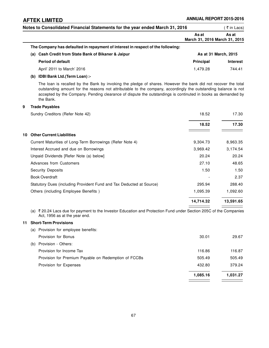| Notes to Consolidated Financial Statements for the year ended March 31, 2016                                                                                                                                                                                                                                                                                 |                                        |                      |  |
|--------------------------------------------------------------------------------------------------------------------------------------------------------------------------------------------------------------------------------------------------------------------------------------------------------------------------------------------------------------|----------------------------------------|----------------------|--|
|                                                                                                                                                                                                                                                                                                                                                              | As at<br>March 31, 2016 March 31, 2015 | As at                |  |
| The Company has defaulted in repayment of interest in respect of the following:                                                                                                                                                                                                                                                                              |                                        |                      |  |
| (a) Cash Credit from State Bank of Bikaner & Jaipur                                                                                                                                                                                                                                                                                                          |                                        | As at 31 March, 2015 |  |
| <b>Period of default</b>                                                                                                                                                                                                                                                                                                                                     | <b>Principal</b>                       | Interest             |  |
| April' 2011 to March' 2016                                                                                                                                                                                                                                                                                                                                   | 1,479.28                               | 744.41               |  |
| (b) IDBI Bank Ltd.(Term Loan) :-                                                                                                                                                                                                                                                                                                                             |                                        |                      |  |
| The loan is recalled by the Bank by invoking the pledge of shares. However the bank did not recover the total<br>outstanding amount for the reasons not attributable to the company, accordingly the outstanding balance is not<br>accepted by the Company. Pending clearance of dispute the outstandings is continuted in books as demanded by<br>the Bank. |                                        |                      |  |
| 9<br><b>Trade Payables</b>                                                                                                                                                                                                                                                                                                                                   |                                        |                      |  |
| Sundry Creditors (Refer Note 42)                                                                                                                                                                                                                                                                                                                             | 18.52                                  | 17.30                |  |
|                                                                                                                                                                                                                                                                                                                                                              | 18.52                                  | 17.30                |  |
| 10 Other Current Liabilities                                                                                                                                                                                                                                                                                                                                 |                                        |                      |  |
| Current Maturities of Long-Term Borrowings (Refer Note 4)                                                                                                                                                                                                                                                                                                    | 9,304.73                               | 8,963.35             |  |
| Interest Accrued and due on Borrowings                                                                                                                                                                                                                                                                                                                       | 3,969.42                               | 3,174.54             |  |
| Unpaid Dividends [Refer Note (a) below]                                                                                                                                                                                                                                                                                                                      | 20.24                                  | 20.24                |  |
| <b>Advances from Customers</b>                                                                                                                                                                                                                                                                                                                               | 27.10                                  | 48.65                |  |
| <b>Security Deposits</b>                                                                                                                                                                                                                                                                                                                                     | 1.50                                   | 1.50                 |  |
| <b>Book Overdraft</b>                                                                                                                                                                                                                                                                                                                                        |                                        | 2.37                 |  |
| Statutory Dues (including Provident Fund and Tax Deducted at Source)                                                                                                                                                                                                                                                                                         | 295.94                                 | 288.40               |  |
| Others (including Employee Benefits)                                                                                                                                                                                                                                                                                                                         | 1,095.39                               | 1,092.60             |  |
|                                                                                                                                                                                                                                                                                                                                                              | 14,714.32                              | 13,591.65            |  |
| (a) ₹ 20.24 Lacs due for payment to the Investor Education and Protection Fund under Section 205C of the Companies<br>Act, 1956 as at the year end.                                                                                                                                                                                                          |                                        |                      |  |
| <b>Short-Term Provisions</b>                                                                                                                                                                                                                                                                                                                                 |                                        |                      |  |
| (a) Provision for employee benefits:                                                                                                                                                                                                                                                                                                                         |                                        |                      |  |
| Provision for Bonus                                                                                                                                                                                                                                                                                                                                          | 30.01                                  | 29.67                |  |
| (b) Provision - Others:                                                                                                                                                                                                                                                                                                                                      |                                        |                      |  |
| Provision for Income Tax                                                                                                                                                                                                                                                                                                                                     | 116.86                                 | 116.87               |  |
| Provision for Premium Payable on Redemption of FCCBs                                                                                                                                                                                                                                                                                                         | 505.49                                 | 505.49               |  |
| Provision for Expenses                                                                                                                                                                                                                                                                                                                                       | 432.80                                 | 379.24               |  |
|                                                                                                                                                                                                                                                                                                                                                              | 1,085.16                               | 1,031.27             |  |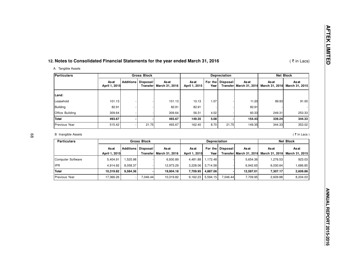# **12. Notes to Consolidated Financial Statements for the year ended March 31, 2016**

# A. Tangible Assets

| Particulars     |                        |                  | <b>Gross Block</b>     |                         |                       | <b>Depreciation</b> |                   | <b>Net Block</b>                        |                         |                        |
|-----------------|------------------------|------------------|------------------------|-------------------------|-----------------------|---------------------|-------------------|-----------------------------------------|-------------------------|------------------------|
|                 | As at<br>April 1, 2015 | <b>Additions</b> | Disposal/<br>Transferl | As at<br>March 31, 2016 | Asat<br>April 1, 2015 | Yearl               | For the Disposal/ | <b>As at</b><br>Transfer March 31, 2016 | As at<br>March 31, 2016 | Asat<br>March 31, 2015 |
| Land:           |                        |                  |                        |                         |                       |                     |                   |                                         |                         |                        |
| Leasehold       | 101.13                 |                  |                        | 101.13                  | 10.13                 | 1.07                |                   | 11.20                                   | 89.93                   | 91.00                  |
| Building        | 82.91                  |                  |                        | 82.91                   | 82.91                 |                     |                   | 82.91                                   |                         |                        |
| Office Building | 309.64                 |                  |                        | 309.64                  | 56.31                 | 4.02                |                   | 60.33                                   | 249.31                  | 253.33                 |
| <b>Total</b>    | 493.67                 |                  |                        | 493.67                  | 149.35                | 5.08                |                   | 154.43                                  | 339.24                  | 344.33                 |
| Previous Year   | 515.42                 |                  | 21.75                  | 493.67                  | 162.40                | 8.70                | 21.75             | 149.35                                  | 344.33                  | 353.02                 |

# B Inangible Assets

 $\zeta$  in Lacs ) the contract of  $\zeta$  in Lacs ) the contract of  $\zeta$  in Lacs )

( $\bar{\tau}$  in Lacs)

| <b>Particulars</b>   | <b>Gross Block</b> |          |                       |                | <b>Depreciation</b> |                     |                   |                         | <b>Net Block</b> |                               |
|----------------------|--------------------|----------|-----------------------|----------------|---------------------|---------------------|-------------------|-------------------------|------------------|-------------------------------|
|                      | As at              |          | Additions   Disposal/ | As at          | As at               |                     | For the Disposal/ | <b>As at</b>            | Asat             | <b>As at</b>                  |
|                      | April 1, 2015      |          | Transferl             | March 31, 2016 | April 1, 2015       | Year                |                   | Transfer March 31, 2016 |                  | March 31, 2016 March 31, 2015 |
| Computer Software    | 5,404.91           | 525.98.  |                       | 6.930.89       |                     | 4,481.88   1,172.48 |                   | 5.654.36                | 1,276.53         | 923.03                        |
| <b>IPR</b>           | 4.914.92           | 8.058.37 |                       | 12.973.29      | 3.228.06            | 3.714.58            |                   | 6.942.65                | 6,030.64         | 1,686.85                      |
| Total                | 10.319.82          | 9.584.36 |                       | 19.904.18      | 7.709.95            | 4.887.06            |                   | 12.597.01               | 7.307.17         | 2,609.88                      |
| <b>Previous Year</b> | 17.366.26          |          | 7.046.44              | 10.319.82      | 9.162.23            | 5.594.15            | 7.046.44          | 7.709.95                | 2,609.88         | 8,204.03                      |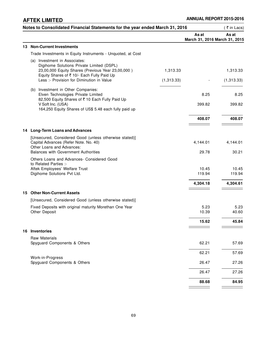÷,

 $\overline{\phantom{a}}$ 

| Notes to Consolidated Financial Statements for the year ended March 31, 2016                                                                |                                        | (₹in Lacs)    |
|---------------------------------------------------------------------------------------------------------------------------------------------|----------------------------------------|---------------|
|                                                                                                                                             | As at<br>March 31, 2016 March 31, 2015 | As at         |
| <b>Non-Current Investments</b><br>13.                                                                                                       |                                        |               |
| Trade Investments in Equity Instruments - Unquoted, at Cost                                                                                 |                                        |               |
| (a) Investment in Associates:<br>Digihome Solutions Private Limited (DSPL)<br>23,00,000 Equity Shares (Previous Year 23,00,000)<br>1,313.33 |                                        | 1,313.33      |
| Equity Shares of ₹ 10/- Each Fully Paid Up<br>Less :- Provision for Diminution in Value<br>(1,313.33)                                       |                                        | (1,313.33)    |
| (b) Investment in Other Companies:<br>Elven Technologies Private Limited<br>82,500 Equity Shares of ₹10 Each Fully Paid Up                  | 8.25                                   | 8.25          |
| V Soft Inc. (USA)<br>164,250 Equity Shares of US\$ 5.48 each fully paid up                                                                  | 399.82                                 | 399.82        |
|                                                                                                                                             | 408.07                                 | 408.07        |
| 14 Long-Term Loans and Advances                                                                                                             |                                        |               |
| [Unsecured, Considered Good (unless otherwise stated)]<br>Capital Advances (Refer Note. No. 40)<br>Other Loans and Advances:                | 4,144.01                               | 4,144.01      |
| <b>Balances with Government Authorities</b>                                                                                                 | 29.78                                  | 30.21         |
| Others Loans and Advances- Considered Good<br>to Related Parties :-                                                                         |                                        | 10.45         |
| Aftek Employees' Welfare Trust<br>Digihome Solutions Pvt Ltd.                                                                               | 10.45<br>119.94                        | 119.94        |
|                                                                                                                                             | 4,304.18                               | 4,304.61      |
| 15 Other Non-Current Assets                                                                                                                 |                                        |               |
| [Unsecured, Considered Good (unless otherwise stated)]                                                                                      |                                        |               |
| Fixed Deposits with original maturity Morethan One Year<br>Other Deposit                                                                    | 5.23<br>10.39                          | 5.23<br>40.60 |
|                                                                                                                                             | 15.62                                  | 45.84         |
| 16 Inventories                                                                                                                              |                                        |               |
| Raw Materials<br>Spyguard Components & Others                                                                                               | 62.21                                  | 57.69         |
|                                                                                                                                             | 62.21                                  | 57.69         |
| Work-in-Progress<br>Spyguard Components & Others                                                                                            | 26.47                                  | 27.26         |
|                                                                                                                                             | 26.47                                  | 27.26         |
|                                                                                                                                             | 88.68                                  | 84.95         |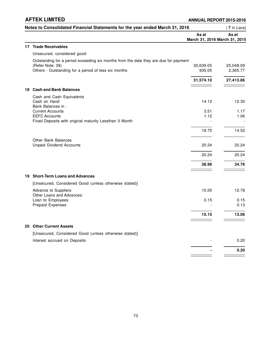## **AFTEK LIMITED**

|     | Notes to Consolidated Financial Statements for the year ended March 31, 2016                                                                                     |                                        | (₹in Lacs)            |
|-----|------------------------------------------------------------------------------------------------------------------------------------------------------------------|----------------------------------------|-----------------------|
|     |                                                                                                                                                                  | As at<br>March 31, 2016 March 31, 2015 | As at                 |
|     | 17 Trade Receivables                                                                                                                                             |                                        |                       |
|     | Unsecured, considered good:                                                                                                                                      |                                        |                       |
|     | Outstanding for a period exceeding six months from the date they are due for payment<br>(Refer Note. 39)<br>Others - Outstanding for a period of less six months | 30,639.05<br>935.05                    | 25,048.09<br>2,365.77 |
|     |                                                                                                                                                                  |                                        |                       |
|     |                                                                                                                                                                  | 31,574.10                              | 27,413.86             |
| 18. | <b>Cash and Bank Balances</b>                                                                                                                                    |                                        |                       |
|     | Cash and Cash Equivalents                                                                                                                                        |                                        |                       |
|     | Cash on Hand                                                                                                                                                     | 14.12                                  | 12.30                 |
|     | Bank Balances in :<br><b>Current Accounts</b>                                                                                                                    | 3.51                                   | 1.17                  |
|     | <b>EEFC Accounts</b>                                                                                                                                             | 1.12                                   | 1.06                  |
|     | Fixed Deposits with original maturity Lessthan 3 Month                                                                                                           |                                        |                       |
|     |                                                                                                                                                                  | 18.75                                  | 14.52                 |
|     | <b>Other Bank Balances</b><br><b>Unpaid Dividend Accounts</b>                                                                                                    | 20.24                                  | 20.24                 |
|     |                                                                                                                                                                  |                                        |                       |
|     |                                                                                                                                                                  | 20.24                                  | 20.24                 |
|     |                                                                                                                                                                  | 38.99                                  | 34.76                 |
|     | 19 Short-Term Loans and Advances                                                                                                                                 |                                        |                       |
|     | [Unsecured, Considered Good (unless otherwise stated)]                                                                                                           |                                        |                       |
|     | Advance to Suppliers<br>Other Loans and Advances:                                                                                                                | 15.00                                  | 12.78                 |
|     | Loan to Employees<br><b>Prepaid Expenses</b>                                                                                                                     | 0.15                                   | 0.15<br>0.13          |
|     |                                                                                                                                                                  |                                        |                       |
|     |                                                                                                                                                                  | 15.15                                  | 13.06                 |
|     | 20 Other Current Assets                                                                                                                                          |                                        |                       |
|     | [Unsecured, Considered Good (unless otherwise stated)]                                                                                                           |                                        |                       |
|     | Interest accrued on Deposits                                                                                                                                     |                                        | 0.20                  |
|     |                                                                                                                                                                  |                                        | 0.20                  |
|     |                                                                                                                                                                  |                                        |                       |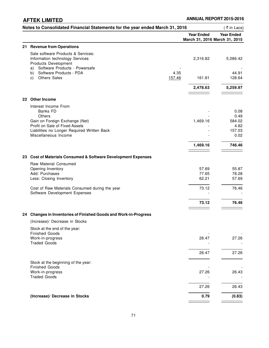|     | Notes to Consolidated Financial Statements for the year ended March 31, 2016                                        |                                                    | (₹in Lacs)        |
|-----|---------------------------------------------------------------------------------------------------------------------|----------------------------------------------------|-------------------|
|     |                                                                                                                     | <b>Year Ended</b><br>March 31, 2016 March 31, 2015 | <b>Year Ended</b> |
| 21. | <b>Revenue from Operations</b>                                                                                      |                                                    |                   |
|     | Sale software Products & Services:<br>Information technology Services<br>Products Development                       | 2,316.82                                           | 5,086.42          |
|     | Software Products - Powersafe<br>a)<br>Software Products - PDA<br>4.35<br>b)<br><b>Others Sales</b><br>157.46<br>C) | 161.81                                             | 44.91<br>128.64   |
|     |                                                                                                                     | 2,478.63                                           | 5,259.97          |
|     | 22 Other Income                                                                                                     |                                                    |                   |
|     | Interest Income From<br>Banks FD<br>Others                                                                          |                                                    | 0.08<br>0.49      |
|     | Gain on Foreign Exchange (Net)<br>Profit on Sale of Fixed Assets                                                    | 1,469.16                                           | 584.02<br>4.82    |
|     | Liabilities no Longer Required Written Back<br>Miscellaneous Income                                                 |                                                    | 157.03<br>0.02    |
|     |                                                                                                                     | 1,469.16                                           | 746.46            |
|     | 23 Cost of Materials Consumed & Software Development Expenses                                                       |                                                    |                   |
|     | Raw Material Consumed                                                                                               |                                                    |                   |
|     | Opening Inventory<br>Add: Purchases                                                                                 | 57.69<br>77.65                                     | 55.87<br>78.28    |
|     | Less: Closing Inventory                                                                                             | 62.21                                              | 57.69             |
|     | Cost of Raw Materials Consumed during the year<br>Software Development Expenses                                     | 73.12                                              | 76.46             |
|     |                                                                                                                     | 73.12                                              | 76.46             |
|     | 24 Changes in Inventories of Finished Goods and Work-in-Progress                                                    |                                                    |                   |
|     | (Increase)/ Decrease in Stocks                                                                                      |                                                    |                   |
|     | Stock at the end of the year:<br><b>Finished Goods</b>                                                              |                                                    |                   |
|     | Work-in-progress<br><b>Traded Goods</b>                                                                             | 26.47                                              | 27.26             |
|     |                                                                                                                     | 26.47                                              | 27.26             |
|     | Stock at the beginning of the year:<br><b>Finished Goods</b>                                                        |                                                    |                   |
|     | Work-in-progress<br><b>Traded Goods</b>                                                                             | 27.26                                              | 26.43             |
|     |                                                                                                                     | 27.26                                              | 26.43             |
|     | (Increase)/ Decrease in Stocks                                                                                      | 0.79                                               | (0.83)            |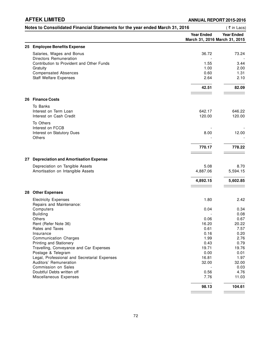**AFTEK LIMITED ANNUAL REPORT 2015-2016**

|    | Notes to Consolidated Financial Statements for the year ended March 31, 2016 |                                                    | (₹in Lacs)        |
|----|------------------------------------------------------------------------------|----------------------------------------------------|-------------------|
|    |                                                                              | <b>Year Ended</b><br>March 31, 2016 March 31, 2015 | <b>Year Ended</b> |
|    | 25 Employee Benefits Expense                                                 |                                                    |                   |
|    | Salaries, Wages and Bonus<br>Directors Remuneration                          | 36.72                                              | 73.24             |
|    | Contribution to Provident and Other Funds                                    | 1.55                                               | 3.44              |
|    | Gratuity                                                                     | 1.00                                               | 2.00              |
|    | <b>Compensated Absences</b>                                                  | 0.60                                               | 1.31              |
|    | <b>Staff Welfare Expenses</b>                                                | 2.64                                               | 2.10              |
|    |                                                                              | 42.51                                              | 82.09             |
|    | 26 Finance Costs                                                             |                                                    |                   |
|    | To Banks                                                                     |                                                    |                   |
|    | Interest on Term Loan                                                        | 642.17                                             | 646.22            |
|    | Interest on Cash Credit                                                      | 120.00                                             | 120.00            |
|    | To Others                                                                    |                                                    |                   |
|    | Interest on FCCB                                                             |                                                    |                   |
|    | Interest on Statutory Dues<br>Others                                         | 8.00                                               | 12.00             |
|    |                                                                              | 770.17                                             | 778.22            |
| 27 | <b>Depreciation and Amortisation Expense</b>                                 |                                                    |                   |
|    | Depreciation on Tangible Assets                                              | 5.08                                               | 8.70              |
|    | Amortisation on Intangible Assets                                            | 4,887.06                                           | 5,594.15          |
|    |                                                                              | 4,892.15                                           | 5,602.85          |
|    | 28 Other Expenses                                                            |                                                    |                   |
|    |                                                                              |                                                    |                   |
|    | <b>Electricity Expenses</b><br>Repairs and Maintenance:                      | 1.80                                               | 2.42              |
|    | Computers                                                                    | 0.04                                               | 0.34              |
|    | <b>Building</b>                                                              |                                                    | 0.08              |
|    | <b>Others</b>                                                                | 0.06                                               | 0.67              |
|    | Rent (Refer Note 36)                                                         | 16.20                                              | 20.22             |
|    | Rates and Taxes                                                              | 0.61                                               | 7.57              |
|    | Insurance                                                                    | 0.16                                               | 0.20              |
|    | <b>Communication Charges</b>                                                 | 1.99                                               | 2.76              |
|    | Printing and Stationery                                                      | 0.43                                               | 0.79              |
|    | Travelling, Conveyance and Car Expenses                                      | 19.71                                              | 19.76             |
|    | Postage & Telegram<br>Legal, Professional and Secretarial Expenses           | 0.00                                               | 0.01              |
|    | Auditors' Remuneration                                                       | 16.81<br>32.00                                     | 1.97<br>32.00     |
|    | Commission on Sales                                                          |                                                    | 0.03              |
|    | Doubtful Debts written off                                                   | 0.56                                               | 4.76              |
|    | Miscellaneous Expenses                                                       | 7.76                                               | 11.03             |
|    |                                                                              | 98.13                                              | 104.61            |
|    |                                                                              |                                                    |                   |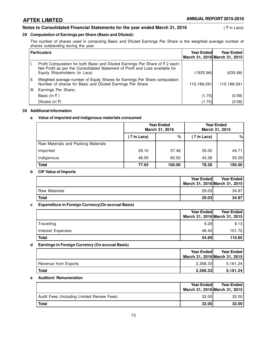### **Notes to Consolidated Financial Statements for the year ended March 31, 2016** (₹ in Lacs)

## **29 Computation of Earnings per Share (Basic and Diluted):**

The number of shares used in computing Basic and Diluted Earnings Per Share is the weighted average number of shares outstanding during the year.

| <b>Particulars</b>                                                                                                                                                                             | <b>Year Ended</b> | Year Ended<br>March 31, 2016 March 31, 2015 |
|------------------------------------------------------------------------------------------------------------------------------------------------------------------------------------------------|-------------------|---------------------------------------------|
| Profit Computation for both Basic and Diluted Earnings Per Share of ₹2 each:<br>Net Profit as per the Consolidated Statement of Profit and Loss available for<br>Equity Shareholders (in Lacs) | (1925.96)         | (635.68)                                    |
| Weighted average number of Equity Shares for Earnings Per Share computation:<br>11.<br>Number of shares for Basic and Diluted Earnings Per Share                                               | 110,188,091       | 110,188,091                                 |
| Earnings Per Share:<br>III.                                                                                                                                                                    |                   |                                             |
| Basic (in ₹)                                                                                                                                                                                   | (1.75)            | (0.58)                                      |
| Diluted (in ₹)                                                                                                                                                                                 | (1.75)            | (0.58)                                      |

#### **30 Additional Information**

### **a Value of imported and indigenous materials consumed**

|                                     | <b>Year Ended</b><br>March 31, 2016 |        | <b>Year Ended</b><br>March 31, 2015 |        |
|-------------------------------------|-------------------------------------|--------|-------------------------------------|--------|
|                                     | ( ₹ in Lacs)                        | $\%$   | ( ₹ in Lacs)                        | %      |
| Raw Materials and Packing Materials |                                     |        |                                     |        |
| Imported                            | 29.10                               | 37.48  | 35.00                               | 44.71  |
| Indigenous                          | 48.55                               | 62.52  | 43.28                               | 55.29  |
| <b>Total</b>                        | 77.65                               | 100.00 | 78.28                               | 100.00 |

#### **b CIF Value of Imports**

|                      | Year Ended | <b>Year Ended</b><br>March 31, 2016 March 31, 2015 |
|----------------------|------------|----------------------------------------------------|
| <b>Raw Materials</b> | 29.03      | 34.87                                              |
| <b>Total</b>         | 29.03      | 34.87                                              |

#### **c Expenditure in Foreign Currency(On accrual Basis)**

|                   | <b>Year Ended</b>             | <b>Year Ended</b> |
|-------------------|-------------------------------|-------------------|
|                   | March 31, 2016 March 31, 2015 |                   |
| Travelling        | 6.29                          | 9.13              |
| Interest Expenses | 48.40                         | 101.72            |
| Total             | 54.69                         | 110.85            |

### **d Earnings in Foreign Currency (On accrual Basis)**

|                      | <b>Year Endedl</b><br>March 31, 2016 March 31, 2015 | <b>Year Ended</b> |
|----------------------|-----------------------------------------------------|-------------------|
| Revenue from Exports | 2.368.33                                            | 5.161.24          |
| <b>Total</b>         | 2.368.33                                            | 5.161.24          |

#### **e Auditors' Remuneration**

|                                            | <b>Year Endedl</b><br>March 31, 2016 March 31, 2015 | <b>Year Ended</b> |
|--------------------------------------------|-----------------------------------------------------|-------------------|
| Audit Fees (Including Limited Review Fees) | 32.00                                               | 32.00             |
| <b>Total</b>                               | 32.00                                               | 32.00             |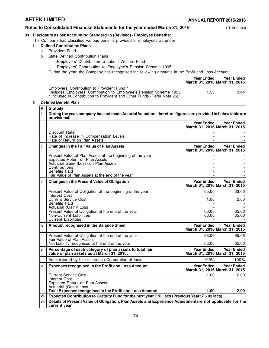|    |   | Notes to Consolidated Financial Statements for the year ended March 31, 2016                      | ′ ₹ in Lacs) |
|----|---|---------------------------------------------------------------------------------------------------|--------------|
| 31 |   | Disclosure as per Accounting Standard 15 (Revised) - Employee Benefits:                           |              |
|    |   | The Company has classified various benefits provided to employees as under:                       |              |
|    |   | <b>Defined Contribution Plans</b>                                                                 |              |
|    | a | <b>Provident Fund</b>                                                                             |              |
|    | b | State Defined Contribution Plans                                                                  |              |
|    |   | Employers' Contribution to Labour Welfare Fund                                                    |              |
|    |   | Employers' Contribution to Employee's Pension Scheme 1995<br>н.                                   |              |
|    |   | During the year, the Company has recognised the following amounts in the Profit and Loss Account: |              |

**Year Ended Year Ended March 31, 2016 March 31, 2015** Employers' Contribution to Provident Fund \* [Includes Employers' Contribution to Employee's Pension Scheme 1995] 1.55 3.44 \* Included in Contribution to Provident and Other Funds (Refer Note 25)

#### **II Defined Benefit Plan**

| Α     | <b>Gratuity</b>                                                                                                                                                                                                                          |                            |                                                             |
|-------|------------------------------------------------------------------------------------------------------------------------------------------------------------------------------------------------------------------------------------------|----------------------------|-------------------------------------------------------------|
| li.   | During the year, company has not made Acturial Valuation, therefore figures are provided in below table are<br>provisional.                                                                                                              |                            |                                                             |
|       |                                                                                                                                                                                                                                          | <b>Year Ended</b>          | <b>Year Ended</b><br>March 31, 2016 March 31, 2015          |
|       | Discount Rate<br>Rate of increase in Compensation Levels<br>Rate of Return on Plan Assets                                                                                                                                                |                            |                                                             |
| ii.   | <b>Changes in the Fair value of Plan Assets</b>                                                                                                                                                                                          | <b>Year Ended</b>          | <b>Year Ended</b><br>March 31, 2016 March 31, 2015          |
|       | Present Value of Plan Assets at the beginning of the year<br><b>Expected Return on Plan Assets</b><br>Actuarial Gain/ (Loss) on Plan Assets<br>Contributions<br><b>Benefits Paid</b><br>Fair Value of Plan Assets at the end of the year |                            |                                                             |
| iΪi   | <b>Changes in the Present Value of Obligation</b>                                                                                                                                                                                        | <b>Year Ended</b>          | <b>Year Ended</b><br>March 31, 2016 March 31, 2015          |
|       | Present Value of Obligation at the beginning of the year<br>Interest Cost                                                                                                                                                                | 65.06                      | 63.06                                                       |
|       | <b>Current Service Cost</b><br><b>Benefits Paid</b><br>Actuarial (Gain)/ Loss                                                                                                                                                            | 1.00                       | 2.00                                                        |
|       | Present Value of Obligation at the end of the year<br><b>Non-Current Liabilities</b><br><b>Current Liabilities</b>                                                                                                                       | 66.06<br>66.06             | 65.06<br>65.06                                              |
| iv.   | Amount recognised in the Balance Sheet                                                                                                                                                                                                   | <b>Year Ended</b>          | <b>Year Ended</b><br>March 31, 2016 March 31, 2015          |
|       | Present Value of Obligation at the end of the year<br>Fair Value of Plan Assets                                                                                                                                                          | 66.06                      | 65.06                                                       |
| V     | Net Liability recognised at the end of the year<br>Percentage of each category of plan assets to total fair<br>value of plan assets as at March 31, 2016:                                                                                | 66.06<br><b>Year Ended</b> | 65.06<br><b>Year Ended</b><br>March 31, 2016 March 31, 2015 |
|       | Administered by Life Insurance Corporation of India                                                                                                                                                                                      | 100%                       | 100%                                                        |
| ٧i    | <b>Expenses recognised in the Profit and Loss Account</b>                                                                                                                                                                                | <b>Year Ended</b>          | <b>Year Ended</b><br>March 31, 2016 March 31, 2015          |
|       | <b>Current Service Cost</b><br>Interest Cost                                                                                                                                                                                             | 1.00                       | 2.00                                                        |
|       | <b>Expected Return on Plan Assets</b><br>Actuarial (Gain)/ Loss                                                                                                                                                                          |                            |                                                             |
|       | Total Expenses recognised in the Profit and Loss Account                                                                                                                                                                                 | 1.00                       | 2.00                                                        |
| vii I | Expected Contribution to Gratuity Fund for the next year ₹ Nil lacs (Previous Year: ₹ 5.03 lacs).                                                                                                                                        |                            |                                                             |
| viii  | Details of Present Value of Obligation, Plan Assets and Experience Adjustmentare not applicable for the<br>current year.                                                                                                                 |                            |                                                             |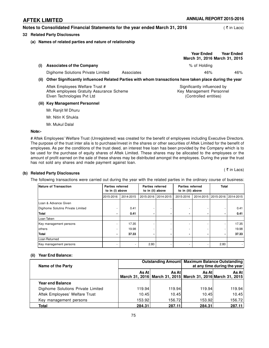## **Notes to Consolidated Financial Statements for the year ended March 31, 2016** (₹ in Lacs)

#### **32 Related Party Disclosures**

#### **(a) Names of related parties and nature of relationship**

|      |                                                                                                        |            | <b>Year Ended</b><br>March 31, 2016 March 31, 2015      | <b>Year Ended</b> |
|------|--------------------------------------------------------------------------------------------------------|------------|---------------------------------------------------------|-------------------|
| (i)  | <b>Associates of the Company</b>                                                                       |            | % of Holding                                            |                   |
|      | Digihome Solutions Private Limited                                                                     | Associates | 46%                                                     | 46%               |
| (ii) | Other Significantly influenced Related Parties with whom transactions have taken place during the year |            |                                                         |                   |
|      | Aftek Employees Welfare Trust #<br>Aftek employees Gratuity Assurance Scheme                           |            | Significantly influenced by<br>Key Management Personnel |                   |

Elven Technologies Pvt Ltd (Controlled entities)

#### **(iii) Key Management Personnel**

Mr. Ranjit M Dhuru

- Mr. Nitin K Shukla
- Mr. Mukul Dalal

#### **Note:-**

# Aftek Employees' Welfare Trust (Unregistered) was created for the benefit of employees including Executive Directors. The purpose of the trust inter alia is to purchase/invest in the shares or other securities of Aftek Limited for the benefit of employees. As per the conditions of the trust deed, an interest free loan has been provided by the Company which is to be used for the purchase of equity shares of Aftek Limited. These shares may be allocated to the employees or the amount of profit earned on the sale of these shares may be distributed amongst the employees. During the year the trust has not sold any shares and made payment against loan.

 $($   $\overline{z}$  in Lacs)

#### **(b) Related Party Disclosures**

The following transactions were carried out during the year with the related parties in the ordinary course of business:

| Nature of Transaction             | <b>Parties referred</b><br>to in (i) above |           | <b>Parties referred</b><br>to in (ii) above |                     | <b>Parties referred</b><br>to in (iii) above |           | <b>Total</b>        |       |
|-----------------------------------|--------------------------------------------|-----------|---------------------------------------------|---------------------|----------------------------------------------|-----------|---------------------|-------|
|                                   | 2015-2016                                  | 2014-2015 |                                             | 2015-2016 2014-2015 | 2015-2016                                    | 2014-2015 | 2015-2016 2014-2015 |       |
| Loan & Advance Given              |                                            |           |                                             |                     |                                              |           |                     |       |
| Digihome Solutins Private Limited |                                            | 0.41      |                                             |                     |                                              |           |                     | 0.41  |
| Total                             |                                            | 0.41      |                                             | -                   |                                              |           |                     | 0.41  |
| Loan Taken                        |                                            |           |                                             |                     |                                              |           |                     |       |
| Key management persons            |                                            | 17.35     |                                             |                     |                                              |           |                     | 17.35 |
| lothers                           |                                            | 19.98     |                                             |                     |                                              |           |                     | 19.98 |
| Total                             |                                            | 37.33     |                                             |                     |                                              |           |                     | 37.33 |
| Loan Returned                     |                                            |           |                                             |                     |                                              |           |                     |       |
| Key management persons            |                                            |           | 2.80                                        |                     |                                              |           | 2.80                |       |

#### **(ii) Year End Balance:**

| Name of the Party                  | Outstanding Amount   Maximum Balance Outstanding<br>at any time during the year |                                                                       |        |         |
|------------------------------------|---------------------------------------------------------------------------------|-----------------------------------------------------------------------|--------|---------|
|                                    | As At I                                                                         | As Atl<br>March 31, 2016 March 31, 2015 March 31, 2016 March 31, 2015 | As Atl | As At I |
| <b>Year end Balance</b>            |                                                                                 |                                                                       |        |         |
| Digihome Solutions Private Limited | 119.94                                                                          | 119.94                                                                | 119.94 | 119.94  |
| Aftek Employees' Welfare Trust     | 10.45                                                                           | 10.45                                                                 | 10.45  | 10.45   |
| Key management persons             | 153.92                                                                          | 156.72                                                                | 153.92 | 156.72  |
| Total                              | 284.31                                                                          | 287.11                                                                | 284.31 | 287.11  |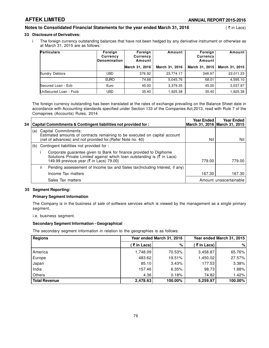### **Notes to Consolidated Financial Statements for the year ended March 31, 2016** (₹ in Lacs)

#### **33 Disclosure of Derivatives:**

i The foreign currency outstanding balances that have not been hedged by any derivative instrument or otherwise as at March 31, 2015 are as follows:

| <b>Particulars</b>    | Foreign<br>Currency<br><b>Denomination</b> | Foreign<br>Currency<br>Amount | Amount         | Foreign<br>Currency<br>Amount | Amount         |
|-----------------------|--------------------------------------------|-------------------------------|----------------|-------------------------------|----------------|
|                       |                                            | March 31, 2016                | March 31, 2016 | March 31, 2015                | March 31, 2015 |
| Sundry Debtors        | USD.                                       | 376.92                        | 23,774.17      | 348.97                        | 22,011.23      |
|                       | <b>EURO</b>                                | 74.68                         | 5.045.76       | 68.01                         | 4,595.10       |
| Secured Loan - Ecb    | Euro                                       | 45.00                         | 3,379.35       | 45.00                         | 3,037.97       |
| UnSecured Loan - Fccb | USD                                        | 35.40                         | 1,925.38       | 35.40                         | 1,925.38       |

The foreign currency outstanding has been translated at the rates of exchange prevailing on the Balance Sheet date in accordance with Accounting standards specified under Section 133 of the Companies Act,2013, read with Rule 7 of the Comapnies (Accounts) Rules, 2014.

| 34 |     |     | Capital Commitments & Contingent liabilities not provided for:                                                                                                                                            | <b>Year Ended</b> | <b>Year Ended</b><br> March 31, 2016   March 31, 2015 |
|----|-----|-----|-----------------------------------------------------------------------------------------------------------------------------------------------------------------------------------------------------------|-------------------|-------------------------------------------------------|
|    | (a) |     | <b>Capital Commitments:</b><br>Estimated amounts of contracts remaining to be executed on capital account<br>(net of advances) and not provided for. (Refer Note no. 40)                                  | Nil               | Nil l                                                 |
|    |     |     | (b) Contingent liabilities not provided for :                                                                                                                                                             |                   |                                                       |
|    |     |     | Corporate guarantee given to Bank for finance provided to Digihome<br>Solutions Private Limited against which loan outstanding is $(\bar{\bar{\xi}})$ in Lacs)<br>149.99 previous year (₹ in Lacs) 79.00} | 779.00            | 779.00                                                |
|    |     | ii. | Pending assessement of Income tax and Sales tax(Including Interest, if any)                                                                                                                               |                   |                                                       |
|    |     |     | Income Tax matters                                                                                                                                                                                        | 167.30            | 167.30                                                |
|    |     |     | Sales Tax matters                                                                                                                                                                                         |                   | Amount unascertainable                                |

#### **35 Segment Reporting:**

#### **Primary Segment Information**

The Company is in the business of sale of software services which is viewed by the management as a single primary segment,

i.e. business segment.

#### **Secondary Segment Information - Geographical**

The secondary segment information in relation to the geographies is as follows:

| <b>Regions</b>       |            | Year ended March 31, 2016 |              | Year ended March 31, 2015 |
|----------------------|------------|---------------------------|--------------|---------------------------|
|                      | (₹in Lacs) | %                         | ( ₹ in Lacs) | %                         |
| America              | 1.748.09   | 70.53%                    | 3,458.87     | 65.76%                    |
| Europe               | 483.62     | 19.51%                    | 1.450.02     | 27.57%                    |
| Japan                | 85.10      | 3.43%                     | 177.53       | 3.38%                     |
| India                | 157.46     | 6.35%                     | 98.73        | 1.88%                     |
| Others               | 4.36       | 0.18%                     | 74.82        | 1.42%                     |
| <b>Total Revenue</b> | 2,478.63   | 100.00%                   | 5,259.97     | 100.00%                   |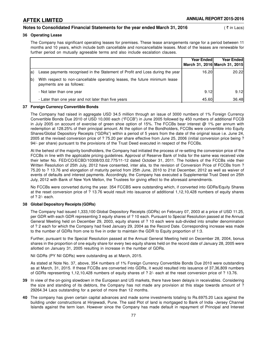#### **Notes to Consolidated Financial Statements for the year ended March 31, 2016** ( ` in Lacs)

#### **36 Operating Lease**

The Company has significant operating leases for premises. These lease arrangements range for a period between 11 months and 10 years, which include both cancellable and noncancellable leases. Most of the leases are renewable for further period on mutually agreeable terms and also include escalation clauses.

|             |                                                                                                        | <b>Year Endedl</b> | Year Ended<br>March 31, 2016 March 31, 2015 |
|-------------|--------------------------------------------------------------------------------------------------------|--------------------|---------------------------------------------|
| la)         | Lease payments recognised in the Statement of Profit and Loss during the year                          | 16.20I             | 20.22                                       |
| $ b\rangle$ | With respect to non-cancellable operating leases, the future minimum lease<br>payments are as follows: |                    |                                             |
|             | - Not later than one year                                                                              | 9.12               | 9.12                                        |
|             | - Later than one year and not later than five years                                                    | 45.60              | 36.48                                       |

#### **37 Foreign Currency Convertible Bonds**

The Company had raised in aggregate USD 34.5 million through an issue of 3000 numbers of 1% Foreign Currency Convertible Bonds Due 2010 of USD 10,000 each ("FCCB") in June 2005 followed by 450 numbers of additional FCCB in July 2005 on account of exercise of green shoe option of 15%. The FCCBs bear interest  $@$  1% per annum with redemption at 128.25% of their principal amount. At the option of the Bondholders, FCCBs were convertible into Equity Shares/Global Depository Receipts ("GDRs") within a period of 5 years from the date of the original issue i.e. June 24, 2005 at the revised conversion price of ? 75.20 per share effective from June 25, 2006 (initial conversion price being ? 94/- per share) pursuant to the provisions of the Trust Deed executed in respect of the FCCBs.

At the behest of the majority bondholders, the Company had initiated the process of re-setting the conversion price of the FCCBs in line with the applicable pricing guidelines. Approval of Reserve Bank of India for the same was received vide their letter No. FED/CO/ECBD/10308/03.02.775/11-12 dated October 31, 2011. The holders of the FCCBs vide their Written Resolution of 25th July, 2012 have consented, inter alia, to the revision of Conversion Price of FCCBs from ? 75.20 to ? 13.76 and elongation of maturity period from 25th June, 2010 to 21st December, 2012 as well as waiver of events of defaults and interest payments. Accordingly, the Company has executed a Supplemental Trust Deed on 25th July, 2012 with Bank of New York Mellon, the Trustees for giving effect to the aforesaid amendments.

No FCCBs were converted during the year. 354 FCCBS were outstanding which, if converted into GDRs/Equity Shares at the reset conversion price of ? 13.76 would result into issuance of additional 1,12,10,428 numbers of equity shares of ? 2/- each.

#### **38 Global Depository Receipts (GDRs)**

The Company had issued 1,333,100 Global Depository Receipts (GDRs) on February 07, 2003 at a price of USD 11.25, per GDR with each GDR representing 3 equity shares of ? 10 each. Pursuant to Special Resolution passed at the Annual General Meeting held on December 29, 2003, equity shares of ? 10 each were sub-divided into smaller denomination of ? 2 each for which the Company had fixed January 29, 2004 as the Record Date. Corresponding increase was made to the number of GDRs from one to five in order to maintain the GDR to Equity proportion of 1:3.

Further, pursuant to the Special Resolution passed at the Annual General Meeting held on December 28, 2004, bonus shares in the proportion of one equity share for every two equity shares held on the record date of January 28, 2005 were allotted on January 31, 2005 resulting in increase in the number of GDRs.

Nil GDRs (PY Nil GDRs) were outstanding as at March, 2015.

As stated at Note No. 37, above, 354 numbers of 1% Foreign Currency Convertible Bonds Due 2010 were outstanding as at March, 31, 2015. If these FCCBs are converted into GDRs, it would resulted into issuance of 37,36,809 numbers of GDRs representing 1,12,10,428 numbers of equity shares of ? 2/- each at the reset conversion price of ? 13.76.

- **39** In view of the on-going slowdown in the European and US markets, there have been delayis in receivables. Considering the size and standing of its debtors, the Company has not made any provision at this stage towards amount of ? 29264.34 Lacs outstanding for a period of more than 12 months.
- **40** The company has given certain capital advances and made some investments totaling to Rs.6975.20 Lacs against the building under constructions at Hinjewadi, Pune. The said Plot of land is mortgaged to Bank of India -Jersey Channel Islands against the term loan. However since the Company has made default in repayment of Principal and Interest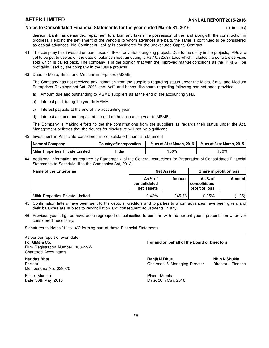## **AFTEK LIMITED ANNUAL REPORT 2015-2016**

#### **Notes to Consolidated Financial Statements for the year ended March 31, 2016** (₹ in Lacs)

thereon, Bank has demanded repayment total loan and taken the possession of the land alongwith the construction in progress. Pending the settlement of the vendors to whom advances are paid, the same is continued to be considered as capital advances. No Contingent liability is considered for the unexecuted Capital Contract.

- **41** The company has invested on purchases of IPRs for various ongoing projects.Due to the delay in the projects, IPRs are yet to be put to use as on the date of balance sheet amouting to Rs.10,325.97 Lacs which includes the software services sold which is called back. The company is of the opinion that with the improved market conditions all the IPRs will be profitably used by the company in the future projects.
- **42** Dues to Micro, Small and Medium Enterprises (MSME)

The Company has not received any intimation from the suppliers regarding status under the Micro, Small and Medium Enterprises Development Act, 2006 (the 'Act') and hence disclosure regarding following has not been provided.

- a) Amount due and outstanding to MSME suppliers as at the end of the accounting year.
- b) Interest paid during the year to MSME.
- c) Interest payable at the end of the accounting year.
- d) Interest accrued and unpaid at the end of the accounting year to MSME.

The Company is making efforts to get the confirmations from the suppliers as regards their status under the Act. Management believes that the figures for disclosure will not be significant.

**43** Investment in Associate considered in consolidated financial statement

| Name of Company                           | Country of Incorporation | $\%$ as at 31st March, 2016 | % as at 31st March. 2015 |
|-------------------------------------------|--------------------------|-----------------------------|--------------------------|
| Mihir Properties Private Limited<br>India |                          | 00%                         | 100%                     |

**44** Additional information as required by Paragraph 2 of the General Instructions for Preparation of Consolidated Financial Statements to Schedule III to the Companies Act, 2013:

| <b>Name of the Enterprise</b>    |                                      | <b>Net Assets</b> | Share in profit or loss                  |        |
|----------------------------------|--------------------------------------|-------------------|------------------------------------------|--------|
|                                  | As% of<br>consolidated<br>net assets | Amount I          | As% of<br>consolidated<br>profit or loss | Amount |
| Mihir Properties Private Limited | 0.43%                                | 245.76            | 0.05%                                    | (1.05) |

- **45** Confirmation letters have been sent to the debtors, creditors and to parties to whom advances have been given, and their balances are subject to reconciliation and consequent adjustments, if any.
- **46** Previous year's figures have been regrouped or reclassified to conform with the current years' presentation wherever considered necessary.

Signatures to Notes "1" to "46" forming part of these Financial Statements.

As per our report of even date. Firm Registration Number: 103429W Chartered Accountants

Membership No. 039070

Place: Mumbai Place: Mumbai Date: 30th May, 2016 Date: 30th May, 2016

### **For GMJ & Co. For and on behalf of the Board of Directors**

**Haridas Bhat Ranjit M Dhuru Nitin K Shukla** Partner Chairman & Managing Director Director - Finance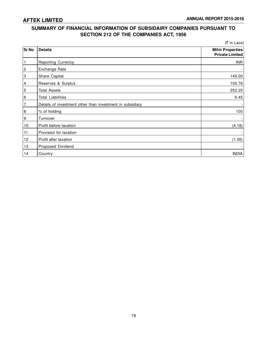## **SUMMARY OF FINANCIAL INFORMATION OF SUBSIDAIRY COMPANIES PURSUANT TO SECTION 212 OF THE COMPANIES ACT, 1956**

|                |                                                           | (₹ in Lacs)                                       |
|----------------|-----------------------------------------------------------|---------------------------------------------------|
| <b>Sr No</b>   | <b>Details</b>                                            | <b>Mihir Properties</b><br><b>Private Limited</b> |
| $\mathbf{1}$   | <b>Reporting Currency</b>                                 | <b>INR</b>                                        |
| $\overline{c}$ | Exchange Rate                                             |                                                   |
| 3              | Share Capital                                             | 145.00                                            |
| $\vert$ 4      | Reserves & Surplus                                        | 100.76                                            |
| $\overline{5}$ | <b>Total Assets</b>                                       | 252.20                                            |
| 6              | <b>Total Liabilities</b>                                  | 6.45                                              |
| 7              | Details of investment other than investment in subsidiary |                                                   |
| 8              | % of holding                                              | 100                                               |
| 9              | Turnover                                                  |                                                   |
| 10             | Profit before taxation                                    | (4.18)                                            |
| 11             | Provision for taxation                                    |                                                   |
| 12             | Profit after taxation                                     | (1.05)                                            |
| 13             | Proposed Dividend                                         |                                                   |
| 14             | Country                                                   | <b>INDIA</b>                                      |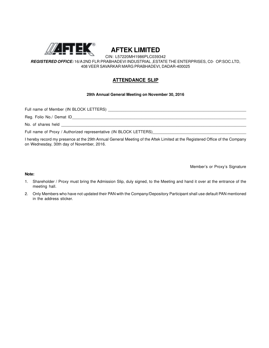

**AFTEK LIMITED**

CIN: L57220MH1986PLC039342

*REGISTERED OFFICE:* 16/A 2ND FLR PRABHADEVI INDUSTRIAL ,ESTATE THE ENTERPRISES, C0- OP.SOC.LTD, 408 VEER SAVARKAR MARG PRABHADEVI, DADAR-400025

## **ATTENDANCE SLIP**

### **29th Annual General Meeting on November 30, 2016**

Full name of Member (IN BLOCK LETTERS)

Reg. Folio No./ Demat ID

No. of shares held

Full name of Proxy / Authorized representative (IN BLOCK LETTERS)

I hereby record my presence at the 29th Annual General Meeting of the Aftek Limited at the Registered Office of the Company on Wednesday, 30th day of November, 2016.

Member's or Proxy's Signature

#### **Note:**

- 1. Shareholder / Proxy must bring the Admission Slip, duly signed, to the Meeting and hand it over at the entrance of the meeting hall.
- 2. Only Members who have not updated their PAN with the Company/Depository Participant shall use default PAN mentioned in the address sticker.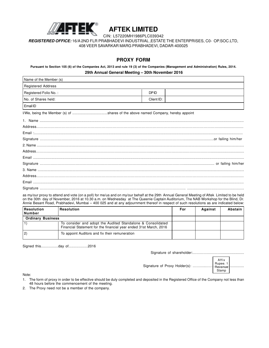

# **AFTEK LIMITED**

CIN: L57220MH1986PLC039342

*REGISTERED OFFICE:* 16/A 2ND FLR PRABHADEVI INDUSTRIAL ,ESTATE THE ENTERPRISES, C0- OP.SOC.LTD, 408 VEER SAVARKAR MARG PRABHADEVI, DADAR-400025

### **PROXY FORM**

**Pursuant to Section 105 (6) of the Companies Act, 2013 and rule 19 (3) of the Companies (Management and Administration) Rules, 2014. 29th Annual General Meeting – 30th November 2016**

| Name of the Member (s) |             |  |
|------------------------|-------------|--|
| Registered Address     |             |  |
| Registered Folio No.:  | <b>DPID</b> |  |
| No. of Shares held:    | Client ID:  |  |
| Email ID               |             |  |

I/We, being the Member (s) of ...................................shares of the above named Company, hereby appoint

as my/our proxy to attend and vote (on a poll) for me/us and on my/our behalf at the 29th Annual General Meeting of Aftek Limited to be held on the 30th day of November, 2016 at 10.30 a.m. on Wednesday at The Queenie Captain Auditorium, The NAB Workshop for the Blind, Dr. Annie Besant Road, Prabhadevi, Mumbai – 400 025 and at any adjournment thereof in respect of such resolutions as are indicated below:

| Resolution<br> Number    | <b>Resolution</b>                                                                                                                | For | Against | Abstain I |
|--------------------------|----------------------------------------------------------------------------------------------------------------------------------|-----|---------|-----------|
| <b>Ordinary Business</b> |                                                                                                                                  |     |         |           |
|                          | To consider and adopt the Audited Standalone & Consolidated<br>Financial Statement for the financial year ended 31st March, 2016 |     |         |           |
| 2)                       | To appoint Auditors and fix their remuneration                                                                                   |     |         |           |

Signed this.................day of...................2016

Signature of shareholder:……………………......................

Affix

Г

Stamp

Signature of Proxy Holder(s): ………..…………........................

|                                         | AHIX    |
|-----------------------------------------|---------|
| Signature of Proxy Holder(s):  Rupee. 1 |         |
|                                         |         |
|                                         | l Stamp |

Note:

- 1. The form of proxy in order to be effective should be duly completed and deposited in the Registered Office of the Company not less than 48 hours before the commencement of the meeting.
- 2. The Proxy need not be a member of the company.